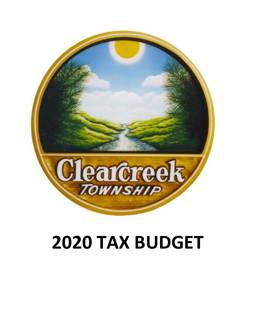

# 2020 TAX BUDGET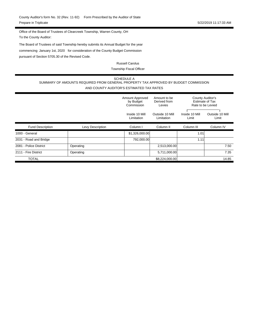To the County Auditor: Office of the Board of Trustees of Clearcreek Township, Warren County, OH

commencing January 1st, 2020 for consideration of the County Budget Commission pursuant of Section 5705.30 of the Revised Code. The Board of Trustees of said Township hereby submits its Annual Budget for the year

> Township Fiscal Officer Russell Carolus

#### SCHEDULE A SUMMARY OF AMOUNTS REQUIRED FROM GENERAL PROPERTY TAX APPROVED BY BUDGET COMMISSION AND COUNTY AUDITOR'S ESTIMATED TAX RATES

|                         |                  | Amount Approved<br>by Budget<br>Commission | Amount to be<br>Derived from<br>Levies | County Auditor's<br>Estimate of Tax<br>Rate to be Levied |                          |
|-------------------------|------------------|--------------------------------------------|----------------------------------------|----------------------------------------------------------|--------------------------|
|                         |                  | Inside 10 Mill<br>Limitation               | Outside 10 Mill<br>Limitation          | Inside 10 Mill<br>Limit                                  | Outside 10 Mill<br>Limit |
| <b>Fund Description</b> | Levy Description | Column I                                   | Column <sub>II</sub>                   | Column III                                               | Column <sub>IV</sub>     |
| 1000 - General          |                  | \$1,326,000.00                             |                                        | 1.01                                                     |                          |
| 2031 - Road and Bridge  |                  | 792,000.00                                 |                                        | 1.11                                                     |                          |
| 2081 - Police District  | Operating        |                                            | 2,513,000.00                           |                                                          | 7.50                     |
| 2111 - Fire District    | Operating        |                                            | 5,711,000.00                           |                                                          | 7.35                     |
| <b>TOTAL</b>            |                  |                                            | \$8,224,000.00                         |                                                          | 14.85                    |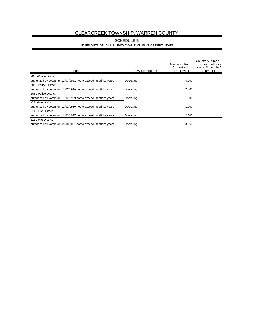# CLEARCREEK TOWNSHIP, WARREN COUNTY

#### LEVIES OUTSIDE 10 MILL LIMITATION, EXCLUSIVE OF DEBT LEVIES SCHEDULE B

| Fund                                                              | Levy Description | Maximum Rate<br>Authorized<br>To Be Levied | County Auditor's<br>Est. of Yield of Levy<br>(carry to Schedule A<br>Column <sub>II</sub> ) |
|-------------------------------------------------------------------|------------------|--------------------------------------------|---------------------------------------------------------------------------------------------|
| 2081-Police District                                              |                  |                                            |                                                                                             |
| authorized by voters on 11/03/1981 not to exceed indefinite years | Operating        | 4.000                                      |                                                                                             |
| 2081-Police District                                              |                  |                                            |                                                                                             |
| authorized by voters on 11/07/1989 not to exceed indefinite years | Operating        | 2.000                                      |                                                                                             |
| 2081-Police District                                              |                  |                                            |                                                                                             |
| authorized by voters on 11/02/1999 not to exceed indefinite years | Operating        | 1.500                                      |                                                                                             |
| 2111-Fire District                                                |                  |                                            |                                                                                             |
| authorized by voters on 11/02/1980 not to exceed indefinite years | Operating        | 1.000                                      |                                                                                             |
| 2111-Fire District                                                |                  |                                            |                                                                                             |
| authorized by voters on 11/03/1997 not to exceed indefinite years | Operating        | 2.500                                      |                                                                                             |
| 2111-Fire District                                                |                  |                                            |                                                                                             |
| authorized by voters on 05/08/2001 not to exceed indefinite years | Operating        | 3.850                                      |                                                                                             |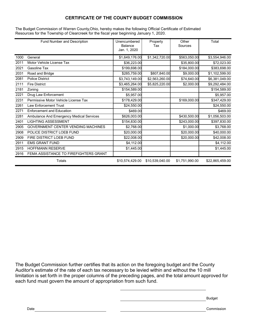# CERTIFICATE OF THE COUNTY BUDGET COMMISSION

The Budget Commission of Warren County,Ohio, hereby makes the following Official Certificate of Estimated Resources for the Township of Clearcreek for the fiscal year beginning January 1, 2020.

|      | Fund Number and Description               | Unencumbered<br>Balance<br>Jan. 1, 2020 | Property<br>Tax | Other<br>Sources | Total           |
|------|-------------------------------------------|-----------------------------------------|-----------------|------------------|-----------------|
| 1000 | General                                   | \$1,649,176.00                          | \$1,342,720.00  | \$563,050.00     | \$3,554,946.00  |
| 2011 | Motor Vehicle License Tax                 | \$36,223.00                             |                 | \$35,800.00      | \$72,023.00     |
| 2021 | <b>Gasoline Tax</b>                       | \$199,698.00                            |                 | \$184,000.00     | \$383,698.00    |
| 2031 | Road and Bridge                           | \$285,759.00                            | \$807,840.00    | \$9,000.00       | \$1,102,599.00  |
| 2081 | <b>Police District</b>                    | \$3,743,149.00                          | \$2,563,260.00  | \$74,640.00      | \$6,381,049.00  |
| 2111 | <b>Fire District</b>                      | \$3,465,264.00                          | \$5,825,220.00  | \$2,000.00       | \$9,292,484.00  |
| 2181 | Zoning                                    | \$154,589.00                            |                 |                  | \$154,589.00    |
| 2221 | Drug Law Enforcement                      | \$5,957.00                              |                 |                  | \$5,957.00      |
| 2231 | Permissive Motor Vehicle License Tax      | \$178,429.00                            |                 | \$169,000.00     | \$347,429.00    |
| 2261 | <b>Law Enforcement Trust</b>              | \$24,550.00                             |                 |                  | \$24,550.00     |
| 2271 | <b>Enforcement and Education</b>          | \$469.00                                |                 |                  | \$469.00        |
| 2281 | Ambulance And Emergency Medical Services  | \$626,003.00                            |                 | \$430,500.00     | \$1,056,503.00  |
| 2401 | <b>LIGHTING ASSESSMENT</b>                | \$154,830.00                            |                 | \$243,000.00     | \$397,830.00    |
| 2905 | <b>GOVERNMENT CENTER VENDING MACHINES</b> | \$2,768.00                              |                 | \$1,000.00       | \$3,768.00      |
| 2908 | POLICE DISTRICT LOEB FUND                 | \$20,000.00                             |                 | \$20,000.00      | \$40,000.00     |
| 2909 | FIRE DISTRICT LOEB FUND                   | \$22,008.00                             |                 | \$20,000.00      | \$42,008.00     |
| 2911 | <b>EMS GRANT FUND</b>                     | \$4,112.00                              |                 |                  | \$4,112.00      |
| 2915 | <b>HOFFMANN RESERVE</b>                   | \$1,445.00                              |                 |                  | \$1,445.00      |
| 2916 | FEMA ASSISTANCE TO FIREFIGHTERS GRANT     |                                         |                 |                  |                 |
|      | Totals                                    | \$10,574,429.00                         | \$10,539,040.00 | \$1,751,990.00   | \$22,865,459.00 |

The Budget Commission further certifies that its action on the foregoing budget and the County Auditor's estimate of the rate of each tax necessary to be levied within and without the 10 mill limitation is set forth in the proper columns of the preceding pages, and the total amount approved for each fund must govern the amount of appropriation from such fund.

Budget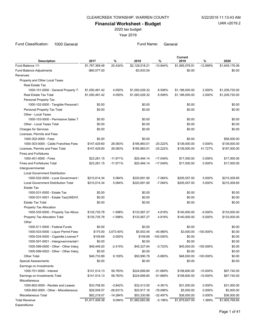#### CLEARCREEK TOWNSHIP, WARREN COUNTY 5/22/2019 11:13:43 AM

Financial Worksheet - Budget

2020 tax budget

Year 2019

Fund Classification: 1000 General **Fund Name:** General Fund Name: General

| <b>Description</b>                         | 2017           | %          | 2018           | %            | Current<br>2019 | %            | 2020           |
|--------------------------------------------|----------------|------------|----------------|--------------|-----------------|--------------|----------------|
| Fund Balance 1/1                           | \$1,767,369.48 | 20.434%    | \$2,128,518.21 | $-10.944%$   | \$1,895,576.91  | $-12.999%$   | \$1.649.176.06 |
| Fund Balance Adjustments                   | -\$60,577.00   |            | $-$3,933.54$   |              | \$0.00          |              | \$0.00         |
| Revenues                                   |                |            |                |              |                 |              |                |
| Property and Other Local Taxes             |                |            |                |              |                 |              |                |
| <b>Real Estate Tax</b>                     |                |            |                |              |                 |              |                |
| 1000-101-0000 - General Property T.        | \$1,050,481.42 | 4.050%     | \$1,093,026.32 | 8.506%       | \$1,186,000.00  | 2.000%       | \$1,209,720.00 |
| Real Estate Tax Total                      | \$1,050,481.42 | 4.050%     | \$1,093,026.32 | 8.506%       | \$1,186,000.00  | 2.000%       | \$1,209,720.00 |
| Personal Property Tax                      |                |            |                |              |                 |              |                |
| 1000-102-0000 - Tangible Personal F        | \$0.00         |            | \$0.00         |              | \$0.00          |              | \$0.00         |
| Personal Property Tax Total                | \$0.00         |            | \$0.00         |              | \$0.00          |              | \$0.00         |
| Other - Local Taxes                        |                |            |                |              |                 |              |                |
| 1000-103-0000 - Permissive Sales T         | \$0.00         |            | \$0.00         |              | \$0.00          |              | \$0.00         |
| Other - Local Taxes Total                  | \$0.00         |            | \$0.00         |              | \$0.00          |              | \$0.00         |
| <b>Charges for Services</b>                | \$0.00         |            | \$0.00         |              | \$0.00          |              | \$0.00         |
| Licenses, Permits and Fees                 |                |            |                |              |                 |              |                |
| 1000-302-0000 - Fees                       | \$0.00         |            | \$0.00         |              | \$0.00          |              | \$58,000.00    |
| 1000-303-0000 - Cable Franchise Fees       | \$147,429.60   | 26.083%    | \$185,883.01   | $-25.222%$   | \$139,000.00    | 0.000%       | \$139,000.00   |
| Licenses, Permits and Fees Total           | \$147,429.60   | 26.083%    | \$185,883.01   | $-25.222%$   | \$139,000.00    | 41.727%      | \$197,000.00   |
| <b>Fines and Forfeitures</b>               |                |            |                |              |                 |              |                |
| 1000-401-0000 - Fines                      | \$23,281.15    | $-11.971%$ | \$20,494.14    | $-17.049%$   | \$17,000.00     | 0.000%       | \$17,000.00    |
| <b>Fines and Forfeitures Total</b>         | \$23,281.15    | $-11.971%$ | \$20,494.14    | $-17.049%$   | \$17,000.00     | 0.000%       | \$17,000.00    |
| Intergovernmental                          |                |            |                |              |                 |              |                |
| <b>Local Government Distribution</b>       |                |            |                |              |                 |              |                |
| 1000-532-0000 - Local Government I         | \$210,014.34   | 5.084%     | \$220,691.90   | $-7.084%$    | \$205,057.00    | 5.000%       | \$215,309.85   |
| <b>Local Government Distribution Total</b> | \$210,014.34   | 5.084%     |                | $-7.084%$    |                 | 5.000%       |                |
| <b>Estate Tax</b>                          |                |            | \$220,691.90   |              | \$205,057.00    |              | \$215,309.85   |
|                                            |                |            |                |              |                 |              |                |
| 1000-531-0000 - Estate Tax                 | \$0.00         |            | \$0.00         |              | \$0.00          |              | \$0.00         |
| 1000-531-0001 - Estate Tax{UNDIVI          | \$0.00         |            | \$0.00         |              | \$0.00          |              | \$0.00         |
| <b>Estate Tax Total</b>                    | \$0.00         |            | \$0.00         |              | \$0.00          |              | \$0.00         |
| Property Tax Allocation                    |                |            |                |              |                 |              |                |
| 1000-535-0000 - Property Tax Alloca        | \$135,735.78   | $-1.598%$  | \$133,567.27   | 4.816%       | \$140,000.00    | $-5.000%$    | \$133,000.00   |
| Property Tax Allocation Total              | \$135,735.78   | $-1.598%$  | \$133,567.27   | 4.816%       | \$140,000.00    | $-5.000%$    | \$133,000.00   |
| Other                                      |                |            |                |              |                 |              |                |
| 1000-511-0000 - Federal Funds              | \$0.00         |            | \$0.00         |              | \$0.00          |              | \$0.00         |
| 1000-533-0000 - Liquor Permit Fees         | \$175.00       | 3,073.40%  | \$5,553.45     | -45.980%     | \$3,000.00      | $-100.000\%$ | \$0.00         |
| 1000-534-0000 - Cigarette License F        | \$109.69       | 0.000%     | \$109.69       | $-100.000\%$ | \$0.00          |              | \$0.00         |
| 1000-591-0001 - Intergovernmental F        | \$0.00         |            | \$0.00         |              | \$0.00          |              | \$0.00         |
| 1000-599-0000 - Other - Other Interg       | \$46,449.20    | $-2.415%$  | \$45,327.64    | $-0.723%$    | \$45,000.00     | $-100.000\%$ | \$0.00         |
| 1000-599-0002 - Other - Other Interg       | \$0.00         |            | \$0.00         |              | \$0.00          |              | \$0.00         |
| <b>Other Total</b>                         | \$46,733.89    | 9.109%     | \$50,990.78    | -5.865%      | \$48,000.00     | $-100.000\%$ | \$0.00         |
| <b>Special Assessments</b>                 | \$0.00         |            | \$0.00         |              | \$0.00          |              | \$0.00         |
| Earnings on Investments                    |                |            |                |              |                 |              |                |
| 1000-701-0000 - Interest                   | \$141,514.13   | 58.783%    | \$224,699.80   | -51.669%     | \$108,600.00    | $-10.000\%$  | \$97,740.00    |
| Earnings on Investments Total              | \$141,514.13   | 58.783%    | \$224,699.80   | -51.669%     | \$108,600.00    | $-10.000\%$  | \$97,740.00    |
| Miscellaneous                              |                |            |                |              |                 |              |                |
| 1000-802-0000 - Rentals and Leases         | \$33,708.50    | $-3.842%$  | \$32,413.50    | $-4.361%$    | \$31,000.00     | 0.000%       | \$31,000.00    |
| 1000-892-0000 - Other - Miscellaneous      | \$28,509.57    | -26.631%   | \$20,917.16    | -76.096%     | \$5,000.00      | 0.000%       | \$5,000.00     |
| Miscellaneous Total                        | \$62,218.07    | -14.284%   | \$53,330.66    | $-32.497%$   | \$36,000.00     | 0.000%       | \$36,000.00    |
| <b>Total Revenue</b>                       | \$1,817,408.38 | 9.094%     | \$1,982,683.88 | -5.196%      | \$1,879,657.00  | 1.389%       | \$1,905,769.85 |
| Expenditures                               |                |            |                |              |                 |              |                |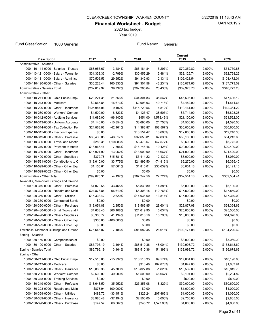2020 tax budget

Year 2019

Fund Classification: 1000 General **Fund Name:** General Fund Name: General

| <b>Description</b>                        | 2017         | ℅            | 2018         | %          | Current<br>2019 | %      | 2020         |
|-------------------------------------------|--------------|--------------|--------------|------------|-----------------|--------|--------------|
| Administrative - Salaries                 |              |              |              |            |                 |        |              |
| 1000-110-111-0000 - Salaries - Trustee    | \$63,956.67  | 3.484%       | \$66,184.84  | 6.297%     | \$70,352.82     | 2.000% | \$71,759.88  |
| 1000-110-121-0000 - Salary - Township     | \$31,333.33  | -2.799%      | \$30,456.29  | 5.481%     | \$32,125.74     | 2.000% | \$32,768.25  |
|                                           |              |              |              |            |                 |        | \$104,472.01 |
| 1000-110-131-0000 - Salary - Administra   | \$70,506.53  | 29.552%      | \$91,342.93  | 12.131%    | \$102,423.54    | 2.000% |              |
| 1000-110-190-0000 - Other - Salaries      | \$36,223.44  | 160.333%     | \$94,301.58  | 43.234%    | \$135,071.66    | 2.000% | \$137,773.09 |
| Administrative - Salaries Total           | \$202,019.97 | 39.732%      | \$282,285.64 | 20.436%    | \$339,973.76    | 2.000% | \$346,773.23 |
| Administrative - Other                    |              |              |              |            |                 |        |              |
| 1000-110-211-0000 - Ohio Public Emplo     | \$28,221.31  | 21.556%      | \$34,304.83  | 35.567%    | \$46,506.00     | 2.000% | \$47,436.12  |
| 1000-110-213-0000 - Medicare              | \$2,565.84   | 16.673%      | \$2,993.63   | 49.718%    | \$4,482.00      | 2.000% | \$4,571.64   |
| 1000-110-229-0000 - Other - Insurance     | \$105,987.06 | 9.192%       | \$115,729.56 | -4.812%    | \$110,161.00    | 2.000% | \$112,364.22 |
| 1000-110-230-0000 - Workers' Compen       | \$4,500.00   | $-8.323%$    | \$4,125.47   | 38.505%    | \$5,714.00      | 2.000% | \$5,828.28   |
| 1000-110-312-0000 - Auditing Services     | \$11,685.00  | $-96.140%$   | \$451.00     | 4,578.49%  | \$21,100.00     | 2.000% | \$21,522.00  |
| 1000-110-313-0000 - Uniform Accountir     | \$4,146.00   | -10.854%     | \$3,696.00   | 21.753%    | \$4,500.00      | 2.000% | \$4,590.00   |
| 1000-110-314-0000 - Tax Collection Fee    | \$24,868.96  | -42.161%     | \$14,383.87  | 108.567%   | \$30,000.00     | 2.000% | \$30,600.00  |
| 1000-110-315-0000 - Election Expenses     | \$0.00       |              | \$10,554.47  | 13.696%    | \$12,000.00     | 2.000% | \$12,240.00  |
| 1000-110-319-0000 - Other - Profession    | \$63,436.08  | -48.517%     | \$32,658.81  | 62.835%    | \$53,180.00     | 2.000% | \$54,243.60  |
| 1000-110-330-0000 - Travel and Meetin     | \$288.31     | 1,104.83%    | \$3,473.67   | 147.577%   | \$8,600.00      | 2.000% | \$8,772.00   |
| 1000-110-370-0000 - Payment to Anoth      | \$18,066.46  | $-7.306%$    | \$16,746.46  | 19.428%    | \$20,000.00     | 2.000% | \$20,400.00  |
| 1000-110-389-0000 - Other - Insurance     | \$15,921.90  | 13.052%      | \$18,000.00  | 16.667%    | \$21,000.00     | 2.000% | \$21,420.00  |
| 1000-110-490-0000 - Other - Supplies a    | \$372.78     | 815.881%     | \$3,414.22   | $-12.132%$ | \$3,000.00      | 2.000% | \$3,060.00   |
| 1000-110-591-0000 - Contributions to O    | \$18,610.00  | 33.775%      | \$24,895.50  | -74.815%   | \$6,270.00      | 2.000% | \$6,395.40   |
| 1000-110-599-0000 - Other - Other Exp     | \$1,155.61   | 57.061%      | \$1,815.01   | 230.639%   | \$6,001.13      | 2.000% | \$6,121.15   |
| 1000-110-599-0002 - Other - Other Exp     | \$0.00       |              | \$0.00       |            | \$0.00          |        | \$0.00       |
| Administrative - Other Total              | \$299,825.31 | -4.197%      | \$287,242.50 | 22.724%    | \$352,514.13    | 2.000% | \$359,564.41 |
| Townhalls, Memorial Buildings and Ground: |              |              |              |            |                 |        |              |
| 1000-120-319-0000 - Other - Profession    | \$4,070.55   | 43.465%      | \$5,839.80   | $-14.381%$ | \$5,000.00      | 2.000% | \$5,100.00   |
| 1000-120-323-0000 - Repairs and Maint     | \$24,873.85  | -66.619%     | \$8,303.15   | 110.763%   | \$17,500.00     | 2.000% | \$17,850.00  |
| 1000-120-359-0000 - Other - Utilities     | \$15,338.42  | $-2.620%$    | \$14,936.60  | 13.814%    | \$17,000.00     | 2.000% | \$17,340.00  |
| 1000-120-360-0000 - Contracted Servic     | \$0.00       |              | \$0.00       |            | \$0.00          |        | \$0.00       |
| 1000-120-390-0000 - Other - Purchase      | \$18,051.88  | 2.853%       | \$18,566.85  | 28.601%    | \$23,877.08     | 2.000% | \$24,354.62  |
| 1000-120-430-0000 - Small Tools and M     | \$4,638.40   | 366.108%     | \$21,619.95  | 15.634%    | \$25,000.00     | 2.000% | \$25,500.00  |
| 1000-120-490-0000 - Other - Supplies a    | \$8,368.72   | 41.194%      | \$11,816.10  | 16.790%    | \$13,800.00     | 2.000% | \$14,076.00  |
| 1000-120-599-0000 - Other - Other Expi    | \$305.00     | $-100.000\%$ | \$0.00       |            | \$0.00          |        | \$0.00       |
| 1000-120-599-0000 - Other - Other Expi    | \$0.00       |              | \$0.00       |            | \$0.00          |        | \$0.00       |
| Townhalls, Memorial Buildings and Ground  | \$75,646.82  | 7.186%       | \$81,082.45  | 26.016%    | \$102,177.08    | 2.000% | \$104,220.62 |
| Zoning - Salaries                         |              |              |              |            |                 |        |              |
| 1000-130-150-0000 - Compensation of I     | \$0.00       |              | \$0.00       |            | \$3,000.00      | 2.000% | \$3,060.00   |
| 1000-130-190-0000 - Other - Salaries      | \$85,796.19  | 3.164%       | \$88,510.36  | 48.004%    | \$130,998.72    | 2.000% | \$133,618.69 |
| Zoning - Salaries Total                   | \$85,796.19  | 3.164%       | \$88,510.36  | 51.393%    | \$133,998.72    | 2.000% | \$136,678.69 |
| Zoning - Other                            |              |              |              |            |                 |        |              |
| 1000-130-211-0000 - Ohio Public Emplo     | \$12,510.00  | -15.932%     | \$10,516.93  | 69.574%    | \$17,834.00     | 2.000% | \$18,190.68  |
| 1000-130-213-0000 - Medicare              | \$0.00       |              | \$910.40     | 102.878%   | \$1,847.00      | 2.000% | \$1,883.94   |
|                                           |              |              |              |            |                 |        |              |
| 1000-130-229-0000 - Other - Insurance     | \$10,863.36  | 45.700%      | \$15,827.88  | $-1.825%$  | \$15,539.00     | 2.000% | \$15,849.78  |
| 1000-130-230-0000 - Workers' Compen       | \$2,500.00   | -40.000%     | \$1,500.00   | 46.067%    | \$2,191.00      | 2.000% | \$2,234.82   |
| 1000-130-318-0000 - Training Services     | \$0.00       |              | \$0.00       |            | \$500.00        | 2.000% | \$510.00     |
| 1000-130-319-0000 - Other - Profession    | \$18,648.50  | 35.952%      | \$25,353.08  | 18.329%    | \$30,000.00     | 2.000% | \$30,600.00  |
| 1000-130-323-0000 - Repairs and Maint     | \$878.94     | -100.000%    | \$0.00       |            | \$1,000.00      | 2.000% | \$1,020.00   |
| 1000-130-359-0000 - Other - Utilities     | \$488.72     | -33.451%     | \$325.24     | 207.465%   | \$1,000.00      | 2.000% | \$1,020.00   |
| 1000-130-389-0000 - Other - Insurance     | \$3,980.48   | -37.194%     | \$2,500.00   | 10.000%    | \$2,750.00      | 2.000% | \$2,805.00   |
| 1000-130-390-0000 - Other - Purchase      | \$147.52     | 66.567%      | \$245.72     | 1,527.86%  | \$4,000.00      | 2.000% | \$4,080.00   |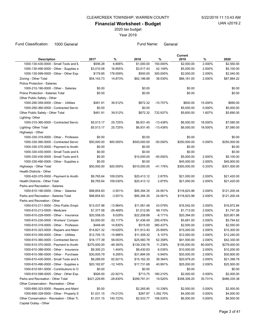2020 tax budget

Year 2019

Fund Classification: 1000 General **Fund Name:** General Fund Name: General

| 6.806%<br>1000-130-430-0000 - Small Tools and N<br>\$936.28<br>\$1,000.00<br>150.000%<br>\$2,500.00<br>2.000%<br>1000-130-490-0000 - Other - Supplies a<br>\$3,010.08<br>16.855%<br>\$3,517.43<br>42.149%<br>\$5,000.00<br>2.000%<br>1000-130-599-0000 - Other - Other Exp<br>\$179.85<br>178.009%<br>\$500.00<br>300.000%<br>\$2,000.00<br>2.000%<br>Zoning - Other Total<br>\$54,143.73<br>14.873%<br>\$62,196.68<br>38.530%<br>\$86,161.00<br>2.000%<br>1000-210-190-0000 - Other - Salaries<br>\$0.00<br>\$0.00<br>\$0.00<br><b>Police Protection - Salaries Total</b><br>\$0.00<br>\$0.00<br>\$0.00<br>Other Public Safety - Other<br>1000-290-359-0000 - Other - Utilities<br>\$481.91<br>15.000%<br>39.512%<br>\$672.32<br>$-10.757%$<br>\$600.00<br>0.000%<br>1000-290-360-0000 - Contracted Servic<br>\$0.00<br>\$0.00<br>\$5,000.00<br>\$672.32<br>Other Public Safety - Other Total<br>\$481.91<br>39.512%<br>732.937%<br>\$5,600.00<br>1.607%<br>1000-310-360-0000 - Contracted Servic<br>25.725%<br>$-13.438%$<br>\$6,000.00<br>18.000%<br>\$5,513.17<br>\$6,931.45<br>\$5,513.17<br>25.725%<br>\$6,931.45<br>$-13.438%$<br>\$6,000.00<br>18.000%<br>Highways - Other<br>1000-330-319-0000 - Other - Profession<br>\$0.00<br>\$0.00<br>\$0.00<br>\$50.000.00<br>\$500,000.00<br>\$250,000.00<br>1000-330-360-0000 - Contracted Servic<br>900.000%<br>-50.000%<br>0.000%<br>1000-330-370-0000 - Payment to Anoth<br>\$0.00<br>\$0.00<br>\$0.00<br>\$0.00<br>1000-330-430-0000 - Small Tools and M<br>\$0.00<br>\$0.00<br>\$0.00<br>\$0.00<br>1000-330-430-0000 - Small Tools and M<br>\$0.00<br>\$10,000.00<br>-50.000%<br>\$5,000.00<br>2.000%<br>\$5,100.00<br>2.000%<br>\$45,900.00<br>1000-330-490-0000 - Other - Supplies a<br>\$0.00<br>\$0.00<br>\$45,000.00<br>Highways - Other Total<br>\$50,000.00<br>920.000%<br>\$510,000.00<br>-41.176%<br>\$300,000.00<br>0.333%<br>Health Districts - Other<br>1000-420-370-0000 - Payment to Anoth<br>109.030%<br>\$20,413.12<br>2.875%<br>2.000%<br>\$21,420.00<br>\$9,765.64<br>\$21,000.00<br>2.000%<br>Health Districts - Other Total<br>\$9,765.64<br>109.030%<br>\$20,413.12<br>2.875%<br>\$21,000.00<br>\$21,420.00<br>Parks and Recreation - Salaries<br>1000-610-190-0000 - Other - Salaries<br>$-3.501%$<br>\$95,394.35<br>24.561%<br>2.000%<br>\$121,200.44<br>\$98,854.83<br>\$118,823.96<br>Parks and Recreation - Salaries Total<br>\$98,854.83<br>$-3.501%$<br>\$95,394.35<br>24.561%<br>\$118,823.96<br>2.000%<br>\$121,200.44<br>Parks and Recreation - Other<br>1000-610-211-0000 - Ohio Public Emplo<br>$-13.964%$<br>43.079%<br>2.000%<br>\$16,872.84<br>\$13,437.98<br>\$11,561.48<br>\$16,542.00<br>1000-610-213-0000 - Medicare<br>\$1,377.58<br>$-26.469%$<br>69.110%<br>\$1,713.00<br>2.000%<br>\$1,012.95<br>8.029%<br>1000-610-229-0000 - Other - Insurance<br>\$20,558.05<br>\$22,208.68<br>$-8.171%$<br>\$20,394.00<br>2.000%<br>2.000%<br>1000-610-230-0000 - Workers' Compen<br>\$3,000.00<br>$-52.117%$<br>\$1,436.49<br>295.478%<br>\$5,681.00<br>2.000%<br>1000-610-319-0000 - Other - Profession<br>\$448.49<br>14.830%<br>\$515.00<br>385.437%<br>\$2,500.00<br>1000-610-323-0000 - Repairs and Maint<br>\$14,821.32<br>-19.620%<br>\$11,913.40<br>25.909%<br>\$15,000.00<br>2.000%<br>\$15,300.00<br>1000-610-359-0000 - Other - Utilities<br>\$12,705.15<br>$-10.986%$<br>\$11,309.32<br>6.107%<br>\$12,000.00<br>2.000%<br>\$42,330.00<br>1000-610-360-0000 - Contracted Servic<br>\$16,177.39<br>58.003%<br>\$25,560.78<br>62.358%<br>\$41,500.00<br>2.000%<br>1000-610-370-0000 - Payment to Anoth<br>11.239%<br>80.000%<br>\$270,000.00<br>-48.393%<br>\$139,339.76<br>\$155,000.00<br>\$279,000.00<br>1000-610-389-0000 - Other - Insurance<br>\$9,300.23<br>1.404%<br>\$9,430.83<br>6.035%<br>\$10,000.00<br>2.000%<br>\$10,200.00<br>1000-610-390-0000 - Other - Purchase<br>\$30,005.79<br>6.295%<br>\$31,894.59<br>$-5.940%$<br>\$30,000.00<br>2.000%<br>\$30,600.00<br>2.000%<br>1000-610-430-0000 - Small Tools and M<br>\$8,289.00<br>82.921%<br>\$15,162.30<br>38.364%<br>\$20,979.20<br>\$21,398.78<br>1000-610-490-0000 - Other - Supplies a<br>\$17,731.68<br>\$25,000.00<br>2.000%<br>\$25,500.00<br>\$20,182.87<br>-12.145%<br>40.991%<br>1000-610-591-0000 - Contributions to O<br>\$0.00<br>\$0.00<br>\$0.00<br>\$0.00<br>\$2,000.00<br>1000-610-599-0000 - Other - Other Exp<br>\$926.00<br>$-22.921%$<br>\$713.75<br>180.210%<br>\$2,000.00<br>0.000%<br>Parks and Recreation - Other Total<br>\$421,229.85<br>-28.830%<br>\$299,791.01<br>19.520%<br>\$358,309.20<br>35.731%<br>\$486,335.38<br>Other Conservation - Recreation - Other<br>1000-690-323-0000 - Repairs and Maint<br>\$0.00<br>0.000%<br>\$2,500.00<br>\$2,265.80<br>10.336%<br>\$2,500.00<br>0.000%<br>1000-690-329-0000 - Other - Property S<br>\$1,031.15<br>$-74.013%$<br>\$267.97<br>1,392.70%<br>\$4,000.00<br>\$4,000.00<br>0.000%<br>Other Conservation - Recreation - Other To<br>\$1,031.15<br>145.723%<br>\$2,533.77<br>156.535%<br>\$6,500.00<br>\$6,500.00<br>Capital Outlay - Other | <b>Description</b>           | 2017 | % | 2018 | % | Current<br>2019 | % | 2020         |
|-------------------------------------------------------------------------------------------------------------------------------------------------------------------------------------------------------------------------------------------------------------------------------------------------------------------------------------------------------------------------------------------------------------------------------------------------------------------------------------------------------------------------------------------------------------------------------------------------------------------------------------------------------------------------------------------------------------------------------------------------------------------------------------------------------------------------------------------------------------------------------------------------------------------------------------------------------------------------------------------------------------------------------------------------------------------------------------------------------------------------------------------------------------------------------------------------------------------------------------------------------------------------------------------------------------------------------------------------------------------------------------------------------------------------------------------------------------------------------------------------------------------------------------------------------------------------------------------------------------------------------------------------------------------------------------------------------------------------------------------------------------------------------------------------------------------------------------------------------------------------------------------------------------------------------------------------------------------------------------------------------------------------------------------------------------------------------------------------------------------------------------------------------------------------------------------------------------------------------------------------------------------------------------------------------------------------------------------------------------------------------------------------------------------------------------------------------------------------------------------------------------------------------------------------------------------------------------------------------------------------------------------------------------------------------------------------------------------------------------------------------------------------------------------------------------------------------------------------------------------------------------------------------------------------------------------------------------------------------------------------------------------------------------------------------------------------------------------------------------------------------------------------------------------------------------------------------------------------------------------------------------------------------------------------------------------------------------------------------------------------------------------------------------------------------------------------------------------------------------------------------------------------------------------------------------------------------------------------------------------------------------------------------------------------------------------------------------------------------------------------------------------------------------------------------------------------------------------------------------------------------------------------------------------------------------------------------------------------------------------------------------------------------------------------------------------------------------------------------------------------------------------------------------------------------------------------------------------------------------------------------------------------------------------------------------------------------------------------------------------------------------------------------------------------------------------------------------------------------------------------------------------------------------------------------------------------------------------------------------------------------------------------------------------------------------------------------------------------------------------------------------------------------------------------------------------------------------------------------------------------------------------------------------------------------------------------------------------------------------------------------------------------------------------------------------------------------------------|------------------------------|------|---|------|---|-----------------|---|--------------|
|                                                                                                                                                                                                                                                                                                                                                                                                                                                                                                                                                                                                                                                                                                                                                                                                                                                                                                                                                                                                                                                                                                                                                                                                                                                                                                                                                                                                                                                                                                                                                                                                                                                                                                                                                                                                                                                                                                                                                                                                                                                                                                                                                                                                                                                                                                                                                                                                                                                                                                                                                                                                                                                                                                                                                                                                                                                                                                                                                                                                                                                                                                                                                                                                                                                                                                                                                                                                                                                                                                                                                                                                                                                                                                                                                                                                                                                                                                                                                                                                                                                                                                                                                                                                                                                                                                                                                                                                                                                                                                                                                                                                                                                                                                                                                                                                                                                                                                                                                                                                                                                                                           |                              |      |   |      |   |                 |   | \$2,550.00   |
|                                                                                                                                                                                                                                                                                                                                                                                                                                                                                                                                                                                                                                                                                                                                                                                                                                                                                                                                                                                                                                                                                                                                                                                                                                                                                                                                                                                                                                                                                                                                                                                                                                                                                                                                                                                                                                                                                                                                                                                                                                                                                                                                                                                                                                                                                                                                                                                                                                                                                                                                                                                                                                                                                                                                                                                                                                                                                                                                                                                                                                                                                                                                                                                                                                                                                                                                                                                                                                                                                                                                                                                                                                                                                                                                                                                                                                                                                                                                                                                                                                                                                                                                                                                                                                                                                                                                                                                                                                                                                                                                                                                                                                                                                                                                                                                                                                                                                                                                                                                                                                                                                           |                              |      |   |      |   |                 |   | \$5,100.00   |
|                                                                                                                                                                                                                                                                                                                                                                                                                                                                                                                                                                                                                                                                                                                                                                                                                                                                                                                                                                                                                                                                                                                                                                                                                                                                                                                                                                                                                                                                                                                                                                                                                                                                                                                                                                                                                                                                                                                                                                                                                                                                                                                                                                                                                                                                                                                                                                                                                                                                                                                                                                                                                                                                                                                                                                                                                                                                                                                                                                                                                                                                                                                                                                                                                                                                                                                                                                                                                                                                                                                                                                                                                                                                                                                                                                                                                                                                                                                                                                                                                                                                                                                                                                                                                                                                                                                                                                                                                                                                                                                                                                                                                                                                                                                                                                                                                                                                                                                                                                                                                                                                                           |                              |      |   |      |   |                 |   | \$2,040.00   |
|                                                                                                                                                                                                                                                                                                                                                                                                                                                                                                                                                                                                                                                                                                                                                                                                                                                                                                                                                                                                                                                                                                                                                                                                                                                                                                                                                                                                                                                                                                                                                                                                                                                                                                                                                                                                                                                                                                                                                                                                                                                                                                                                                                                                                                                                                                                                                                                                                                                                                                                                                                                                                                                                                                                                                                                                                                                                                                                                                                                                                                                                                                                                                                                                                                                                                                                                                                                                                                                                                                                                                                                                                                                                                                                                                                                                                                                                                                                                                                                                                                                                                                                                                                                                                                                                                                                                                                                                                                                                                                                                                                                                                                                                                                                                                                                                                                                                                                                                                                                                                                                                                           |                              |      |   |      |   |                 |   | \$87,884.22  |
|                                                                                                                                                                                                                                                                                                                                                                                                                                                                                                                                                                                                                                                                                                                                                                                                                                                                                                                                                                                                                                                                                                                                                                                                                                                                                                                                                                                                                                                                                                                                                                                                                                                                                                                                                                                                                                                                                                                                                                                                                                                                                                                                                                                                                                                                                                                                                                                                                                                                                                                                                                                                                                                                                                                                                                                                                                                                                                                                                                                                                                                                                                                                                                                                                                                                                                                                                                                                                                                                                                                                                                                                                                                                                                                                                                                                                                                                                                                                                                                                                                                                                                                                                                                                                                                                                                                                                                                                                                                                                                                                                                                                                                                                                                                                                                                                                                                                                                                                                                                                                                                                                           | Police Protection - Salaries |      |   |      |   |                 |   |              |
|                                                                                                                                                                                                                                                                                                                                                                                                                                                                                                                                                                                                                                                                                                                                                                                                                                                                                                                                                                                                                                                                                                                                                                                                                                                                                                                                                                                                                                                                                                                                                                                                                                                                                                                                                                                                                                                                                                                                                                                                                                                                                                                                                                                                                                                                                                                                                                                                                                                                                                                                                                                                                                                                                                                                                                                                                                                                                                                                                                                                                                                                                                                                                                                                                                                                                                                                                                                                                                                                                                                                                                                                                                                                                                                                                                                                                                                                                                                                                                                                                                                                                                                                                                                                                                                                                                                                                                                                                                                                                                                                                                                                                                                                                                                                                                                                                                                                                                                                                                                                                                                                                           |                              |      |   |      |   |                 |   | \$0.00       |
|                                                                                                                                                                                                                                                                                                                                                                                                                                                                                                                                                                                                                                                                                                                                                                                                                                                                                                                                                                                                                                                                                                                                                                                                                                                                                                                                                                                                                                                                                                                                                                                                                                                                                                                                                                                                                                                                                                                                                                                                                                                                                                                                                                                                                                                                                                                                                                                                                                                                                                                                                                                                                                                                                                                                                                                                                                                                                                                                                                                                                                                                                                                                                                                                                                                                                                                                                                                                                                                                                                                                                                                                                                                                                                                                                                                                                                                                                                                                                                                                                                                                                                                                                                                                                                                                                                                                                                                                                                                                                                                                                                                                                                                                                                                                                                                                                                                                                                                                                                                                                                                                                           |                              |      |   |      |   |                 |   | \$0.00       |
|                                                                                                                                                                                                                                                                                                                                                                                                                                                                                                                                                                                                                                                                                                                                                                                                                                                                                                                                                                                                                                                                                                                                                                                                                                                                                                                                                                                                                                                                                                                                                                                                                                                                                                                                                                                                                                                                                                                                                                                                                                                                                                                                                                                                                                                                                                                                                                                                                                                                                                                                                                                                                                                                                                                                                                                                                                                                                                                                                                                                                                                                                                                                                                                                                                                                                                                                                                                                                                                                                                                                                                                                                                                                                                                                                                                                                                                                                                                                                                                                                                                                                                                                                                                                                                                                                                                                                                                                                                                                                                                                                                                                                                                                                                                                                                                                                                                                                                                                                                                                                                                                                           |                              |      |   |      |   |                 |   |              |
|                                                                                                                                                                                                                                                                                                                                                                                                                                                                                                                                                                                                                                                                                                                                                                                                                                                                                                                                                                                                                                                                                                                                                                                                                                                                                                                                                                                                                                                                                                                                                                                                                                                                                                                                                                                                                                                                                                                                                                                                                                                                                                                                                                                                                                                                                                                                                                                                                                                                                                                                                                                                                                                                                                                                                                                                                                                                                                                                                                                                                                                                                                                                                                                                                                                                                                                                                                                                                                                                                                                                                                                                                                                                                                                                                                                                                                                                                                                                                                                                                                                                                                                                                                                                                                                                                                                                                                                                                                                                                                                                                                                                                                                                                                                                                                                                                                                                                                                                                                                                                                                                                           |                              |      |   |      |   |                 |   | \$690.00     |
|                                                                                                                                                                                                                                                                                                                                                                                                                                                                                                                                                                                                                                                                                                                                                                                                                                                                                                                                                                                                                                                                                                                                                                                                                                                                                                                                                                                                                                                                                                                                                                                                                                                                                                                                                                                                                                                                                                                                                                                                                                                                                                                                                                                                                                                                                                                                                                                                                                                                                                                                                                                                                                                                                                                                                                                                                                                                                                                                                                                                                                                                                                                                                                                                                                                                                                                                                                                                                                                                                                                                                                                                                                                                                                                                                                                                                                                                                                                                                                                                                                                                                                                                                                                                                                                                                                                                                                                                                                                                                                                                                                                                                                                                                                                                                                                                                                                                                                                                                                                                                                                                                           |                              |      |   |      |   |                 |   | \$5,000.00   |
|                                                                                                                                                                                                                                                                                                                                                                                                                                                                                                                                                                                                                                                                                                                                                                                                                                                                                                                                                                                                                                                                                                                                                                                                                                                                                                                                                                                                                                                                                                                                                                                                                                                                                                                                                                                                                                                                                                                                                                                                                                                                                                                                                                                                                                                                                                                                                                                                                                                                                                                                                                                                                                                                                                                                                                                                                                                                                                                                                                                                                                                                                                                                                                                                                                                                                                                                                                                                                                                                                                                                                                                                                                                                                                                                                                                                                                                                                                                                                                                                                                                                                                                                                                                                                                                                                                                                                                                                                                                                                                                                                                                                                                                                                                                                                                                                                                                                                                                                                                                                                                                                                           |                              |      |   |      |   |                 |   | \$5,690.00   |
|                                                                                                                                                                                                                                                                                                                                                                                                                                                                                                                                                                                                                                                                                                                                                                                                                                                                                                                                                                                                                                                                                                                                                                                                                                                                                                                                                                                                                                                                                                                                                                                                                                                                                                                                                                                                                                                                                                                                                                                                                                                                                                                                                                                                                                                                                                                                                                                                                                                                                                                                                                                                                                                                                                                                                                                                                                                                                                                                                                                                                                                                                                                                                                                                                                                                                                                                                                                                                                                                                                                                                                                                                                                                                                                                                                                                                                                                                                                                                                                                                                                                                                                                                                                                                                                                                                                                                                                                                                                                                                                                                                                                                                                                                                                                                                                                                                                                                                                                                                                                                                                                                           | Lighting-Other               |      |   |      |   |                 |   |              |
|                                                                                                                                                                                                                                                                                                                                                                                                                                                                                                                                                                                                                                                                                                                                                                                                                                                                                                                                                                                                                                                                                                                                                                                                                                                                                                                                                                                                                                                                                                                                                                                                                                                                                                                                                                                                                                                                                                                                                                                                                                                                                                                                                                                                                                                                                                                                                                                                                                                                                                                                                                                                                                                                                                                                                                                                                                                                                                                                                                                                                                                                                                                                                                                                                                                                                                                                                                                                                                                                                                                                                                                                                                                                                                                                                                                                                                                                                                                                                                                                                                                                                                                                                                                                                                                                                                                                                                                                                                                                                                                                                                                                                                                                                                                                                                                                                                                                                                                                                                                                                                                                                           |                              |      |   |      |   |                 |   | \$7,080.00   |
|                                                                                                                                                                                                                                                                                                                                                                                                                                                                                                                                                                                                                                                                                                                                                                                                                                                                                                                                                                                                                                                                                                                                                                                                                                                                                                                                                                                                                                                                                                                                                                                                                                                                                                                                                                                                                                                                                                                                                                                                                                                                                                                                                                                                                                                                                                                                                                                                                                                                                                                                                                                                                                                                                                                                                                                                                                                                                                                                                                                                                                                                                                                                                                                                                                                                                                                                                                                                                                                                                                                                                                                                                                                                                                                                                                                                                                                                                                                                                                                                                                                                                                                                                                                                                                                                                                                                                                                                                                                                                                                                                                                                                                                                                                                                                                                                                                                                                                                                                                                                                                                                                           | Lighting- Other Total        |      |   |      |   |                 |   | \$7,080.00   |
|                                                                                                                                                                                                                                                                                                                                                                                                                                                                                                                                                                                                                                                                                                                                                                                                                                                                                                                                                                                                                                                                                                                                                                                                                                                                                                                                                                                                                                                                                                                                                                                                                                                                                                                                                                                                                                                                                                                                                                                                                                                                                                                                                                                                                                                                                                                                                                                                                                                                                                                                                                                                                                                                                                                                                                                                                                                                                                                                                                                                                                                                                                                                                                                                                                                                                                                                                                                                                                                                                                                                                                                                                                                                                                                                                                                                                                                                                                                                                                                                                                                                                                                                                                                                                                                                                                                                                                                                                                                                                                                                                                                                                                                                                                                                                                                                                                                                                                                                                                                                                                                                                           |                              |      |   |      |   |                 |   |              |
|                                                                                                                                                                                                                                                                                                                                                                                                                                                                                                                                                                                                                                                                                                                                                                                                                                                                                                                                                                                                                                                                                                                                                                                                                                                                                                                                                                                                                                                                                                                                                                                                                                                                                                                                                                                                                                                                                                                                                                                                                                                                                                                                                                                                                                                                                                                                                                                                                                                                                                                                                                                                                                                                                                                                                                                                                                                                                                                                                                                                                                                                                                                                                                                                                                                                                                                                                                                                                                                                                                                                                                                                                                                                                                                                                                                                                                                                                                                                                                                                                                                                                                                                                                                                                                                                                                                                                                                                                                                                                                                                                                                                                                                                                                                                                                                                                                                                                                                                                                                                                                                                                           |                              |      |   |      |   |                 |   | \$0.00       |
|                                                                                                                                                                                                                                                                                                                                                                                                                                                                                                                                                                                                                                                                                                                                                                                                                                                                                                                                                                                                                                                                                                                                                                                                                                                                                                                                                                                                                                                                                                                                                                                                                                                                                                                                                                                                                                                                                                                                                                                                                                                                                                                                                                                                                                                                                                                                                                                                                                                                                                                                                                                                                                                                                                                                                                                                                                                                                                                                                                                                                                                                                                                                                                                                                                                                                                                                                                                                                                                                                                                                                                                                                                                                                                                                                                                                                                                                                                                                                                                                                                                                                                                                                                                                                                                                                                                                                                                                                                                                                                                                                                                                                                                                                                                                                                                                                                                                                                                                                                                                                                                                                           |                              |      |   |      |   |                 |   | \$250,000.00 |
|                                                                                                                                                                                                                                                                                                                                                                                                                                                                                                                                                                                                                                                                                                                                                                                                                                                                                                                                                                                                                                                                                                                                                                                                                                                                                                                                                                                                                                                                                                                                                                                                                                                                                                                                                                                                                                                                                                                                                                                                                                                                                                                                                                                                                                                                                                                                                                                                                                                                                                                                                                                                                                                                                                                                                                                                                                                                                                                                                                                                                                                                                                                                                                                                                                                                                                                                                                                                                                                                                                                                                                                                                                                                                                                                                                                                                                                                                                                                                                                                                                                                                                                                                                                                                                                                                                                                                                                                                                                                                                                                                                                                                                                                                                                                                                                                                                                                                                                                                                                                                                                                                           |                              |      |   |      |   |                 |   |              |
|                                                                                                                                                                                                                                                                                                                                                                                                                                                                                                                                                                                                                                                                                                                                                                                                                                                                                                                                                                                                                                                                                                                                                                                                                                                                                                                                                                                                                                                                                                                                                                                                                                                                                                                                                                                                                                                                                                                                                                                                                                                                                                                                                                                                                                                                                                                                                                                                                                                                                                                                                                                                                                                                                                                                                                                                                                                                                                                                                                                                                                                                                                                                                                                                                                                                                                                                                                                                                                                                                                                                                                                                                                                                                                                                                                                                                                                                                                                                                                                                                                                                                                                                                                                                                                                                                                                                                                                                                                                                                                                                                                                                                                                                                                                                                                                                                                                                                                                                                                                                                                                                                           |                              |      |   |      |   |                 |   |              |
|                                                                                                                                                                                                                                                                                                                                                                                                                                                                                                                                                                                                                                                                                                                                                                                                                                                                                                                                                                                                                                                                                                                                                                                                                                                                                                                                                                                                                                                                                                                                                                                                                                                                                                                                                                                                                                                                                                                                                                                                                                                                                                                                                                                                                                                                                                                                                                                                                                                                                                                                                                                                                                                                                                                                                                                                                                                                                                                                                                                                                                                                                                                                                                                                                                                                                                                                                                                                                                                                                                                                                                                                                                                                                                                                                                                                                                                                                                                                                                                                                                                                                                                                                                                                                                                                                                                                                                                                                                                                                                                                                                                                                                                                                                                                                                                                                                                                                                                                                                                                                                                                                           |                              |      |   |      |   |                 |   |              |
|                                                                                                                                                                                                                                                                                                                                                                                                                                                                                                                                                                                                                                                                                                                                                                                                                                                                                                                                                                                                                                                                                                                                                                                                                                                                                                                                                                                                                                                                                                                                                                                                                                                                                                                                                                                                                                                                                                                                                                                                                                                                                                                                                                                                                                                                                                                                                                                                                                                                                                                                                                                                                                                                                                                                                                                                                                                                                                                                                                                                                                                                                                                                                                                                                                                                                                                                                                                                                                                                                                                                                                                                                                                                                                                                                                                                                                                                                                                                                                                                                                                                                                                                                                                                                                                                                                                                                                                                                                                                                                                                                                                                                                                                                                                                                                                                                                                                                                                                                                                                                                                                                           |                              |      |   |      |   |                 |   |              |
|                                                                                                                                                                                                                                                                                                                                                                                                                                                                                                                                                                                                                                                                                                                                                                                                                                                                                                                                                                                                                                                                                                                                                                                                                                                                                                                                                                                                                                                                                                                                                                                                                                                                                                                                                                                                                                                                                                                                                                                                                                                                                                                                                                                                                                                                                                                                                                                                                                                                                                                                                                                                                                                                                                                                                                                                                                                                                                                                                                                                                                                                                                                                                                                                                                                                                                                                                                                                                                                                                                                                                                                                                                                                                                                                                                                                                                                                                                                                                                                                                                                                                                                                                                                                                                                                                                                                                                                                                                                                                                                                                                                                                                                                                                                                                                                                                                                                                                                                                                                                                                                                                           |                              |      |   |      |   |                 |   | \$301,000.00 |
|                                                                                                                                                                                                                                                                                                                                                                                                                                                                                                                                                                                                                                                                                                                                                                                                                                                                                                                                                                                                                                                                                                                                                                                                                                                                                                                                                                                                                                                                                                                                                                                                                                                                                                                                                                                                                                                                                                                                                                                                                                                                                                                                                                                                                                                                                                                                                                                                                                                                                                                                                                                                                                                                                                                                                                                                                                                                                                                                                                                                                                                                                                                                                                                                                                                                                                                                                                                                                                                                                                                                                                                                                                                                                                                                                                                                                                                                                                                                                                                                                                                                                                                                                                                                                                                                                                                                                                                                                                                                                                                                                                                                                                                                                                                                                                                                                                                                                                                                                                                                                                                                                           |                              |      |   |      |   |                 |   |              |
|                                                                                                                                                                                                                                                                                                                                                                                                                                                                                                                                                                                                                                                                                                                                                                                                                                                                                                                                                                                                                                                                                                                                                                                                                                                                                                                                                                                                                                                                                                                                                                                                                                                                                                                                                                                                                                                                                                                                                                                                                                                                                                                                                                                                                                                                                                                                                                                                                                                                                                                                                                                                                                                                                                                                                                                                                                                                                                                                                                                                                                                                                                                                                                                                                                                                                                                                                                                                                                                                                                                                                                                                                                                                                                                                                                                                                                                                                                                                                                                                                                                                                                                                                                                                                                                                                                                                                                                                                                                                                                                                                                                                                                                                                                                                                                                                                                                                                                                                                                                                                                                                                           |                              |      |   |      |   |                 |   |              |
|                                                                                                                                                                                                                                                                                                                                                                                                                                                                                                                                                                                                                                                                                                                                                                                                                                                                                                                                                                                                                                                                                                                                                                                                                                                                                                                                                                                                                                                                                                                                                                                                                                                                                                                                                                                                                                                                                                                                                                                                                                                                                                                                                                                                                                                                                                                                                                                                                                                                                                                                                                                                                                                                                                                                                                                                                                                                                                                                                                                                                                                                                                                                                                                                                                                                                                                                                                                                                                                                                                                                                                                                                                                                                                                                                                                                                                                                                                                                                                                                                                                                                                                                                                                                                                                                                                                                                                                                                                                                                                                                                                                                                                                                                                                                                                                                                                                                                                                                                                                                                                                                                           |                              |      |   |      |   |                 |   |              |
|                                                                                                                                                                                                                                                                                                                                                                                                                                                                                                                                                                                                                                                                                                                                                                                                                                                                                                                                                                                                                                                                                                                                                                                                                                                                                                                                                                                                                                                                                                                                                                                                                                                                                                                                                                                                                                                                                                                                                                                                                                                                                                                                                                                                                                                                                                                                                                                                                                                                                                                                                                                                                                                                                                                                                                                                                                                                                                                                                                                                                                                                                                                                                                                                                                                                                                                                                                                                                                                                                                                                                                                                                                                                                                                                                                                                                                                                                                                                                                                                                                                                                                                                                                                                                                                                                                                                                                                                                                                                                                                                                                                                                                                                                                                                                                                                                                                                                                                                                                                                                                                                                           |                              |      |   |      |   |                 |   |              |
|                                                                                                                                                                                                                                                                                                                                                                                                                                                                                                                                                                                                                                                                                                                                                                                                                                                                                                                                                                                                                                                                                                                                                                                                                                                                                                                                                                                                                                                                                                                                                                                                                                                                                                                                                                                                                                                                                                                                                                                                                                                                                                                                                                                                                                                                                                                                                                                                                                                                                                                                                                                                                                                                                                                                                                                                                                                                                                                                                                                                                                                                                                                                                                                                                                                                                                                                                                                                                                                                                                                                                                                                                                                                                                                                                                                                                                                                                                                                                                                                                                                                                                                                                                                                                                                                                                                                                                                                                                                                                                                                                                                                                                                                                                                                                                                                                                                                                                                                                                                                                                                                                           |                              |      |   |      |   |                 |   |              |
|                                                                                                                                                                                                                                                                                                                                                                                                                                                                                                                                                                                                                                                                                                                                                                                                                                                                                                                                                                                                                                                                                                                                                                                                                                                                                                                                                                                                                                                                                                                                                                                                                                                                                                                                                                                                                                                                                                                                                                                                                                                                                                                                                                                                                                                                                                                                                                                                                                                                                                                                                                                                                                                                                                                                                                                                                                                                                                                                                                                                                                                                                                                                                                                                                                                                                                                                                                                                                                                                                                                                                                                                                                                                                                                                                                                                                                                                                                                                                                                                                                                                                                                                                                                                                                                                                                                                                                                                                                                                                                                                                                                                                                                                                                                                                                                                                                                                                                                                                                                                                                                                                           |                              |      |   |      |   |                 |   |              |
|                                                                                                                                                                                                                                                                                                                                                                                                                                                                                                                                                                                                                                                                                                                                                                                                                                                                                                                                                                                                                                                                                                                                                                                                                                                                                                                                                                                                                                                                                                                                                                                                                                                                                                                                                                                                                                                                                                                                                                                                                                                                                                                                                                                                                                                                                                                                                                                                                                                                                                                                                                                                                                                                                                                                                                                                                                                                                                                                                                                                                                                                                                                                                                                                                                                                                                                                                                                                                                                                                                                                                                                                                                                                                                                                                                                                                                                                                                                                                                                                                                                                                                                                                                                                                                                                                                                                                                                                                                                                                                                                                                                                                                                                                                                                                                                                                                                                                                                                                                                                                                                                                           |                              |      |   |      |   |                 |   |              |
|                                                                                                                                                                                                                                                                                                                                                                                                                                                                                                                                                                                                                                                                                                                                                                                                                                                                                                                                                                                                                                                                                                                                                                                                                                                                                                                                                                                                                                                                                                                                                                                                                                                                                                                                                                                                                                                                                                                                                                                                                                                                                                                                                                                                                                                                                                                                                                                                                                                                                                                                                                                                                                                                                                                                                                                                                                                                                                                                                                                                                                                                                                                                                                                                                                                                                                                                                                                                                                                                                                                                                                                                                                                                                                                                                                                                                                                                                                                                                                                                                                                                                                                                                                                                                                                                                                                                                                                                                                                                                                                                                                                                                                                                                                                                                                                                                                                                                                                                                                                                                                                                                           |                              |      |   |      |   |                 |   |              |
|                                                                                                                                                                                                                                                                                                                                                                                                                                                                                                                                                                                                                                                                                                                                                                                                                                                                                                                                                                                                                                                                                                                                                                                                                                                                                                                                                                                                                                                                                                                                                                                                                                                                                                                                                                                                                                                                                                                                                                                                                                                                                                                                                                                                                                                                                                                                                                                                                                                                                                                                                                                                                                                                                                                                                                                                                                                                                                                                                                                                                                                                                                                                                                                                                                                                                                                                                                                                                                                                                                                                                                                                                                                                                                                                                                                                                                                                                                                                                                                                                                                                                                                                                                                                                                                                                                                                                                                                                                                                                                                                                                                                                                                                                                                                                                                                                                                                                                                                                                                                                                                                                           |                              |      |   |      |   |                 |   | \$1,747.26   |
|                                                                                                                                                                                                                                                                                                                                                                                                                                                                                                                                                                                                                                                                                                                                                                                                                                                                                                                                                                                                                                                                                                                                                                                                                                                                                                                                                                                                                                                                                                                                                                                                                                                                                                                                                                                                                                                                                                                                                                                                                                                                                                                                                                                                                                                                                                                                                                                                                                                                                                                                                                                                                                                                                                                                                                                                                                                                                                                                                                                                                                                                                                                                                                                                                                                                                                                                                                                                                                                                                                                                                                                                                                                                                                                                                                                                                                                                                                                                                                                                                                                                                                                                                                                                                                                                                                                                                                                                                                                                                                                                                                                                                                                                                                                                                                                                                                                                                                                                                                                                                                                                                           |                              |      |   |      |   |                 |   | \$20,801.88  |
|                                                                                                                                                                                                                                                                                                                                                                                                                                                                                                                                                                                                                                                                                                                                                                                                                                                                                                                                                                                                                                                                                                                                                                                                                                                                                                                                                                                                                                                                                                                                                                                                                                                                                                                                                                                                                                                                                                                                                                                                                                                                                                                                                                                                                                                                                                                                                                                                                                                                                                                                                                                                                                                                                                                                                                                                                                                                                                                                                                                                                                                                                                                                                                                                                                                                                                                                                                                                                                                                                                                                                                                                                                                                                                                                                                                                                                                                                                                                                                                                                                                                                                                                                                                                                                                                                                                                                                                                                                                                                                                                                                                                                                                                                                                                                                                                                                                                                                                                                                                                                                                                                           |                              |      |   |      |   |                 |   | \$5,794.62   |
|                                                                                                                                                                                                                                                                                                                                                                                                                                                                                                                                                                                                                                                                                                                                                                                                                                                                                                                                                                                                                                                                                                                                                                                                                                                                                                                                                                                                                                                                                                                                                                                                                                                                                                                                                                                                                                                                                                                                                                                                                                                                                                                                                                                                                                                                                                                                                                                                                                                                                                                                                                                                                                                                                                                                                                                                                                                                                                                                                                                                                                                                                                                                                                                                                                                                                                                                                                                                                                                                                                                                                                                                                                                                                                                                                                                                                                                                                                                                                                                                                                                                                                                                                                                                                                                                                                                                                                                                                                                                                                                                                                                                                                                                                                                                                                                                                                                                                                                                                                                                                                                                                           |                              |      |   |      |   |                 |   | \$2,550.00   |
|                                                                                                                                                                                                                                                                                                                                                                                                                                                                                                                                                                                                                                                                                                                                                                                                                                                                                                                                                                                                                                                                                                                                                                                                                                                                                                                                                                                                                                                                                                                                                                                                                                                                                                                                                                                                                                                                                                                                                                                                                                                                                                                                                                                                                                                                                                                                                                                                                                                                                                                                                                                                                                                                                                                                                                                                                                                                                                                                                                                                                                                                                                                                                                                                                                                                                                                                                                                                                                                                                                                                                                                                                                                                                                                                                                                                                                                                                                                                                                                                                                                                                                                                                                                                                                                                                                                                                                                                                                                                                                                                                                                                                                                                                                                                                                                                                                                                                                                                                                                                                                                                                           |                              |      |   |      |   |                 |   |              |
|                                                                                                                                                                                                                                                                                                                                                                                                                                                                                                                                                                                                                                                                                                                                                                                                                                                                                                                                                                                                                                                                                                                                                                                                                                                                                                                                                                                                                                                                                                                                                                                                                                                                                                                                                                                                                                                                                                                                                                                                                                                                                                                                                                                                                                                                                                                                                                                                                                                                                                                                                                                                                                                                                                                                                                                                                                                                                                                                                                                                                                                                                                                                                                                                                                                                                                                                                                                                                                                                                                                                                                                                                                                                                                                                                                                                                                                                                                                                                                                                                                                                                                                                                                                                                                                                                                                                                                                                                                                                                                                                                                                                                                                                                                                                                                                                                                                                                                                                                                                                                                                                                           |                              |      |   |      |   |                 |   | \$12,240.00  |
|                                                                                                                                                                                                                                                                                                                                                                                                                                                                                                                                                                                                                                                                                                                                                                                                                                                                                                                                                                                                                                                                                                                                                                                                                                                                                                                                                                                                                                                                                                                                                                                                                                                                                                                                                                                                                                                                                                                                                                                                                                                                                                                                                                                                                                                                                                                                                                                                                                                                                                                                                                                                                                                                                                                                                                                                                                                                                                                                                                                                                                                                                                                                                                                                                                                                                                                                                                                                                                                                                                                                                                                                                                                                                                                                                                                                                                                                                                                                                                                                                                                                                                                                                                                                                                                                                                                                                                                                                                                                                                                                                                                                                                                                                                                                                                                                                                                                                                                                                                                                                                                                                           |                              |      |   |      |   |                 |   |              |
|                                                                                                                                                                                                                                                                                                                                                                                                                                                                                                                                                                                                                                                                                                                                                                                                                                                                                                                                                                                                                                                                                                                                                                                                                                                                                                                                                                                                                                                                                                                                                                                                                                                                                                                                                                                                                                                                                                                                                                                                                                                                                                                                                                                                                                                                                                                                                                                                                                                                                                                                                                                                                                                                                                                                                                                                                                                                                                                                                                                                                                                                                                                                                                                                                                                                                                                                                                                                                                                                                                                                                                                                                                                                                                                                                                                                                                                                                                                                                                                                                                                                                                                                                                                                                                                                                                                                                                                                                                                                                                                                                                                                                                                                                                                                                                                                                                                                                                                                                                                                                                                                                           |                              |      |   |      |   |                 |   |              |
|                                                                                                                                                                                                                                                                                                                                                                                                                                                                                                                                                                                                                                                                                                                                                                                                                                                                                                                                                                                                                                                                                                                                                                                                                                                                                                                                                                                                                                                                                                                                                                                                                                                                                                                                                                                                                                                                                                                                                                                                                                                                                                                                                                                                                                                                                                                                                                                                                                                                                                                                                                                                                                                                                                                                                                                                                                                                                                                                                                                                                                                                                                                                                                                                                                                                                                                                                                                                                                                                                                                                                                                                                                                                                                                                                                                                                                                                                                                                                                                                                                                                                                                                                                                                                                                                                                                                                                                                                                                                                                                                                                                                                                                                                                                                                                                                                                                                                                                                                                                                                                                                                           |                              |      |   |      |   |                 |   |              |
|                                                                                                                                                                                                                                                                                                                                                                                                                                                                                                                                                                                                                                                                                                                                                                                                                                                                                                                                                                                                                                                                                                                                                                                                                                                                                                                                                                                                                                                                                                                                                                                                                                                                                                                                                                                                                                                                                                                                                                                                                                                                                                                                                                                                                                                                                                                                                                                                                                                                                                                                                                                                                                                                                                                                                                                                                                                                                                                                                                                                                                                                                                                                                                                                                                                                                                                                                                                                                                                                                                                                                                                                                                                                                                                                                                                                                                                                                                                                                                                                                                                                                                                                                                                                                                                                                                                                                                                                                                                                                                                                                                                                                                                                                                                                                                                                                                                                                                                                                                                                                                                                                           |                              |      |   |      |   |                 |   |              |
|                                                                                                                                                                                                                                                                                                                                                                                                                                                                                                                                                                                                                                                                                                                                                                                                                                                                                                                                                                                                                                                                                                                                                                                                                                                                                                                                                                                                                                                                                                                                                                                                                                                                                                                                                                                                                                                                                                                                                                                                                                                                                                                                                                                                                                                                                                                                                                                                                                                                                                                                                                                                                                                                                                                                                                                                                                                                                                                                                                                                                                                                                                                                                                                                                                                                                                                                                                                                                                                                                                                                                                                                                                                                                                                                                                                                                                                                                                                                                                                                                                                                                                                                                                                                                                                                                                                                                                                                                                                                                                                                                                                                                                                                                                                                                                                                                                                                                                                                                                                                                                                                                           |                              |      |   |      |   |                 |   |              |
|                                                                                                                                                                                                                                                                                                                                                                                                                                                                                                                                                                                                                                                                                                                                                                                                                                                                                                                                                                                                                                                                                                                                                                                                                                                                                                                                                                                                                                                                                                                                                                                                                                                                                                                                                                                                                                                                                                                                                                                                                                                                                                                                                                                                                                                                                                                                                                                                                                                                                                                                                                                                                                                                                                                                                                                                                                                                                                                                                                                                                                                                                                                                                                                                                                                                                                                                                                                                                                                                                                                                                                                                                                                                                                                                                                                                                                                                                                                                                                                                                                                                                                                                                                                                                                                                                                                                                                                                                                                                                                                                                                                                                                                                                                                                                                                                                                                                                                                                                                                                                                                                                           |                              |      |   |      |   |                 |   |              |
|                                                                                                                                                                                                                                                                                                                                                                                                                                                                                                                                                                                                                                                                                                                                                                                                                                                                                                                                                                                                                                                                                                                                                                                                                                                                                                                                                                                                                                                                                                                                                                                                                                                                                                                                                                                                                                                                                                                                                                                                                                                                                                                                                                                                                                                                                                                                                                                                                                                                                                                                                                                                                                                                                                                                                                                                                                                                                                                                                                                                                                                                                                                                                                                                                                                                                                                                                                                                                                                                                                                                                                                                                                                                                                                                                                                                                                                                                                                                                                                                                                                                                                                                                                                                                                                                                                                                                                                                                                                                                                                                                                                                                                                                                                                                                                                                                                                                                                                                                                                                                                                                                           |                              |      |   |      |   |                 |   |              |
|                                                                                                                                                                                                                                                                                                                                                                                                                                                                                                                                                                                                                                                                                                                                                                                                                                                                                                                                                                                                                                                                                                                                                                                                                                                                                                                                                                                                                                                                                                                                                                                                                                                                                                                                                                                                                                                                                                                                                                                                                                                                                                                                                                                                                                                                                                                                                                                                                                                                                                                                                                                                                                                                                                                                                                                                                                                                                                                                                                                                                                                                                                                                                                                                                                                                                                                                                                                                                                                                                                                                                                                                                                                                                                                                                                                                                                                                                                                                                                                                                                                                                                                                                                                                                                                                                                                                                                                                                                                                                                                                                                                                                                                                                                                                                                                                                                                                                                                                                                                                                                                                                           |                              |      |   |      |   |                 |   |              |
|                                                                                                                                                                                                                                                                                                                                                                                                                                                                                                                                                                                                                                                                                                                                                                                                                                                                                                                                                                                                                                                                                                                                                                                                                                                                                                                                                                                                                                                                                                                                                                                                                                                                                                                                                                                                                                                                                                                                                                                                                                                                                                                                                                                                                                                                                                                                                                                                                                                                                                                                                                                                                                                                                                                                                                                                                                                                                                                                                                                                                                                                                                                                                                                                                                                                                                                                                                                                                                                                                                                                                                                                                                                                                                                                                                                                                                                                                                                                                                                                                                                                                                                                                                                                                                                                                                                                                                                                                                                                                                                                                                                                                                                                                                                                                                                                                                                                                                                                                                                                                                                                                           |                              |      |   |      |   |                 |   |              |
|                                                                                                                                                                                                                                                                                                                                                                                                                                                                                                                                                                                                                                                                                                                                                                                                                                                                                                                                                                                                                                                                                                                                                                                                                                                                                                                                                                                                                                                                                                                                                                                                                                                                                                                                                                                                                                                                                                                                                                                                                                                                                                                                                                                                                                                                                                                                                                                                                                                                                                                                                                                                                                                                                                                                                                                                                                                                                                                                                                                                                                                                                                                                                                                                                                                                                                                                                                                                                                                                                                                                                                                                                                                                                                                                                                                                                                                                                                                                                                                                                                                                                                                                                                                                                                                                                                                                                                                                                                                                                                                                                                                                                                                                                                                                                                                                                                                                                                                                                                                                                                                                                           |                              |      |   |      |   |                 |   |              |
|                                                                                                                                                                                                                                                                                                                                                                                                                                                                                                                                                                                                                                                                                                                                                                                                                                                                                                                                                                                                                                                                                                                                                                                                                                                                                                                                                                                                                                                                                                                                                                                                                                                                                                                                                                                                                                                                                                                                                                                                                                                                                                                                                                                                                                                                                                                                                                                                                                                                                                                                                                                                                                                                                                                                                                                                                                                                                                                                                                                                                                                                                                                                                                                                                                                                                                                                                                                                                                                                                                                                                                                                                                                                                                                                                                                                                                                                                                                                                                                                                                                                                                                                                                                                                                                                                                                                                                                                                                                                                                                                                                                                                                                                                                                                                                                                                                                                                                                                                                                                                                                                                           |                              |      |   |      |   |                 |   |              |
|                                                                                                                                                                                                                                                                                                                                                                                                                                                                                                                                                                                                                                                                                                                                                                                                                                                                                                                                                                                                                                                                                                                                                                                                                                                                                                                                                                                                                                                                                                                                                                                                                                                                                                                                                                                                                                                                                                                                                                                                                                                                                                                                                                                                                                                                                                                                                                                                                                                                                                                                                                                                                                                                                                                                                                                                                                                                                                                                                                                                                                                                                                                                                                                                                                                                                                                                                                                                                                                                                                                                                                                                                                                                                                                                                                                                                                                                                                                                                                                                                                                                                                                                                                                                                                                                                                                                                                                                                                                                                                                                                                                                                                                                                                                                                                                                                                                                                                                                                                                                                                                                                           |                              |      |   |      |   |                 |   |              |
|                                                                                                                                                                                                                                                                                                                                                                                                                                                                                                                                                                                                                                                                                                                                                                                                                                                                                                                                                                                                                                                                                                                                                                                                                                                                                                                                                                                                                                                                                                                                                                                                                                                                                                                                                                                                                                                                                                                                                                                                                                                                                                                                                                                                                                                                                                                                                                                                                                                                                                                                                                                                                                                                                                                                                                                                                                                                                                                                                                                                                                                                                                                                                                                                                                                                                                                                                                                                                                                                                                                                                                                                                                                                                                                                                                                                                                                                                                                                                                                                                                                                                                                                                                                                                                                                                                                                                                                                                                                                                                                                                                                                                                                                                                                                                                                                                                                                                                                                                                                                                                                                                           |                              |      |   |      |   |                 |   |              |
|                                                                                                                                                                                                                                                                                                                                                                                                                                                                                                                                                                                                                                                                                                                                                                                                                                                                                                                                                                                                                                                                                                                                                                                                                                                                                                                                                                                                                                                                                                                                                                                                                                                                                                                                                                                                                                                                                                                                                                                                                                                                                                                                                                                                                                                                                                                                                                                                                                                                                                                                                                                                                                                                                                                                                                                                                                                                                                                                                                                                                                                                                                                                                                                                                                                                                                                                                                                                                                                                                                                                                                                                                                                                                                                                                                                                                                                                                                                                                                                                                                                                                                                                                                                                                                                                                                                                                                                                                                                                                                                                                                                                                                                                                                                                                                                                                                                                                                                                                                                                                                                                                           |                              |      |   |      |   |                 |   |              |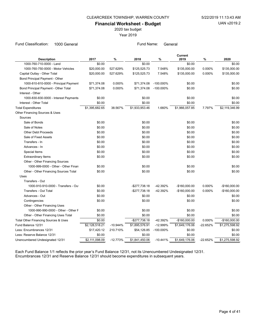2020 tax budget

Year 2019

Fund Classification: 1000 General Fund Name: General Fund Name: General

| <b>Description</b>                    | 2017           | $\%$       | 2018           | $\%$         | Current<br>2019 | $\%$       | 2020           |
|---------------------------------------|----------------|------------|----------------|--------------|-----------------|------------|----------------|
| 1000-760-710-0000 - Land              | \$0.00         |            | \$0.00         |              | \$0.00          |            | \$0.00         |
| 1000-760-750-0000 - Motor Vehicles    | \$20,000.00    | 527.629%   | \$125,525.73   | 7.548%       | \$135,000.00    | 0.000%     | \$135,000.00   |
| Capital Outlay - Other Total          | \$20,000.00    | 527.629%   | \$125,525.73   | 7.548%       | \$135,000.00    | 0.000%     | \$135,000.00   |
| Bond Principal Payment - Other        |                |            |                |              |                 |            |                |
| 1000-810-810-0000 - Principal Payment | \$71,374.08    | 0.000%     | \$71,374.08    | $-100.000\%$ | \$0.00          |            | \$0.00         |
| Bond Principal Payment - Other Total  | \$71,374.08    | 0.000%     | \$71,374.08    | $-100.000\%$ | \$0.00          |            | \$0.00         |
| Interest - Other                      |                |            |                |              |                 |            |                |
| 1000-830-830-0000 - Interest Payments | \$0.00         |            | \$0.00         |              | \$0.00          |            | \$0.00         |
| Interest - Other Total                | \$0.00         |            | \$0.00         |              | \$0.00          |            | \$0.00         |
| <b>Total Expenditures</b>             | \$1,395,682.65 | 38.567%    | \$1,933,953.46 | 1.660%       | \$1,966,057.85  | 7.797%     | \$2,119,346.99 |
| Other Financing Sources & Uses        |                |            |                |              |                 |            |                |
| Sources                               |                |            |                |              |                 |            |                |
| Sale of Bonds                         | \$0.00         |            | \$0.00         |              | \$0.00          |            | \$0.00         |
| Sale of Notes                         | \$0.00         |            | \$0.00         |              | \$0.00          |            | \$0.00         |
| <b>Other Debt Proceeds</b>            | \$0.00         |            | \$0.00         |              | \$0.00          |            | \$0.00         |
| Sale of Fixed Assets                  | \$0.00         |            | \$0.00         |              | \$0.00          |            | \$0.00         |
| Transfers - In                        | \$0.00         |            | \$0.00         |              | \$0.00          |            | \$0.00         |
| Advances - In                         | \$0.00         |            | \$0.00         |              | \$0.00          |            | \$0.00         |
| Special Items                         | \$0.00         |            | \$0.00         |              | \$0.00          |            | \$0.00         |
| <b>Extraordinary Items</b>            | \$0.00         |            | \$0.00         |              | \$0.00          |            | \$0.00         |
| Other - Other Financing Sources       |                |            |                |              |                 |            |                |
| 1000-999-0000 - Other - Other Finan   | \$0.00         |            | \$0.00         |              | \$0.00          |            | \$0.00         |
| Other - Other Financing Sources Total | \$0.00         |            | \$0.00         |              | \$0.00          |            | \$0.00         |
| Uses                                  |                |            |                |              |                 |            |                |
| Transfers - Out                       |                |            |                |              |                 |            |                |
| 1000-910-910-0000 - Transfers - Out   | \$0.00         |            | $-$277,738.18$ | $-42.392%$   | $-$160,000.00$  | 0.000%     | $-$160,000.00$ |
| <b>Transfers - Out Total</b>          | \$0.00         |            | $-$277,738.18$ | -42.392%     | $-$160,000.00$  | 0.000%     | $-$160,000.00$ |
| Advances - Out                        | \$0.00         |            | \$0.00         |              | \$0.00          |            | \$0.00         |
| Contingencies                         | \$0.00         |            | \$0.00         |              | \$0.00          |            | \$0.00         |
| Other - Other Financing Uses          |                |            |                |              |                 |            |                |
| 1000-990-990-0000 - Other - Other F   | \$0.00         |            | \$0.00         |              | \$0.00          |            | \$0.00         |
| Other - Other Financing Uses Total    | \$0.00         |            | \$0.00         |              | \$0.00          |            | \$0.00         |
| Total Other Financing Sources & Uses  | \$0.00         |            | $-$277,738.18$ | -42.392%     | $-$160,000.00$  | 0.000%     | $-$160,000.00$ |
| Fund Balance 12/31                    | \$2,128,518.21 | $-10.944%$ | \$1,895,576.91 | $-12.999%$   | \$1,649,176.06  | $-22.652%$ | \$1,275,598.92 |
| Less: Encumbrances 12/31              | \$17,420.12    | 210.710%   | \$54,126.85    | $-100.000\%$ | \$0.00          |            | \$0.00         |
| Less: Reserve Balance 12/31           | \$0.00         |            | \$0.00         |              | \$0.00          |            | \$0.00         |
| Unencumbered Undesignated 12/31       | \$2,111,098.09 | $-12.773%$ | \$1,841,450.06 | $-10.441%$   | \$1,649,176.06  | $-22.652%$ | \$1,275,598.92 |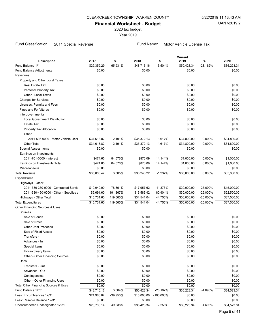2020 tax budget

Year 2019

# Fund Classification: 2011 Special Revenue Fund Name: Motor Vehicle License Tax

|                                        |             |          |             |           | Current     |             |             |
|----------------------------------------|-------------|----------|-------------|-----------|-------------|-------------|-------------|
| <b>Description</b>                     | 2017        | $\%$     | 2018        | %         | 2019        | %           | 2020        |
| Fund Balance 1/1                       | \$29,359.29 | 65.931%  | \$48,716.16 | 3.504%    | \$50,423.34 | -28.162%    | \$36,223.34 |
| Fund Balance Adjustments               | \$0.00      |          | \$0.00      |           | \$0.00      |             | \$0.00      |
| Revenues                               |             |          |             |           |             |             |             |
| Property and Other Local Taxes         |             |          |             |           |             |             |             |
| <b>Real Estate Tax</b>                 | \$0.00      |          | \$0.00      |           | \$0.00      |             | \$0.00      |
| Personal Property Tax                  | \$0.00      |          | \$0.00      |           | \$0.00      |             | \$0.00      |
| Other - Local Taxes                    | \$0.00      |          | \$0.00      |           | \$0.00      |             | \$0.00      |
| <b>Charges for Services</b>            | \$0.00      |          | \$0.00      |           | \$0.00      |             | \$0.00      |
| Licenses, Permits and Fees             | \$0.00      |          | \$0.00      |           | \$0.00      |             | \$0.00      |
| <b>Fines and Forfeitures</b>           | \$0.00      |          | \$0.00      |           | \$0.00      |             | \$0.00      |
| Intergovernmental                      |             |          |             |           |             |             |             |
| <b>Local Government Distribution</b>   | \$0.00      |          | \$0.00      |           | \$0.00      |             | \$0.00      |
| Estate Tax                             | \$0.00      |          | \$0.00      |           | \$0.00      |             | \$0.00      |
| Property Tax Allocation                | \$0.00      |          | \$0.00      |           | \$0.00      |             | \$0.00      |
| Other                                  |             |          |             |           |             |             |             |
| 2011-536-0000 - Motor Vehicle Licer    | \$34,613.82 | 2.191%   | \$35,372.13 | $-1.617%$ | \$34,800.00 | 0.000%      | \$34,800.00 |
| <b>Other Total</b>                     | \$34,613.82 | 2.191%   | \$35,372.13 | $-1.617%$ | \$34,800.00 | 0.000%      | \$34,800.00 |
| <b>Special Assessments</b>             | \$0.00      |          | \$0.00      |           | \$0.00      |             | \$0.00      |
| Earnings on Investments                |             |          |             |           |             |             |             |
| 2011-701-0000 - Interest               | \$474.65    | 84.576%  | \$876.09    | 14.144%   | \$1,000.00  | 0.000%      | \$1,000.00  |
| Earnings on Investments Total          | \$474.65    | 84.576%  | \$876.09    | 14.144%   | \$1,000.00  | 0.000%      | \$1,000.00  |
| Miscellaneous                          | \$0.00      |          | \$0.00      |           | \$0.00      |             | \$0.00      |
| <b>Total Revenue</b>                   | \$35,088.47 | 3.305%   | \$36,248.22 | $-1.237%$ | \$35,800.00 | 0.000%      | \$35,800.00 |
| Expenditures                           |             |          |             |           |             |             |             |
| Highways - Other                       |             |          |             |           |             |             |             |
| 2011-330-360-0000 - Contracted Servic  | \$10,040.00 | 78.861%  | \$17,957.62 | 11.373%   | \$20,000.00 | $-25.000%$  | \$15,000.00 |
| 2011-330-490-0000 - Other - Supplies a | \$5,691.60  | 191.367% | \$16,583.42 | 80.904%   | \$30,000.00 | $-25.000%$  | \$22,500.00 |
| Highways - Other Total                 | \$15,731.60 | 119.565% | \$34,541.04 | 44.755%   | \$50,000.00 | $-25.000%$  | \$37,500.00 |
| <b>Total Expenditures</b>              | \$15,731.60 | 119.565% | \$34,541.04 | 44.755%   | \$50,000.00 | $-25.000\%$ | \$37,500.00 |
| Other Financing Sources & Uses         |             |          |             |           |             |             |             |
| Sources                                |             |          |             |           |             |             |             |
| Sale of Bonds                          | \$0.00      |          | \$0.00      |           | \$0.00      |             | \$0.00      |
| Sale of Notes                          | \$0.00      |          | \$0.00      |           | \$0.00      |             | \$0.00      |
| <b>Other Debt Proceeds</b>             | \$0.00      |          | \$0.00      |           | \$0.00      |             | \$0.00      |
| Sale of Fixed Assets                   | \$0.00      |          | \$0.00      |           | \$0.00      |             | \$0.00      |
| Transfers - In                         | \$0.00      |          | \$0.00      |           | \$0.00      |             | \$0.00      |
| Advances - In                          | \$0.00      |          | \$0.00      |           | \$0.00      |             | \$0.00      |
| Special Items                          | \$0.00      |          | \$0.00      |           | \$0.00      |             | \$0.00      |
| Extraordinary Items                    | \$0.00      |          | \$0.00      |           | \$0.00      |             | \$0.00      |
| Other - Other Financing Sources        | \$0.00      |          | \$0.00      |           | \$0.00      |             | \$0.00      |
| Uses                                   |             |          |             |           |             |             |             |
| Transfers - Out                        | \$0.00      |          | \$0.00      |           | \$0.00      |             | \$0.00      |
| Advances - Out                         | \$0.00      |          | \$0.00      |           | \$0.00      |             | \$0.00      |
| Contingencies                          | \$0.00      |          | \$0.00      |           | \$0.00      |             | \$0.00      |
| Other - Other Financing Uses           | \$0.00      |          | \$0.00      |           | \$0.00      |             | \$0.00      |
| Total Other Financing Sources & Uses   | \$0.00      |          | \$0.00      |           | \$0.00      |             | \$0.00      |
| Fund Balance 12/31                     | \$48,716.16 | 3.504%   | \$50,423.34 | -28.162%  | \$36,223.34 | -4.693%     | \$34,523.34 |
| Less: Encumbrances 12/31               | \$24,980.02 | -39.950% | \$15,000.00 | -100.000% | \$0.00      |             | \$0.00      |
| Less: Reserve Balance 12/31            | \$0.00      |          | \$0.00      |           | \$0.00      |             | \$0.00      |
| Unencumbered Undesignated 12/31        | \$23,736.14 | 49.238%  | \$35,423.34 | 2.258%    | \$36,223.34 | -4.693%     | \$34,523.34 |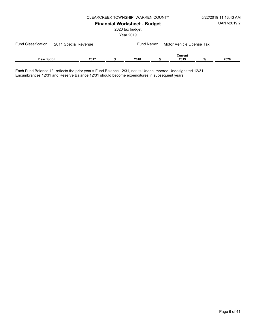| 5/22/2019 11:13:43 AM |
|-----------------------|
| UAN v2019.2           |

# CLEARCREEK TOWNSHIP, WARREN COUNTY

Financial Worksheet - Budget

2020 tax budget

Year 2019

| Fund Classification: 2011 Special Revenue |  |      | Fund Name: |      | Motor Vehicle License Tax |                 |   |      |
|-------------------------------------------|--|------|------------|------|---------------------------|-----------------|---|------|
| <b>Description</b>                        |  | 2017 | %          | 2018 | %                         | Current<br>2019 | % | 2020 |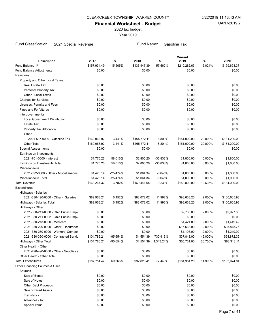2020 tax budget

Year 2019

# Fund Classification: 2021 Special Revenue Fund Name: Gasoline Tax

| <b>Description</b>                     | 2017         | %          | 2018         | %                    | <b>Current</b><br>2019 | %         | 2020         |
|----------------------------------------|--------------|------------|--------------|----------------------|------------------------|-----------|--------------|
| Fund Balance 1/1                       | \$157,934.49 | $-15.505%$ | \$133,447.39 | 57.562%              | \$210,262.63           | $-5.024%$ | \$199,698.37 |
| Fund Balance Adjustments               | \$0.00       |            | \$0.00       |                      | \$0.00                 |           | \$0.00       |
| Revenues                               |              |            |              |                      |                        |           |              |
| Property and Other Local Taxes         |              |            |              |                      |                        |           |              |
| Real Estate Tax                        | \$0.00       |            | \$0.00       |                      | \$0.00                 |           | \$0.00       |
| Personal Property Tax                  | \$0.00       |            | \$0.00       |                      | \$0.00                 |           | \$0.00       |
| Other - Local Taxes                    | \$0.00       |            | \$0.00       |                      | \$0.00                 |           | \$0.00       |
| <b>Charges for Services</b>            | \$0.00       |            | \$0.00       |                      | \$0.00                 |           | \$0.00       |
| Licenses, Permits and Fees             | \$0.00       |            | \$0.00       |                      | \$0.00                 |           | \$0.00       |
| <b>Fines and Forfeitures</b>           | \$0.00       |            | \$0.00       |                      | \$0.00                 |           | \$0.00       |
| Intergovernmental                      |              |            |              |                      |                        |           |              |
| <b>Local Government Distribution</b>   | \$0.00       |            | \$0.00       |                      | \$0.00                 |           | \$0.00       |
| Estate Tax                             | \$0.00       |            | \$0.00       |                      | \$0.00                 |           | \$0.00       |
| Property Tax Allocation                | \$0.00       |            | \$0.00       |                      | \$0.00                 |           | \$0.00       |
| Other                                  |              |            |              |                      |                        |           |              |
| 2021-537-0000 - Gasoline Tax           | \$160,063.92 | 3.441%     | \$165,572.11 | $-8.801%$            | \$151,000.00           | 20.000%   | \$181,200.00 |
| <b>Other Total</b>                     | \$160,063.92 | 3.441%     | \$165,572.11 | $-8.801%$            | \$151,000.00           | 20.000%   | \$181,200.00 |
| <b>Special Assessments</b>             | \$0.00       |            | \$0.00       |                      | \$0.00                 |           | \$0.00       |
| Earnings on Investments                |              |            |              |                      |                        |           |              |
| 2021-701-0000 - Interest               | \$1,775.26   | 58.016%    | \$2,805.20   | -35.833%             | \$1,800.00             | 0.000%    | \$1,800.00   |
| Earnings on Investments Total          | \$1,775.26   | 58.016%    | \$2,805.20   | -35.833%             | \$1,800.00             | 0.000%    | \$1,800.00   |
| Miscellaneous                          |              |            |              |                      |                        |           |              |
| 2021-892-0000 - Other - Miscellaneous  | \$1,428.14   | $-25.474%$ | \$1,064.34   | $-6.045%$            | \$1,000.00             | 0.000%    | \$1,000.00   |
| Miscellaneous Total                    | \$1,428.14   | $-25.474%$ | \$1,064.34   | $-6.045%$            | \$1,000.00             | 0.000%    | \$1,000.00   |
| <b>Total Revenue</b>                   | \$163,267.32 | 3.782%     | \$169,441.65 | $-9.231%$            | \$153,800.00           | 19.636%   | \$184,000.00 |
| Expenditures                           |              |            |              |                      |                        |           |              |
| Highways - Salaries                    |              |            |              |                      |                        |           |              |
| 2021-330-190-0000 - Other - Salaries   | \$82,968.21  | 6.152%     | \$88,072.02  | 11.992%              | \$98,633.26            | 2.000%    | \$100,605.93 |
| Highways - Salaries Total              | \$82,968.21  | 6.152%     | \$88,072.02  | 11.992%              | \$98,633.26            | 2.000%    | \$100,605.93 |
| Highways - Other                       |              |            |              |                      |                        |           |              |
| 2021-330-211-0000 - Ohio Public Emplo  | \$0.00       |            | \$0.00       |                      | \$9,733.00             | 2.000%    | \$9,927.66   |
| 2021-330-211-0002 - Ohio Public Emplo  | \$0.00       |            | \$0.00       |                      | \$0.00                 |           | \$0.00       |
| 2021-330-213-0000 - Medicare           | \$0.00       |            | \$0.00       |                      | \$1,421.00             | 2.000%    | \$1,449.42   |
| 2021-330-229-0000 - Other - Insurance  | \$0.00       |            | \$0.00       |                      | \$15,538.00            | 2.000%    | \$15,848.76  |
| 2021-330-230-0000 - Workers' Compen    | \$0.00       |            | \$0.00       |                      | \$1,196.00             | 2.000%    | \$1,219.92   |
| 2021-330-360-0000 - Contracted Servic  | \$104,786.21 | -95.654%   | \$4,554.39   | 730.913%             | \$37,843.00            | 45.000%   | \$54,872.35  |
| Highways - Other Total                 | \$104,786.21 | -95.654%   |              | \$4,554.39 1,343.24% | \$65,731.00            | 26.756%   | \$83,318.11  |
| Other Health - Other                   |              |            |              |                      |                        |           |              |
| 2021-490-490-0000 - Other - Supplies a | \$0.00       |            | \$0.00       |                      | \$0.00                 |           | \$0.00       |
| Other Health - Other Total             | \$0.00       |            | \$0.00       |                      | \$0.00                 |           | \$0.00       |
| <b>Total Expenditures</b>              | \$187,754.42 | -50.666%   | \$92,626.41  | 77.449%              | \$164,364.26           | 11.900%   | \$183,924.04 |
| Other Financing Sources & Uses         |              |            |              |                      |                        |           |              |
| Sources                                |              |            |              |                      |                        |           |              |
| Sale of Bonds                          | \$0.00       |            | \$0.00       |                      | \$0.00                 |           | \$0.00       |
| Sale of Notes                          | \$0.00       |            | \$0.00       |                      | \$0.00                 |           | \$0.00       |
| <b>Other Debt Proceeds</b>             | \$0.00       |            | \$0.00       |                      | \$0.00                 |           | \$0.00       |
| Sale of Fixed Assets                   | \$0.00       |            | \$0.00       |                      | \$0.00                 |           | \$0.00       |
| Transfers - In                         | \$0.00       |            | \$0.00       |                      | \$0.00                 |           | \$0.00       |
| Advances - In                          | \$0.00       |            | \$0.00       |                      | \$0.00                 |           | \$0.00       |
| Special Items                          | \$0.00       |            | \$0.00       |                      | \$0.00                 |           | \$0.00       |
|                                        |              |            |              |                      |                        |           |              |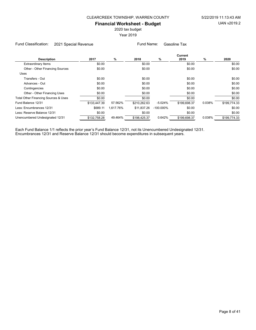2020 tax budget

Year 2019

Fund Classification: 2021 Special Revenue Fund Name: Gasoline Tax

|                                      | Current      |           |              |              |              |        |              |  |
|--------------------------------------|--------------|-----------|--------------|--------------|--------------|--------|--------------|--|
| <b>Description</b>                   | 2017         | %         | 2018         | %            | 2019         | %      | 2020         |  |
| <b>Extraordinary Items</b>           | \$0.00       |           | \$0.00       |              | \$0.00       |        | \$0.00       |  |
| Other - Other Financing Sources      | \$0.00       |           | \$0.00       |              | \$0.00       |        | \$0.00       |  |
| Uses                                 |              |           |              |              |              |        |              |  |
| Transfers - Out                      | \$0.00       |           | \$0.00       |              | \$0.00       |        | \$0.00       |  |
| Advances - Out                       | \$0.00       |           | \$0.00       |              | \$0.00       |        | \$0.00       |  |
| Contingencies                        | \$0.00       |           | \$0.00       |              | \$0.00       |        | \$0.00       |  |
| Other - Other Financing Uses         | \$0.00       |           | \$0.00       |              | \$0.00       |        | \$0.00       |  |
| Total Other Financing Sources & Uses | \$0.00       |           | \$0.00       |              | \$0.00       |        | \$0.00       |  |
| Fund Balance 12/31                   | \$133,447.39 | 57.562%   | \$210,262.63 | $-5.024%$    | \$199,698.37 | 0.038% | \$199,774.33 |  |
| Less: Encumbrances 12/31             | \$689.11     | 1.617.76% | \$11.837.26  | $-100.000\%$ | \$0.00       |        | \$0.00       |  |
| Less: Reserve Balance 12/31          | \$0.00       |           | \$0.00       |              | \$0.00       |        | \$0.00       |  |
| Unencumbered Undesignated 12/31      | \$132,758.28 | 49.464%   | \$198.425.37 | 0.642%       | \$199,698.37 | 0.038% | \$199,774.33 |  |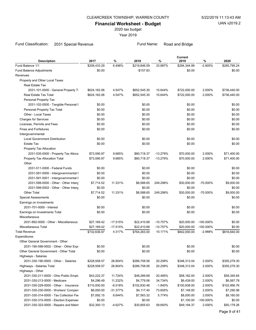2020 tax budget

Year 2019

# Fund Classification: 2031 Special Revenue Fund Name: Road and Bridge

| <b>Description</b>                     | 2017         | $\%$       | 2018         | $\%$       | Current<br>2019 | %            | 2020         |
|----------------------------------------|--------------|------------|--------------|------------|-----------------|--------------|--------------|
| Fund Balance 1/1                       | \$206,433.29 | 6.498%     | \$219,846.59 | 33.887%    | \$294,344.99    | $-2.905%$    | \$285,795.24 |
| Fund Balance Adjustments               | \$0.00       |            | $-$157.83$   |            | \$0.00          |              | \$0.00       |
| Revenues                               |              |            |              |            |                 |              |              |
| Property and Other Local Taxes         |              |            |              |            |                 |              |              |
| Real Estate Tax                        |              |            |              |            |                 |              |              |
| 2031-101-0000 - General Property T     | \$624,162.06 | 4.547%     | \$652,545.30 | 10.644%    | \$722,000.00    | 2.000%       | \$736,440.00 |
| Real Estate Tax Total                  | \$624,162.06 | 4.547%     | \$652,545.30 | 10.644%    | \$722,000.00    | 2.000%       | \$736,440.00 |
| Personal Property Tax                  |              |            |              |            |                 |              |              |
| 2031-102-0000 - Tangible Personal I    | \$0.00       |            | \$0.00       |            | \$0.00          |              | \$0.00       |
| Personal Property Tax Total            | \$0.00       |            | \$0.00       |            | \$0.00          |              | \$0.00       |
| Other - Local Taxes                    | \$0.00       |            | \$0.00       |            | \$0.00          |              | \$0.00       |
| <b>Charges for Services</b>            | \$0.00       |            | \$0.00       |            | \$0.00          |              | \$0.00       |
| Licenses, Permits and Fees             | \$0.00       |            | \$0.00       |            | \$0.00          |              | \$0.00       |
| <b>Fines and Forfeitures</b>           | \$0.00       |            | \$0.00       |            | \$0.00          |              | \$0.00       |
| Intergovernmental                      |              |            |              |            |                 |              |              |
| <b>Local Government Distribution</b>   | \$0.00       |            | \$0.00       |            | \$0.00          |              | \$0.00       |
| Estate Tax                             | \$0.00       |            | \$0.00       |            | \$0.00          |              | \$0.00       |
| Property Tax Allocation                |              |            |              |            |                 |              |              |
| 2031-535-0000 - Property Tax Alloca    | \$73,590.97  | 9.685%     | \$80,718.37  | $-13.279%$ | \$70,000.00     | 2.000%       | \$71,400.00  |
| Property Tax Allocation Total          | \$73,590.97  | 9.685%     | \$80,718.37  | $-13.279%$ | \$70,000.00     | 2.000%       | \$71,400.00  |
| Other                                  |              |            |              |            |                 |              |              |
| 2031-511-0000 - Federal Funds          | \$0.00       |            | \$0.00       |            | \$0.00          |              | \$0.00       |
| 2031-591-0000 - Intergovernmental I    | \$0.00       |            | \$0.00       |            | \$0.00          |              | \$0.00       |
| 2031-591-0001 - Intergovernmental F    | \$0.00       |            | \$0.00       |            | \$0.00          |              | \$0.00       |
| 2031-599-0000 - Other - Other Interg   | \$7,714.52   | 11.331%    | \$8,588.65   | 249.298%   | \$30,000.00     | -70.000%     | \$9,000.00   |
| 2031-599-0002 - Other - Other Interg   | \$0.00       |            | \$0.00       |            | \$0.00          |              | \$0.00       |
| <b>Other Total</b>                     | \$7,714.52   | 11.331%    | \$8,588.65   | 249.298%   | \$30,000.00     | -70.000%     | \$9,000.00   |
| Special Assessments                    | \$0.00       |            | \$0.00       |            | \$0.00          |              | \$0.00       |
| Earnings on Investments                |              |            |              |            |                 |              |              |
| 2031-701-0000 - Interest               | \$0.00       |            | \$0.00       |            | \$0.00          |              | \$0.00       |
| Earnings on Investments Total          | \$0.00       |            | \$0.00       |            | \$0.00          |              | \$0.00       |
| Miscellaneous                          |              |            |              |            |                 |              |              |
| 2031-892-0000 - Other - Miscellaneous  | \$27,169.42  | $-17.515%$ | \$22,410.68  | $-10.757%$ | \$20,000.00     | $-100.000\%$ | \$0.00       |
| Miscellaneous Total                    | \$27,169.42  | $-17.515%$ | \$22,410.68  | $-10.757%$ | \$20,000.00     | $-100.000\%$ | \$0.00       |
| <b>Total Revenue</b>                   | \$732,636.97 | 4.317%     | \$764,263.00 | 10.171%    | \$842,000.00    | $-2.988%$    | \$816,840.00 |
| Expenditures                           |              |            |              |            |                 |              |              |
| Other General Government - Other       |              |            |              |            |                 |              |              |
| 2031-190-599-0002 - Other - Other Exp  | \$0.00       |            | \$0.00       |            | \$0.00          |              | \$0.00       |
| Other General Government - Other Total | \$0.00       |            | \$0.00       |            | \$0.00          |              | \$0.00       |
| Highways - Salaries                    |              |            |              |            |                 |              |              |
| 2031-330-190-0000 - Other - Salaries   | \$228,508.57 | 26.804%    | \$289,758.56 | 20.208%    | \$348,313.04    | 2.000%       | \$355,279.30 |
| Highways - Salaries Total              | \$228,508.57 | 26.804%    | \$289,758.56 | 20.208%    | \$348,313.04    | 2.000%       | \$355,279.30 |
| Highways - Other                       |              |            |              |            |                 |              |              |
| 2031-330-211-0000 - Ohio Public Emplo  | \$43,222.37  | 11.724%    | \$48,289.68  | 20.485%    | \$58,182.00     | 2.000%       | \$59,345.64  |
| 2031-330-213-0000 - Medicare           | \$4,296.49   | 11.232%    | \$4,779.06   | 34.734%    | \$6,439.00      | 2.000%       | \$6,567.78   |
| 2031-330-229-0000 - Other - Insurance  | \$110,000.00 | $-6.518%$  | \$102,830.48 | $-1.840%$  | \$100,938.00    | 2.000%       | \$102,956.76 |
| 2031-330-230-0000 - Workers' Compen    | \$6,000.00   | $-31.377%$ | \$4,117.40   | 73.605%    | \$7,148.00      | 2.000%       | \$7,290.96   |
| 2031-330-314-0000 - Tax Collection Fer | \$7,092.15   | 6.644%     | \$7,563.32   | 5.774%     | \$8,000.00      | 2.000%       | \$8,160.00   |
| 2031-330-315-0000 - Election Expenses  | \$0.00       |            | \$0.00       |            | \$1,100.00      | -100.000%    | \$0.00       |
| 2031-330-323-0000 - Repairs and Maint  | \$32,300.13  | $-4.627%$  | \$30,805.63  | 59.693%    | \$49,194.37     | 2.000%       | \$50,178.26  |
|                                        |              |            |              |            |                 |              |              |
|                                        |              |            |              |            |                 |              | Page 9 of 41 |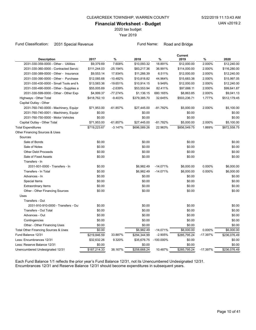2020 tax budget

Year 2019

#### Fund Classification: 2031 Special Revenue Fund Name: Road and Bridge

| <b>Description</b>                     | 2017                     | %          | 2018         | ℅            | <b>Current</b><br>2019 | $\%$       | 2020         |
|----------------------------------------|--------------------------|------------|--------------|--------------|------------------------|------------|--------------|
| 2031-330-359-0000 - Other - Utilities  | \$9,379.69               | 7.608%     | \$10,093.32  | 18.891%      | \$12,000.00            | 2.000%     | \$12,240.00  |
| 2031-330-360-0000 - Contracted Servic  | \$111,244.03             | $-25.194%$ | \$83,217.36  | 36.991%      | \$114,000.00           | 2.000%     | \$116,280.00 |
| 2031-330-389-0000 - Other - Insurance  | \$9,553.14               | 17.934%    | \$11,266.39  | 6.511%       | \$12,000.00            | 2.000%     | \$12,240.00  |
| 2031-330-390-0000 - Other - Purchase   | \$12,085.68              | $-10.482%$ | \$10,818.82  | 44.964%      | \$15,683.38            | 2.000%     | \$15,997.05  |
| 2031-330-430-0000 - Small Tools and M  | \$13,583.36              | $-19.651%$ | \$10,914.15  | 9.949%       | \$12,000.00            | 2.000%     | \$12,240.00  |
| 2031-330-490-0000 - Other - Supplies a | \$55,005.69              | $-2.639%$  | \$53,553.94  | 82.411%      | \$97,688.11            | 2.000%     | \$99,641.87  |
| 2031-330-599-0000 - Other - Other Exp  | \$4,999.37               | $-77.274%$ | \$1,136.15   | 680.165%     | \$8,863.85             | 2.000%     | \$9,041.13   |
| Highways - Other Total                 | \$418,762.10             | $-9.403%$  | \$379,385.70 | 32.645%      | \$503,236.71           | 1.777%     | \$512,179.45 |
| Capital Outlay - Other                 |                          |            |              |              |                        |            |              |
| 2031-760-740-0000 - Machinery, Equipr  | \$71,953.00              | $-61.857%$ | \$27,445.00  | $-81.782%$   | \$5,000.00             | 2.000%     | \$5,100.00   |
| 2031-760-740-0001 - Machinery, Equipr  | \$0.00                   |            | \$0.00       |              | \$0.00                 |            | \$0.00       |
| 2031-760-750-0000 - Motor Vehicles     | \$0.00                   |            | \$0.00       |              | \$0.00                 |            | \$0.00       |
| Capital Outlay - Other Total           | \$71,953.00              | $-61.857%$ | \$27,445.00  | $-81.782%$   | \$5,000.00             | 2.000%     | \$5,100.00   |
| <b>Total Expenditures</b>              | \$719,223.67             | $-3.147%$  | \$696,589.26 | 22.963%      | \$856,549.75           | 1.869%     | \$872,558.75 |
| Other Financing Sources & Uses         |                          |            |              |              |                        |            |              |
| Sources                                |                          |            |              |              |                        |            |              |
| Sale of Bonds                          | \$0.00                   |            | \$0.00       |              | \$0.00                 |            | \$0.00       |
| Sale of Notes                          | \$0.00                   |            | \$0.00       |              | \$0.00                 |            | \$0.00       |
| <b>Other Debt Proceeds</b>             | \$0.00                   |            | \$0.00       |              | \$0.00                 |            | \$0.00       |
| Sale of Fixed Assets                   | \$0.00                   |            | \$0.00       |              | \$0.00                 |            | \$0.00       |
| Transfers - In                         |                          |            |              |              |                        |            |              |
| 2031-931-0000 - Transfers - In         | \$0.00                   |            | \$6,982.49   | $-14.071%$   | \$6,000.00             | 0.000%     | \$6,000.00   |
| Transfers - In Total                   | \$0.00                   |            | \$6,982.49   | $-14.071%$   | \$6,000.00             | 0.000%     | \$6,000.00   |
| Advances - In                          | \$0.00                   |            | \$0.00       |              | \$0.00                 |            | \$0.00       |
| Special Items                          | \$0.00                   |            | \$0.00       |              | \$0.00                 |            | \$0.00       |
| <b>Extraordinary Items</b>             | \$0.00                   |            | \$0.00       |              | \$0.00                 |            | \$0.00       |
| Other - Other Financing Sources        | \$0.00                   |            | \$0.00       |              | \$0.00                 |            | \$0.00       |
| Uses                                   |                          |            |              |              |                        |            |              |
| Transfers - Out                        |                          |            |              |              |                        |            |              |
| 2031-910-910-0000 - Transfers - Out    | \$0.00                   |            | \$0.00       |              | \$0.00                 |            | \$0.00       |
| <b>Transfers - Out Total</b>           | \$0.00                   |            | \$0.00       |              | \$0.00                 |            | \$0.00       |
| Advances - Out                         | \$0.00                   |            | \$0.00       |              | \$0.00                 |            | \$0.00       |
| Contingencies                          | \$0.00                   |            | \$0.00       |              | \$0.00                 |            | \$0.00       |
| Other - Other Financing Uses           | \$0.00                   |            | \$0.00       |              | \$0.00                 |            | \$0.00       |
| Total Other Financing Sources & Uses   | \$0.00                   |            | \$6,982.49   | $-14.071%$   | \$6,000.00             | 0.000%     | \$6,000.00   |
| Fund Balance 12/31                     | \$219,846.59             | 33.887%    | \$294,344.99 | $-2.905%$    | \$285,795.24           | $-17.397%$ | \$236,076.49 |
| Less: Encumbrances 12/31               | \$32,632.26              | 9.320%     | \$35,676.75  | $-100.000\%$ | \$0.00                 |            | \$0.00       |
| Less: Reserve Balance 12/31            | \$0.00                   |            | \$0.00       |              | \$0.00                 |            | \$0.00       |
| Unencumbered Undesignated 12/31        | $$187,214.\overline{33}$ | 38.167%    | \$258,668.24 | 10.487%      | \$285,795.24           | $-17.397%$ | \$236,076.49 |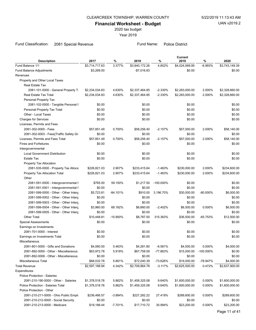2020 tax budget

Year 2019

Fund Classification: 2081 Special Revenue Fund Name: Police District

| <b>Description</b>                                                           | 2017           | $\%$       | 2018           | %            | Current<br>2019       | $\%$        | 2020                  |
|------------------------------------------------------------------------------|----------------|------------|----------------|--------------|-----------------------|-------------|-----------------------|
| Fund Balance 1/1                                                             | \$3,714,717.63 | 3.377%     | \$3,840,172.26 | 4.802%       | \$4,024,569.95        | $-6.993%$   | \$3,743,149.39        |
| <b>Fund Balance Adjustments</b>                                              | \$3,269.00     |            | $-$7,016.83$   |              | \$0.00                |             | \$0.00                |
| Revenues                                                                     |                |            |                |              |                       |             |                       |
| Property and Other Local Taxes                                               |                |            |                |              |                       |             |                       |
| <b>Real Estate Tax</b>                                                       |                |            |                |              |                       |             |                       |
| 2081-101-0000 - General Property T                                           | \$2,234,034.83 | 4.630%     | \$2,337,464.85 | $-2.330%$    | \$2,283,000.00        | 2.000%      | \$2,328,660.00        |
| Real Estate Tax Total                                                        | \$2,234,034.83 | 4.630%     | \$2,337,464.85 | $-2.330%$    | \$2,283,000.00        | 2.000%      | \$2,328,660.00        |
| Personal Property Tax                                                        |                |            |                |              |                       |             |                       |
| 2081-102-0000 - Tangible Personal F                                          | \$0.00         |            | \$0.00         |              | \$0.00                |             | \$0.00                |
| Personal Property Tax Total                                                  | \$0.00         |            | \$0.00         |              | \$0.00                |             | \$0.00                |
| Other - Local Taxes                                                          | \$0.00         |            | \$0.00         |              | \$0.00                |             | \$0.00                |
| <b>Charges for Services</b>                                                  | \$0.00         |            | \$0.00         |              | \$0.00                |             | \$0.00                |
| Licenses, Permits and Fees                                                   |                |            |                |              |                       |             |                       |
| 2081-302-0000 - Fees                                                         | \$57,851.49    | 0.700%     | \$58,256.40    | $-2.157%$    | \$57,000.00           | 2.000%      | \$58,140.00           |
| 2081-302-0003 - Fees{Traffic Safety Gra                                      | \$0.00         |            | \$0.00         |              | \$0.00                |             | \$0.00                |
| Licenses. Permits and Fees Total                                             | \$57,851.49    | 0.700%     | \$58,256.40    | $-2.157%$    | \$57,000.00           | 2.000%      | \$58,140.00           |
| <b>Fines and Forfeitures</b>                                                 | \$0.00         |            | \$0.00         |              | \$0.00                |             | \$0.00                |
| Intergovernmental                                                            |                |            |                |              |                       |             |                       |
| <b>Local Government Distribution</b>                                         | \$0.00         |            | \$0.00         |              | \$0.00                |             | \$0.00                |
| <b>Estate Tax</b>                                                            | \$0.00         |            | \$0.00         |              | \$0.00                |             | \$0.00                |
| Property Tax Allocation                                                      |                |            |                |              |                       |             |                       |
| 2081-535-0000 - Property Tax Alloca                                          | \$226,821.03   | 2.907%     | \$233,415.64   | $-1.463%$    | \$230,000.00          | 2.000%      | \$234,600.00          |
| Property Tax Allocation Total                                                | \$226,821.03   | 2.907%     | \$233,415.64   | $-1.463%$    | \$230,000.00          | 2.000%      | \$234,600.00          |
| Other                                                                        |                |            |                |              |                       |             |                       |
|                                                                              | \$765.00       | 59.150%    | \$1,217.50     | $-100.000\%$ | \$0.00                |             | \$0.00                |
| 2081-591-0000 - Intergovernmental I                                          | \$0.00         |            | \$0.00         |              | \$0.00                |             | \$0.00                |
| 2081-591-0001 - Intergovernmental I                                          | \$5,723.81     | $-84.101%$ | \$910.00       | 3,196.70%    | \$30,000.00           | $-80.000\%$ | \$6,000.00            |
| 2081-599-0000 - Other - Other Interg<br>2081-599-0002 - Other - Other Interg | \$0.00         |            | \$0.00         |              | \$0.00                |             | \$0.00                |
|                                                                              |                |            |                |              |                       |             |                       |
| 2081-599-0003 - Other - Other Interg                                         | \$0.00         |            | \$0.00         |              | \$0.00                |             | \$0.00<br>\$6,500.00  |
| 2081-599-0004 - Other - Other Interg                                         | \$3,960.00     | 68.182%    | \$6,660.00     | $-2.402%$    | \$6,500.00            | 0.000%      |                       |
| 2081-599-0005 - Other - Other Interg<br><b>Other Total</b>                   | \$0.00         |            | \$0.00         |              | \$0.00<br>\$36,500.00 | $-65.753%$  | \$0.00<br>\$12,500.00 |
|                                                                              | \$10,448.81    | $-15.900%$ | \$8,787.50     | 315.363%     |                       |             |                       |
| <b>Special Assessments</b>                                                   | \$0.00         |            | \$0.00         |              | \$0.00                |             | \$0.00                |
| Earnings on Investments                                                      |                |            |                |              |                       |             |                       |
| 2081-701-0000 - Interest                                                     | \$0.00         |            | \$0.00         |              | \$0.00                |             | \$0.00                |
| Earnings on Investments Total                                                | \$0.00         |            | \$0.00         |              | \$0.00                |             | \$0.00                |
| Miscellaneous                                                                |                |            |                |              |                       |             |                       |
| 2081-801-0000 - Gifts and Donations                                          | \$4,060.00     | 5.463%     | \$4,281.80     | $-6.581%$    | \$4,000.00            | 0.000%      | \$4,000.00            |
| 2081-892-0000 - Other - Miscellaneous                                        | \$63,972.78    | 5.918%     | \$67,758.59    | -77.863%     | \$15,000.00           | -100.000%   | \$0.00                |
| 2081-892-0006 - Other - Miscellaneous                                        | \$0.00         |            | \$0.00         |              | \$0.00                |             | \$0.00                |
| Miscellaneous Total                                                          | \$68,032.78    | 5.891%     | \$72,040.39    | -73.626%     | \$19,000.00           | -78.947%    | \$4,000.00            |
| <b>Total Revenue</b>                                                         | \$2,597,188.94 | 4.342%     | \$2,709,964.78 | $-3.117%$    | \$2,625,500.00        | 0.472%      | \$2,637,900.00        |
| Expenditures                                                                 |                |            |                |              |                       |             |                       |
| Police Protection - Salaries                                                 |                |            |                |              |                       |             |                       |
| 2081-210-190-0000 - Other - Salaries                                         | \$1,378,518.76 | 5.862%     | \$1,459,325.08 | 9.640%       | \$1,600,000.00        | 0.000%      | \$1,600,000.00        |
| <b>Police Protection - Salaries Total</b>                                    | \$1,378,518.76 | 5.862%     | \$1,459,325.08 | 9.640%       | \$1,600,000.00        | 0.000%      | \$1,600,000.00        |
| Police Protection - Other                                                    |                |            |                |              |                       |             |                       |
| 2081-210-211-0000 - Ohio Public Emplo                                        | \$236,466.57   | -3.884%    | \$227,282.22   | 27.419%      | \$289,600.00          | 0.000%      | \$289,600.00          |
| 2081-210-212-0000 - Social Security                                          | \$0.00         |            | \$0.00         |              | \$0.00                |             | \$0.00                |
| 2081-210-213-0000 - Medicare                                                 | \$19,188.44    | $-7.701%$  | \$17,710.72    | 30.994%      | \$23,200.00           | 0.000%      | \$23,200.00           |
|                                                                              |                |            |                |              |                       |             | Page 11 of 41         |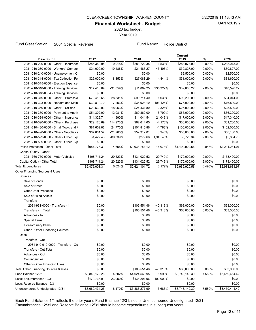2020 tax budget

Year 2019

#### Fund Classification: 2081 Special Revenue Fund Name: Police District

Current

| 2081-210-229-0000 - Other - Insurance<br>$-0.918%$<br>1.533%<br>0.000%<br>\$286,350.94<br>\$283,722.35<br>\$288,073.00<br>\$288,073.00<br>0.000%<br>2081-210-230-0000 - Workers' Compen<br>\$24,000.00<br>$-10.486%$<br>\$21,483.27<br>43.493%<br>\$30,827.00<br>\$30,827.00<br>2081-210-240-0000 - Unemployment Co<br>\$0.00<br>\$0.00<br>\$2,500.00<br>0.000%<br>\$2,500.00<br>2081-210-314-0000 - Tax Collection Fee<br>\$25,000.00<br>8.353%<br>\$27,088.29<br>14.441%<br>\$31,000.00<br>2.000%<br>\$31,620.00<br>\$0.00<br>\$0.00<br>\$0.00<br>\$0.00<br>2081-210-315-0000 - Election Expenses<br>\$17,418.69<br>-31.859%<br>\$11,869.25<br>\$39,800.22<br>2.000%<br>\$40,596.22<br>2081-210-318-0000 - Training Services<br>235.322%<br>2081-210-318-0004 - Training Services{<br>\$0.00<br>\$0.00<br>\$0.00<br>\$0.00<br>2.000%<br>2081-210-319-0000 - Other - Profession<br>\$70,413.68<br>28.831%<br>\$90,714.40<br>1.638%<br>\$92,200.00<br>\$94,044.00<br>2081-210-323-0000 - Repairs and Maint<br>\$39,810.70<br>$-7.253%$<br>\$36,923.10<br>103.125%<br>\$75,000.00<br>2.000%<br>\$76,500.00<br>2081-210-359-0000 - Other - Utilities<br>18.953%<br>2.326%<br>2.000%<br>\$25,500.00<br>\$20,539.03<br>\$24,431.80<br>\$25,000.00<br>2081-210-370-0000 - Payment to Anoth<br>\$54,302.00<br>12.081%<br>\$60,862.00<br>6.799%<br>\$65,000.00<br>2.000%<br>\$66,300.00<br>2081-210-389-0000 - Other - Insurance<br>\$14,329.71<br>$-1.990%$<br>21.043%<br>\$17,000.00<br>2.000%<br>\$17,340.00<br>\$14,044.54<br>2081-210-390-0000 - Other - Purchase<br>\$29,126.69<br>114.973%<br>-4.176%<br>2.000%<br>\$61,200.00<br>\$62,614.65<br>\$60,000.00<br>2081-210-430-0000 - Small Tools and M<br>\$81,602.86<br>24.770%<br>$-1.783%$<br>2.000%<br>\$102,000.00<br>\$101,815.86<br>\$100,000.00<br>2081-210-490-0000 - Other - Supplies a<br>\$67,801.57<br>-21.960%<br>\$52,912.01<br>3.946%<br>\$55,000.00<br>2.000%<br>\$56,100.00<br>2081-210-599-0000 - Other - Other Expi<br>\$1,422.43<br>-80.339%<br>\$279.66<br>1,945.46%<br>\$5,720.34<br>2.000%<br>\$5,834.75<br>2081-210-599-0002 - Other - Other Expi<br>\$0.00<br>\$0.00<br>\$0.00<br>\$0.00<br>Police Protection - Other Total<br>\$987,773.31<br>4.655%<br>\$1,033,754.12<br>16.074%<br>\$1,199,920.56<br>\$1,211,234.97<br>0.943%<br>Capital Outlay - Other<br>2081-760-750-0000 - Motor Vehicles<br>\$108,711.24<br>20.523%<br>\$131,022.52<br>29.749%<br>\$170,000.00<br>2.000%<br>\$173,400.00<br>\$108,711.24<br>20.523%<br>\$131,022.52<br>29.749%<br>\$170,000.00<br>2.000%<br>\$173,400.00<br>Capital Outlay - Other Total<br>\$2,475,003.31<br>6.024%<br>13.179%<br>\$2,969,920.56<br>0.495%<br>\$2,984,634.97<br><b>Total Expenditures</b><br>\$2,624,101.72<br>Other Financing Sources & Uses<br>Sources<br>Sale of Bonds<br>\$0.00<br>\$0.00<br>\$0.00<br>\$0.00<br>\$0.00<br>\$0.00<br>\$0.00<br>\$0.00<br>Sale of Notes<br>\$0.00<br><b>Other Debt Proceeds</b><br>\$0.00<br>\$0.00<br>\$0.00<br>\$0.00<br>\$0.00<br>Sale of Fixed Assets<br>\$0.00<br>\$0.00<br>Transfers - In<br>0.000%<br>2081-931-0000 - Transfers - In<br>\$0.00<br>-40.313%<br>\$63,000.00<br>\$105,551.46<br>\$63,000.00<br>Transfers - In Total<br>\$0.00<br>\$105,551.46<br>$-40.313%$<br>\$63,000.00<br>0.000%<br>\$63,000.00<br>Advances - In<br>\$0.00<br>\$0.00<br>\$0.00<br>\$0.00<br>Special Items<br>\$0.00<br>\$0.00<br>\$0.00<br>\$0.00<br>\$0.00<br>\$0.00<br>\$0.00<br>\$0.00<br><b>Extraordinary Items</b><br>\$0.00<br>\$0.00<br>\$0.00<br>Other - Other Financing Sources<br>\$0.00<br>Uses<br>Transfers - Out<br>2081-910-910-0000 - Transfers - Out<br>\$0.00<br>\$0.00<br>\$0.00<br>\$0.00<br>\$0.00<br>\$0.00<br>\$0.00<br>\$0.00<br>Transfers - Out Total<br>\$0.00<br>\$0.00<br>\$0.00<br>\$0.00<br>Advances - Out<br>\$0.00<br>\$0.00<br>\$0.00<br>\$0.00<br>Contingencies<br>\$0.00<br>\$0.00<br>\$0.00<br>\$0.00<br>Other - Other Financing Uses<br>0.000%<br>\$0.00<br>\$105,551.46<br>Total Other Financing Sources & Uses<br>-40.313%<br>\$63,000.00<br>\$63,000.00<br>\$3,840,172.26<br>4.802%<br>$-6.993%$<br>\$3,743,149.39<br>$-7.580%$<br>Fund Balance 12/31<br>\$4,024,569.95<br>\$3,459,414.42<br>Less: Encumbrances 12/31<br>\$179,738.01<br>\$138,291.96<br>$-100.000\%$<br>\$0.00<br>-23.050%<br>\$0.00<br>\$0.00<br>Less: Reserve Balance 12/31<br>\$0.00<br>\$0.00<br>\$0.00<br>6.170%<br>$-3.683%$<br>$-7.580%$<br>Unencumbered Undesignated 12/31<br>\$3,660,434.25<br>\$3,886,277.99<br>\$3,743,149.39<br>\$3,459,414.42 | <b>Description</b> | 2017 | $\%$ | 2018 | $\%$ | 2019 | $\%$ | 2020 |
|---------------------------------------------------------------------------------------------------------------------------------------------------------------------------------------------------------------------------------------------------------------------------------------------------------------------------------------------------------------------------------------------------------------------------------------------------------------------------------------------------------------------------------------------------------------------------------------------------------------------------------------------------------------------------------------------------------------------------------------------------------------------------------------------------------------------------------------------------------------------------------------------------------------------------------------------------------------------------------------------------------------------------------------------------------------------------------------------------------------------------------------------------------------------------------------------------------------------------------------------------------------------------------------------------------------------------------------------------------------------------------------------------------------------------------------------------------------------------------------------------------------------------------------------------------------------------------------------------------------------------------------------------------------------------------------------------------------------------------------------------------------------------------------------------------------------------------------------------------------------------------------------------------------------------------------------------------------------------------------------------------------------------------------------------------------------------------------------------------------------------------------------------------------------------------------------------------------------------------------------------------------------------------------------------------------------------------------------------------------------------------------------------------------------------------------------------------------------------------------------------------------------------------------------------------------------------------------------------------------------------------------------------------------------------------------------------------------------------------------------------------------------------------------------------------------------------------------------------------------------------------------------------------------------------------------------------------------------------------------------------------------------------------------------------------------------------------------------------------------------------------------------------------------------------------------------------------------------------------------------------------------------------------------------------------------------------------------------------------------------------------------------------------------------------------------------------------------------------------------------------------------------------------------------------------------------------------------------------------------------------------------------------------------------------------------------------------------------------------------------------------------------------------------------------------------------------------------------------------------------------------------------------------------------------------------------------------------------------------------------------------------------------------------------------------------------------------------------------------------------------------------------------------------------------------------------------------------------------------------------------------------------------------------------------------------------------------------------------------------------------------------------------------------------------------------------------------------------------------------------------------------------------------|--------------------|------|------|------|------|------|------|------|
|                                                                                                                                                                                                                                                                                                                                                                                                                                                                                                                                                                                                                                                                                                                                                                                                                                                                                                                                                                                                                                                                                                                                                                                                                                                                                                                                                                                                                                                                                                                                                                                                                                                                                                                                                                                                                                                                                                                                                                                                                                                                                                                                                                                                                                                                                                                                                                                                                                                                                                                                                                                                                                                                                                                                                                                                                                                                                                                                                                                                                                                                                                                                                                                                                                                                                                                                                                                                                                                                                                                                                                                                                                                                                                                                                                                                                                                                                                                                                                                                                                                                                                                                                                                                                                                                                                                                                                                                                                                                                                                                 |                    |      |      |      |      |      |      |      |
|                                                                                                                                                                                                                                                                                                                                                                                                                                                                                                                                                                                                                                                                                                                                                                                                                                                                                                                                                                                                                                                                                                                                                                                                                                                                                                                                                                                                                                                                                                                                                                                                                                                                                                                                                                                                                                                                                                                                                                                                                                                                                                                                                                                                                                                                                                                                                                                                                                                                                                                                                                                                                                                                                                                                                                                                                                                                                                                                                                                                                                                                                                                                                                                                                                                                                                                                                                                                                                                                                                                                                                                                                                                                                                                                                                                                                                                                                                                                                                                                                                                                                                                                                                                                                                                                                                                                                                                                                                                                                                                                 |                    |      |      |      |      |      |      |      |
|                                                                                                                                                                                                                                                                                                                                                                                                                                                                                                                                                                                                                                                                                                                                                                                                                                                                                                                                                                                                                                                                                                                                                                                                                                                                                                                                                                                                                                                                                                                                                                                                                                                                                                                                                                                                                                                                                                                                                                                                                                                                                                                                                                                                                                                                                                                                                                                                                                                                                                                                                                                                                                                                                                                                                                                                                                                                                                                                                                                                                                                                                                                                                                                                                                                                                                                                                                                                                                                                                                                                                                                                                                                                                                                                                                                                                                                                                                                                                                                                                                                                                                                                                                                                                                                                                                                                                                                                                                                                                                                                 |                    |      |      |      |      |      |      |      |
|                                                                                                                                                                                                                                                                                                                                                                                                                                                                                                                                                                                                                                                                                                                                                                                                                                                                                                                                                                                                                                                                                                                                                                                                                                                                                                                                                                                                                                                                                                                                                                                                                                                                                                                                                                                                                                                                                                                                                                                                                                                                                                                                                                                                                                                                                                                                                                                                                                                                                                                                                                                                                                                                                                                                                                                                                                                                                                                                                                                                                                                                                                                                                                                                                                                                                                                                                                                                                                                                                                                                                                                                                                                                                                                                                                                                                                                                                                                                                                                                                                                                                                                                                                                                                                                                                                                                                                                                                                                                                                                                 |                    |      |      |      |      |      |      |      |
|                                                                                                                                                                                                                                                                                                                                                                                                                                                                                                                                                                                                                                                                                                                                                                                                                                                                                                                                                                                                                                                                                                                                                                                                                                                                                                                                                                                                                                                                                                                                                                                                                                                                                                                                                                                                                                                                                                                                                                                                                                                                                                                                                                                                                                                                                                                                                                                                                                                                                                                                                                                                                                                                                                                                                                                                                                                                                                                                                                                                                                                                                                                                                                                                                                                                                                                                                                                                                                                                                                                                                                                                                                                                                                                                                                                                                                                                                                                                                                                                                                                                                                                                                                                                                                                                                                                                                                                                                                                                                                                                 |                    |      |      |      |      |      |      |      |
|                                                                                                                                                                                                                                                                                                                                                                                                                                                                                                                                                                                                                                                                                                                                                                                                                                                                                                                                                                                                                                                                                                                                                                                                                                                                                                                                                                                                                                                                                                                                                                                                                                                                                                                                                                                                                                                                                                                                                                                                                                                                                                                                                                                                                                                                                                                                                                                                                                                                                                                                                                                                                                                                                                                                                                                                                                                                                                                                                                                                                                                                                                                                                                                                                                                                                                                                                                                                                                                                                                                                                                                                                                                                                                                                                                                                                                                                                                                                                                                                                                                                                                                                                                                                                                                                                                                                                                                                                                                                                                                                 |                    |      |      |      |      |      |      |      |
|                                                                                                                                                                                                                                                                                                                                                                                                                                                                                                                                                                                                                                                                                                                                                                                                                                                                                                                                                                                                                                                                                                                                                                                                                                                                                                                                                                                                                                                                                                                                                                                                                                                                                                                                                                                                                                                                                                                                                                                                                                                                                                                                                                                                                                                                                                                                                                                                                                                                                                                                                                                                                                                                                                                                                                                                                                                                                                                                                                                                                                                                                                                                                                                                                                                                                                                                                                                                                                                                                                                                                                                                                                                                                                                                                                                                                                                                                                                                                                                                                                                                                                                                                                                                                                                                                                                                                                                                                                                                                                                                 |                    |      |      |      |      |      |      |      |
|                                                                                                                                                                                                                                                                                                                                                                                                                                                                                                                                                                                                                                                                                                                                                                                                                                                                                                                                                                                                                                                                                                                                                                                                                                                                                                                                                                                                                                                                                                                                                                                                                                                                                                                                                                                                                                                                                                                                                                                                                                                                                                                                                                                                                                                                                                                                                                                                                                                                                                                                                                                                                                                                                                                                                                                                                                                                                                                                                                                                                                                                                                                                                                                                                                                                                                                                                                                                                                                                                                                                                                                                                                                                                                                                                                                                                                                                                                                                                                                                                                                                                                                                                                                                                                                                                                                                                                                                                                                                                                                                 |                    |      |      |      |      |      |      |      |
|                                                                                                                                                                                                                                                                                                                                                                                                                                                                                                                                                                                                                                                                                                                                                                                                                                                                                                                                                                                                                                                                                                                                                                                                                                                                                                                                                                                                                                                                                                                                                                                                                                                                                                                                                                                                                                                                                                                                                                                                                                                                                                                                                                                                                                                                                                                                                                                                                                                                                                                                                                                                                                                                                                                                                                                                                                                                                                                                                                                                                                                                                                                                                                                                                                                                                                                                                                                                                                                                                                                                                                                                                                                                                                                                                                                                                                                                                                                                                                                                                                                                                                                                                                                                                                                                                                                                                                                                                                                                                                                                 |                    |      |      |      |      |      |      |      |
|                                                                                                                                                                                                                                                                                                                                                                                                                                                                                                                                                                                                                                                                                                                                                                                                                                                                                                                                                                                                                                                                                                                                                                                                                                                                                                                                                                                                                                                                                                                                                                                                                                                                                                                                                                                                                                                                                                                                                                                                                                                                                                                                                                                                                                                                                                                                                                                                                                                                                                                                                                                                                                                                                                                                                                                                                                                                                                                                                                                                                                                                                                                                                                                                                                                                                                                                                                                                                                                                                                                                                                                                                                                                                                                                                                                                                                                                                                                                                                                                                                                                                                                                                                                                                                                                                                                                                                                                                                                                                                                                 |                    |      |      |      |      |      |      |      |
|                                                                                                                                                                                                                                                                                                                                                                                                                                                                                                                                                                                                                                                                                                                                                                                                                                                                                                                                                                                                                                                                                                                                                                                                                                                                                                                                                                                                                                                                                                                                                                                                                                                                                                                                                                                                                                                                                                                                                                                                                                                                                                                                                                                                                                                                                                                                                                                                                                                                                                                                                                                                                                                                                                                                                                                                                                                                                                                                                                                                                                                                                                                                                                                                                                                                                                                                                                                                                                                                                                                                                                                                                                                                                                                                                                                                                                                                                                                                                                                                                                                                                                                                                                                                                                                                                                                                                                                                                                                                                                                                 |                    |      |      |      |      |      |      |      |
|                                                                                                                                                                                                                                                                                                                                                                                                                                                                                                                                                                                                                                                                                                                                                                                                                                                                                                                                                                                                                                                                                                                                                                                                                                                                                                                                                                                                                                                                                                                                                                                                                                                                                                                                                                                                                                                                                                                                                                                                                                                                                                                                                                                                                                                                                                                                                                                                                                                                                                                                                                                                                                                                                                                                                                                                                                                                                                                                                                                                                                                                                                                                                                                                                                                                                                                                                                                                                                                                                                                                                                                                                                                                                                                                                                                                                                                                                                                                                                                                                                                                                                                                                                                                                                                                                                                                                                                                                                                                                                                                 |                    |      |      |      |      |      |      |      |
|                                                                                                                                                                                                                                                                                                                                                                                                                                                                                                                                                                                                                                                                                                                                                                                                                                                                                                                                                                                                                                                                                                                                                                                                                                                                                                                                                                                                                                                                                                                                                                                                                                                                                                                                                                                                                                                                                                                                                                                                                                                                                                                                                                                                                                                                                                                                                                                                                                                                                                                                                                                                                                                                                                                                                                                                                                                                                                                                                                                                                                                                                                                                                                                                                                                                                                                                                                                                                                                                                                                                                                                                                                                                                                                                                                                                                                                                                                                                                                                                                                                                                                                                                                                                                                                                                                                                                                                                                                                                                                                                 |                    |      |      |      |      |      |      |      |
|                                                                                                                                                                                                                                                                                                                                                                                                                                                                                                                                                                                                                                                                                                                                                                                                                                                                                                                                                                                                                                                                                                                                                                                                                                                                                                                                                                                                                                                                                                                                                                                                                                                                                                                                                                                                                                                                                                                                                                                                                                                                                                                                                                                                                                                                                                                                                                                                                                                                                                                                                                                                                                                                                                                                                                                                                                                                                                                                                                                                                                                                                                                                                                                                                                                                                                                                                                                                                                                                                                                                                                                                                                                                                                                                                                                                                                                                                                                                                                                                                                                                                                                                                                                                                                                                                                                                                                                                                                                                                                                                 |                    |      |      |      |      |      |      |      |
|                                                                                                                                                                                                                                                                                                                                                                                                                                                                                                                                                                                                                                                                                                                                                                                                                                                                                                                                                                                                                                                                                                                                                                                                                                                                                                                                                                                                                                                                                                                                                                                                                                                                                                                                                                                                                                                                                                                                                                                                                                                                                                                                                                                                                                                                                                                                                                                                                                                                                                                                                                                                                                                                                                                                                                                                                                                                                                                                                                                                                                                                                                                                                                                                                                                                                                                                                                                                                                                                                                                                                                                                                                                                                                                                                                                                                                                                                                                                                                                                                                                                                                                                                                                                                                                                                                                                                                                                                                                                                                                                 |                    |      |      |      |      |      |      |      |
|                                                                                                                                                                                                                                                                                                                                                                                                                                                                                                                                                                                                                                                                                                                                                                                                                                                                                                                                                                                                                                                                                                                                                                                                                                                                                                                                                                                                                                                                                                                                                                                                                                                                                                                                                                                                                                                                                                                                                                                                                                                                                                                                                                                                                                                                                                                                                                                                                                                                                                                                                                                                                                                                                                                                                                                                                                                                                                                                                                                                                                                                                                                                                                                                                                                                                                                                                                                                                                                                                                                                                                                                                                                                                                                                                                                                                                                                                                                                                                                                                                                                                                                                                                                                                                                                                                                                                                                                                                                                                                                                 |                    |      |      |      |      |      |      |      |
|                                                                                                                                                                                                                                                                                                                                                                                                                                                                                                                                                                                                                                                                                                                                                                                                                                                                                                                                                                                                                                                                                                                                                                                                                                                                                                                                                                                                                                                                                                                                                                                                                                                                                                                                                                                                                                                                                                                                                                                                                                                                                                                                                                                                                                                                                                                                                                                                                                                                                                                                                                                                                                                                                                                                                                                                                                                                                                                                                                                                                                                                                                                                                                                                                                                                                                                                                                                                                                                                                                                                                                                                                                                                                                                                                                                                                                                                                                                                                                                                                                                                                                                                                                                                                                                                                                                                                                                                                                                                                                                                 |                    |      |      |      |      |      |      |      |
|                                                                                                                                                                                                                                                                                                                                                                                                                                                                                                                                                                                                                                                                                                                                                                                                                                                                                                                                                                                                                                                                                                                                                                                                                                                                                                                                                                                                                                                                                                                                                                                                                                                                                                                                                                                                                                                                                                                                                                                                                                                                                                                                                                                                                                                                                                                                                                                                                                                                                                                                                                                                                                                                                                                                                                                                                                                                                                                                                                                                                                                                                                                                                                                                                                                                                                                                                                                                                                                                                                                                                                                                                                                                                                                                                                                                                                                                                                                                                                                                                                                                                                                                                                                                                                                                                                                                                                                                                                                                                                                                 |                    |      |      |      |      |      |      |      |
|                                                                                                                                                                                                                                                                                                                                                                                                                                                                                                                                                                                                                                                                                                                                                                                                                                                                                                                                                                                                                                                                                                                                                                                                                                                                                                                                                                                                                                                                                                                                                                                                                                                                                                                                                                                                                                                                                                                                                                                                                                                                                                                                                                                                                                                                                                                                                                                                                                                                                                                                                                                                                                                                                                                                                                                                                                                                                                                                                                                                                                                                                                                                                                                                                                                                                                                                                                                                                                                                                                                                                                                                                                                                                                                                                                                                                                                                                                                                                                                                                                                                                                                                                                                                                                                                                                                                                                                                                                                                                                                                 |                    |      |      |      |      |      |      |      |
|                                                                                                                                                                                                                                                                                                                                                                                                                                                                                                                                                                                                                                                                                                                                                                                                                                                                                                                                                                                                                                                                                                                                                                                                                                                                                                                                                                                                                                                                                                                                                                                                                                                                                                                                                                                                                                                                                                                                                                                                                                                                                                                                                                                                                                                                                                                                                                                                                                                                                                                                                                                                                                                                                                                                                                                                                                                                                                                                                                                                                                                                                                                                                                                                                                                                                                                                                                                                                                                                                                                                                                                                                                                                                                                                                                                                                                                                                                                                                                                                                                                                                                                                                                                                                                                                                                                                                                                                                                                                                                                                 |                    |      |      |      |      |      |      |      |
|                                                                                                                                                                                                                                                                                                                                                                                                                                                                                                                                                                                                                                                                                                                                                                                                                                                                                                                                                                                                                                                                                                                                                                                                                                                                                                                                                                                                                                                                                                                                                                                                                                                                                                                                                                                                                                                                                                                                                                                                                                                                                                                                                                                                                                                                                                                                                                                                                                                                                                                                                                                                                                                                                                                                                                                                                                                                                                                                                                                                                                                                                                                                                                                                                                                                                                                                                                                                                                                                                                                                                                                                                                                                                                                                                                                                                                                                                                                                                                                                                                                                                                                                                                                                                                                                                                                                                                                                                                                                                                                                 |                    |      |      |      |      |      |      |      |
|                                                                                                                                                                                                                                                                                                                                                                                                                                                                                                                                                                                                                                                                                                                                                                                                                                                                                                                                                                                                                                                                                                                                                                                                                                                                                                                                                                                                                                                                                                                                                                                                                                                                                                                                                                                                                                                                                                                                                                                                                                                                                                                                                                                                                                                                                                                                                                                                                                                                                                                                                                                                                                                                                                                                                                                                                                                                                                                                                                                                                                                                                                                                                                                                                                                                                                                                                                                                                                                                                                                                                                                                                                                                                                                                                                                                                                                                                                                                                                                                                                                                                                                                                                                                                                                                                                                                                                                                                                                                                                                                 |                    |      |      |      |      |      |      |      |
|                                                                                                                                                                                                                                                                                                                                                                                                                                                                                                                                                                                                                                                                                                                                                                                                                                                                                                                                                                                                                                                                                                                                                                                                                                                                                                                                                                                                                                                                                                                                                                                                                                                                                                                                                                                                                                                                                                                                                                                                                                                                                                                                                                                                                                                                                                                                                                                                                                                                                                                                                                                                                                                                                                                                                                                                                                                                                                                                                                                                                                                                                                                                                                                                                                                                                                                                                                                                                                                                                                                                                                                                                                                                                                                                                                                                                                                                                                                                                                                                                                                                                                                                                                                                                                                                                                                                                                                                                                                                                                                                 |                    |      |      |      |      |      |      |      |
|                                                                                                                                                                                                                                                                                                                                                                                                                                                                                                                                                                                                                                                                                                                                                                                                                                                                                                                                                                                                                                                                                                                                                                                                                                                                                                                                                                                                                                                                                                                                                                                                                                                                                                                                                                                                                                                                                                                                                                                                                                                                                                                                                                                                                                                                                                                                                                                                                                                                                                                                                                                                                                                                                                                                                                                                                                                                                                                                                                                                                                                                                                                                                                                                                                                                                                                                                                                                                                                                                                                                                                                                                                                                                                                                                                                                                                                                                                                                                                                                                                                                                                                                                                                                                                                                                                                                                                                                                                                                                                                                 |                    |      |      |      |      |      |      |      |
|                                                                                                                                                                                                                                                                                                                                                                                                                                                                                                                                                                                                                                                                                                                                                                                                                                                                                                                                                                                                                                                                                                                                                                                                                                                                                                                                                                                                                                                                                                                                                                                                                                                                                                                                                                                                                                                                                                                                                                                                                                                                                                                                                                                                                                                                                                                                                                                                                                                                                                                                                                                                                                                                                                                                                                                                                                                                                                                                                                                                                                                                                                                                                                                                                                                                                                                                                                                                                                                                                                                                                                                                                                                                                                                                                                                                                                                                                                                                                                                                                                                                                                                                                                                                                                                                                                                                                                                                                                                                                                                                 |                    |      |      |      |      |      |      |      |
|                                                                                                                                                                                                                                                                                                                                                                                                                                                                                                                                                                                                                                                                                                                                                                                                                                                                                                                                                                                                                                                                                                                                                                                                                                                                                                                                                                                                                                                                                                                                                                                                                                                                                                                                                                                                                                                                                                                                                                                                                                                                                                                                                                                                                                                                                                                                                                                                                                                                                                                                                                                                                                                                                                                                                                                                                                                                                                                                                                                                                                                                                                                                                                                                                                                                                                                                                                                                                                                                                                                                                                                                                                                                                                                                                                                                                                                                                                                                                                                                                                                                                                                                                                                                                                                                                                                                                                                                                                                                                                                                 |                    |      |      |      |      |      |      |      |
|                                                                                                                                                                                                                                                                                                                                                                                                                                                                                                                                                                                                                                                                                                                                                                                                                                                                                                                                                                                                                                                                                                                                                                                                                                                                                                                                                                                                                                                                                                                                                                                                                                                                                                                                                                                                                                                                                                                                                                                                                                                                                                                                                                                                                                                                                                                                                                                                                                                                                                                                                                                                                                                                                                                                                                                                                                                                                                                                                                                                                                                                                                                                                                                                                                                                                                                                                                                                                                                                                                                                                                                                                                                                                                                                                                                                                                                                                                                                                                                                                                                                                                                                                                                                                                                                                                                                                                                                                                                                                                                                 |                    |      |      |      |      |      |      |      |
|                                                                                                                                                                                                                                                                                                                                                                                                                                                                                                                                                                                                                                                                                                                                                                                                                                                                                                                                                                                                                                                                                                                                                                                                                                                                                                                                                                                                                                                                                                                                                                                                                                                                                                                                                                                                                                                                                                                                                                                                                                                                                                                                                                                                                                                                                                                                                                                                                                                                                                                                                                                                                                                                                                                                                                                                                                                                                                                                                                                                                                                                                                                                                                                                                                                                                                                                                                                                                                                                                                                                                                                                                                                                                                                                                                                                                                                                                                                                                                                                                                                                                                                                                                                                                                                                                                                                                                                                                                                                                                                                 |                    |      |      |      |      |      |      |      |
|                                                                                                                                                                                                                                                                                                                                                                                                                                                                                                                                                                                                                                                                                                                                                                                                                                                                                                                                                                                                                                                                                                                                                                                                                                                                                                                                                                                                                                                                                                                                                                                                                                                                                                                                                                                                                                                                                                                                                                                                                                                                                                                                                                                                                                                                                                                                                                                                                                                                                                                                                                                                                                                                                                                                                                                                                                                                                                                                                                                                                                                                                                                                                                                                                                                                                                                                                                                                                                                                                                                                                                                                                                                                                                                                                                                                                                                                                                                                                                                                                                                                                                                                                                                                                                                                                                                                                                                                                                                                                                                                 |                    |      |      |      |      |      |      |      |
|                                                                                                                                                                                                                                                                                                                                                                                                                                                                                                                                                                                                                                                                                                                                                                                                                                                                                                                                                                                                                                                                                                                                                                                                                                                                                                                                                                                                                                                                                                                                                                                                                                                                                                                                                                                                                                                                                                                                                                                                                                                                                                                                                                                                                                                                                                                                                                                                                                                                                                                                                                                                                                                                                                                                                                                                                                                                                                                                                                                                                                                                                                                                                                                                                                                                                                                                                                                                                                                                                                                                                                                                                                                                                                                                                                                                                                                                                                                                                                                                                                                                                                                                                                                                                                                                                                                                                                                                                                                                                                                                 |                    |      |      |      |      |      |      |      |
|                                                                                                                                                                                                                                                                                                                                                                                                                                                                                                                                                                                                                                                                                                                                                                                                                                                                                                                                                                                                                                                                                                                                                                                                                                                                                                                                                                                                                                                                                                                                                                                                                                                                                                                                                                                                                                                                                                                                                                                                                                                                                                                                                                                                                                                                                                                                                                                                                                                                                                                                                                                                                                                                                                                                                                                                                                                                                                                                                                                                                                                                                                                                                                                                                                                                                                                                                                                                                                                                                                                                                                                                                                                                                                                                                                                                                                                                                                                                                                                                                                                                                                                                                                                                                                                                                                                                                                                                                                                                                                                                 |                    |      |      |      |      |      |      |      |
|                                                                                                                                                                                                                                                                                                                                                                                                                                                                                                                                                                                                                                                                                                                                                                                                                                                                                                                                                                                                                                                                                                                                                                                                                                                                                                                                                                                                                                                                                                                                                                                                                                                                                                                                                                                                                                                                                                                                                                                                                                                                                                                                                                                                                                                                                                                                                                                                                                                                                                                                                                                                                                                                                                                                                                                                                                                                                                                                                                                                                                                                                                                                                                                                                                                                                                                                                                                                                                                                                                                                                                                                                                                                                                                                                                                                                                                                                                                                                                                                                                                                                                                                                                                                                                                                                                                                                                                                                                                                                                                                 |                    |      |      |      |      |      |      |      |
|                                                                                                                                                                                                                                                                                                                                                                                                                                                                                                                                                                                                                                                                                                                                                                                                                                                                                                                                                                                                                                                                                                                                                                                                                                                                                                                                                                                                                                                                                                                                                                                                                                                                                                                                                                                                                                                                                                                                                                                                                                                                                                                                                                                                                                                                                                                                                                                                                                                                                                                                                                                                                                                                                                                                                                                                                                                                                                                                                                                                                                                                                                                                                                                                                                                                                                                                                                                                                                                                                                                                                                                                                                                                                                                                                                                                                                                                                                                                                                                                                                                                                                                                                                                                                                                                                                                                                                                                                                                                                                                                 |                    |      |      |      |      |      |      |      |
|                                                                                                                                                                                                                                                                                                                                                                                                                                                                                                                                                                                                                                                                                                                                                                                                                                                                                                                                                                                                                                                                                                                                                                                                                                                                                                                                                                                                                                                                                                                                                                                                                                                                                                                                                                                                                                                                                                                                                                                                                                                                                                                                                                                                                                                                                                                                                                                                                                                                                                                                                                                                                                                                                                                                                                                                                                                                                                                                                                                                                                                                                                                                                                                                                                                                                                                                                                                                                                                                                                                                                                                                                                                                                                                                                                                                                                                                                                                                                                                                                                                                                                                                                                                                                                                                                                                                                                                                                                                                                                                                 |                    |      |      |      |      |      |      |      |
|                                                                                                                                                                                                                                                                                                                                                                                                                                                                                                                                                                                                                                                                                                                                                                                                                                                                                                                                                                                                                                                                                                                                                                                                                                                                                                                                                                                                                                                                                                                                                                                                                                                                                                                                                                                                                                                                                                                                                                                                                                                                                                                                                                                                                                                                                                                                                                                                                                                                                                                                                                                                                                                                                                                                                                                                                                                                                                                                                                                                                                                                                                                                                                                                                                                                                                                                                                                                                                                                                                                                                                                                                                                                                                                                                                                                                                                                                                                                                                                                                                                                                                                                                                                                                                                                                                                                                                                                                                                                                                                                 |                    |      |      |      |      |      |      |      |
|                                                                                                                                                                                                                                                                                                                                                                                                                                                                                                                                                                                                                                                                                                                                                                                                                                                                                                                                                                                                                                                                                                                                                                                                                                                                                                                                                                                                                                                                                                                                                                                                                                                                                                                                                                                                                                                                                                                                                                                                                                                                                                                                                                                                                                                                                                                                                                                                                                                                                                                                                                                                                                                                                                                                                                                                                                                                                                                                                                                                                                                                                                                                                                                                                                                                                                                                                                                                                                                                                                                                                                                                                                                                                                                                                                                                                                                                                                                                                                                                                                                                                                                                                                                                                                                                                                                                                                                                                                                                                                                                 |                    |      |      |      |      |      |      |      |
|                                                                                                                                                                                                                                                                                                                                                                                                                                                                                                                                                                                                                                                                                                                                                                                                                                                                                                                                                                                                                                                                                                                                                                                                                                                                                                                                                                                                                                                                                                                                                                                                                                                                                                                                                                                                                                                                                                                                                                                                                                                                                                                                                                                                                                                                                                                                                                                                                                                                                                                                                                                                                                                                                                                                                                                                                                                                                                                                                                                                                                                                                                                                                                                                                                                                                                                                                                                                                                                                                                                                                                                                                                                                                                                                                                                                                                                                                                                                                                                                                                                                                                                                                                                                                                                                                                                                                                                                                                                                                                                                 |                    |      |      |      |      |      |      |      |
|                                                                                                                                                                                                                                                                                                                                                                                                                                                                                                                                                                                                                                                                                                                                                                                                                                                                                                                                                                                                                                                                                                                                                                                                                                                                                                                                                                                                                                                                                                                                                                                                                                                                                                                                                                                                                                                                                                                                                                                                                                                                                                                                                                                                                                                                                                                                                                                                                                                                                                                                                                                                                                                                                                                                                                                                                                                                                                                                                                                                                                                                                                                                                                                                                                                                                                                                                                                                                                                                                                                                                                                                                                                                                                                                                                                                                                                                                                                                                                                                                                                                                                                                                                                                                                                                                                                                                                                                                                                                                                                                 |                    |      |      |      |      |      |      |      |
|                                                                                                                                                                                                                                                                                                                                                                                                                                                                                                                                                                                                                                                                                                                                                                                                                                                                                                                                                                                                                                                                                                                                                                                                                                                                                                                                                                                                                                                                                                                                                                                                                                                                                                                                                                                                                                                                                                                                                                                                                                                                                                                                                                                                                                                                                                                                                                                                                                                                                                                                                                                                                                                                                                                                                                                                                                                                                                                                                                                                                                                                                                                                                                                                                                                                                                                                                                                                                                                                                                                                                                                                                                                                                                                                                                                                                                                                                                                                                                                                                                                                                                                                                                                                                                                                                                                                                                                                                                                                                                                                 |                    |      |      |      |      |      |      |      |
|                                                                                                                                                                                                                                                                                                                                                                                                                                                                                                                                                                                                                                                                                                                                                                                                                                                                                                                                                                                                                                                                                                                                                                                                                                                                                                                                                                                                                                                                                                                                                                                                                                                                                                                                                                                                                                                                                                                                                                                                                                                                                                                                                                                                                                                                                                                                                                                                                                                                                                                                                                                                                                                                                                                                                                                                                                                                                                                                                                                                                                                                                                                                                                                                                                                                                                                                                                                                                                                                                                                                                                                                                                                                                                                                                                                                                                                                                                                                                                                                                                                                                                                                                                                                                                                                                                                                                                                                                                                                                                                                 |                    |      |      |      |      |      |      |      |
|                                                                                                                                                                                                                                                                                                                                                                                                                                                                                                                                                                                                                                                                                                                                                                                                                                                                                                                                                                                                                                                                                                                                                                                                                                                                                                                                                                                                                                                                                                                                                                                                                                                                                                                                                                                                                                                                                                                                                                                                                                                                                                                                                                                                                                                                                                                                                                                                                                                                                                                                                                                                                                                                                                                                                                                                                                                                                                                                                                                                                                                                                                                                                                                                                                                                                                                                                                                                                                                                                                                                                                                                                                                                                                                                                                                                                                                                                                                                                                                                                                                                                                                                                                                                                                                                                                                                                                                                                                                                                                                                 |                    |      |      |      |      |      |      |      |
|                                                                                                                                                                                                                                                                                                                                                                                                                                                                                                                                                                                                                                                                                                                                                                                                                                                                                                                                                                                                                                                                                                                                                                                                                                                                                                                                                                                                                                                                                                                                                                                                                                                                                                                                                                                                                                                                                                                                                                                                                                                                                                                                                                                                                                                                                                                                                                                                                                                                                                                                                                                                                                                                                                                                                                                                                                                                                                                                                                                                                                                                                                                                                                                                                                                                                                                                                                                                                                                                                                                                                                                                                                                                                                                                                                                                                                                                                                                                                                                                                                                                                                                                                                                                                                                                                                                                                                                                                                                                                                                                 |                    |      |      |      |      |      |      |      |
|                                                                                                                                                                                                                                                                                                                                                                                                                                                                                                                                                                                                                                                                                                                                                                                                                                                                                                                                                                                                                                                                                                                                                                                                                                                                                                                                                                                                                                                                                                                                                                                                                                                                                                                                                                                                                                                                                                                                                                                                                                                                                                                                                                                                                                                                                                                                                                                                                                                                                                                                                                                                                                                                                                                                                                                                                                                                                                                                                                                                                                                                                                                                                                                                                                                                                                                                                                                                                                                                                                                                                                                                                                                                                                                                                                                                                                                                                                                                                                                                                                                                                                                                                                                                                                                                                                                                                                                                                                                                                                                                 |                    |      |      |      |      |      |      |      |
|                                                                                                                                                                                                                                                                                                                                                                                                                                                                                                                                                                                                                                                                                                                                                                                                                                                                                                                                                                                                                                                                                                                                                                                                                                                                                                                                                                                                                                                                                                                                                                                                                                                                                                                                                                                                                                                                                                                                                                                                                                                                                                                                                                                                                                                                                                                                                                                                                                                                                                                                                                                                                                                                                                                                                                                                                                                                                                                                                                                                                                                                                                                                                                                                                                                                                                                                                                                                                                                                                                                                                                                                                                                                                                                                                                                                                                                                                                                                                                                                                                                                                                                                                                                                                                                                                                                                                                                                                                                                                                                                 |                    |      |      |      |      |      |      |      |
|                                                                                                                                                                                                                                                                                                                                                                                                                                                                                                                                                                                                                                                                                                                                                                                                                                                                                                                                                                                                                                                                                                                                                                                                                                                                                                                                                                                                                                                                                                                                                                                                                                                                                                                                                                                                                                                                                                                                                                                                                                                                                                                                                                                                                                                                                                                                                                                                                                                                                                                                                                                                                                                                                                                                                                                                                                                                                                                                                                                                                                                                                                                                                                                                                                                                                                                                                                                                                                                                                                                                                                                                                                                                                                                                                                                                                                                                                                                                                                                                                                                                                                                                                                                                                                                                                                                                                                                                                                                                                                                                 |                    |      |      |      |      |      |      |      |
|                                                                                                                                                                                                                                                                                                                                                                                                                                                                                                                                                                                                                                                                                                                                                                                                                                                                                                                                                                                                                                                                                                                                                                                                                                                                                                                                                                                                                                                                                                                                                                                                                                                                                                                                                                                                                                                                                                                                                                                                                                                                                                                                                                                                                                                                                                                                                                                                                                                                                                                                                                                                                                                                                                                                                                                                                                                                                                                                                                                                                                                                                                                                                                                                                                                                                                                                                                                                                                                                                                                                                                                                                                                                                                                                                                                                                                                                                                                                                                                                                                                                                                                                                                                                                                                                                                                                                                                                                                                                                                                                 |                    |      |      |      |      |      |      |      |
|                                                                                                                                                                                                                                                                                                                                                                                                                                                                                                                                                                                                                                                                                                                                                                                                                                                                                                                                                                                                                                                                                                                                                                                                                                                                                                                                                                                                                                                                                                                                                                                                                                                                                                                                                                                                                                                                                                                                                                                                                                                                                                                                                                                                                                                                                                                                                                                                                                                                                                                                                                                                                                                                                                                                                                                                                                                                                                                                                                                                                                                                                                                                                                                                                                                                                                                                                                                                                                                                                                                                                                                                                                                                                                                                                                                                                                                                                                                                                                                                                                                                                                                                                                                                                                                                                                                                                                                                                                                                                                                                 |                    |      |      |      |      |      |      |      |
|                                                                                                                                                                                                                                                                                                                                                                                                                                                                                                                                                                                                                                                                                                                                                                                                                                                                                                                                                                                                                                                                                                                                                                                                                                                                                                                                                                                                                                                                                                                                                                                                                                                                                                                                                                                                                                                                                                                                                                                                                                                                                                                                                                                                                                                                                                                                                                                                                                                                                                                                                                                                                                                                                                                                                                                                                                                                                                                                                                                                                                                                                                                                                                                                                                                                                                                                                                                                                                                                                                                                                                                                                                                                                                                                                                                                                                                                                                                                                                                                                                                                                                                                                                                                                                                                                                                                                                                                                                                                                                                                 |                    |      |      |      |      |      |      |      |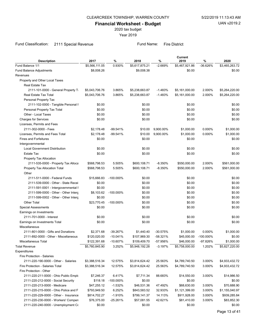2020 tax budget

Year 2019

# Fund Classification: 2111 Special Revenue Fund Name: Fire District

| <b>Description</b>                    | 2017           | %            | 2018           | $\%$       | Current<br>2019 | %            | 2020           |
|---------------------------------------|----------------|--------------|----------------|------------|-----------------|--------------|----------------|
| Fund Balance 1/1                      | \$5,566,111.05 | 0.930%       | \$5,617,875.21 | $-2.669%$  | \$5,467,921.86  | -36.626%     | \$3,465,263.72 |
| Fund Balance Adjustments              | \$8,008.26     |              | \$9,008.38     |            | \$0.00          |              | \$0.00         |
| Revenues                              |                |              |                |            |                 |              |                |
| Property and Other Local Taxes        |                |              |                |            |                 |              |                |
| <b>Real Estate Tax</b>                |                |              |                |            |                 |              |                |
| 2111-101-0000 - General Property Ti   | \$5,043,706.76 | 3.865%       | \$5,238,663.87 | $-1.483%$  | \$5,161,000.00  | 2.000%       | \$5,264,220.00 |
| Real Estate Tax Total                 | \$5,043,706.76 | 3.865%       | \$5,238,663.87 | $-1.483%$  | \$5,161,000.00  | 2.000%       | \$5,264,220.00 |
| Personal Property Tax                 |                |              |                |            |                 |              |                |
| 2111-102-0000 - Tangible Personal F   | \$0.00         |              | \$0.00         |            | \$0.00          |              | \$0.00         |
| Personal Property Tax Total           | \$0.00         |              | \$0.00         |            | \$0.00          |              | \$0.00         |
| Other - Local Taxes                   | \$0.00         |              | \$0.00         |            | \$0.00          |              | \$0.00         |
| <b>Charges for Services</b>           | \$0.00         |              | \$0.00         |            | \$0.00          |              | \$0.00         |
| Licenses, Permits and Fees            |                |              |                |            |                 |              |                |
| 2111-302-0000 - Fees                  | \$2,178.48     | $-99.541%$   | \$10.00        | 9,900.00%  | \$1,000.00      | 0.000%       | \$1,000.00     |
| Licenses, Permits and Fees Total      | \$2,178.48     | $-99.541%$   | \$10.00        | 9,900.00%  | \$1,000.00      | 0.000%       | \$1,000.00     |
| <b>Fines and Forfeitures</b>          | \$0.00         |              | \$0.00         |            | \$0.00          |              | \$0.00         |
| Intergovernmental                     |                |              |                |            |                 |              |                |
| <b>Local Government Distribution</b>  | \$0.00         |              | \$0.00         |            | \$0.00          |              | \$0.00         |
| <b>Estate Tax</b>                     | \$0.00         |              | \$0.00         |            | \$0.00          |              | \$0.00         |
| Property Tax Allocation               |                |              |                |            |                 |              |                |
| 2111-535-0000 - Property Tax Alloca   | \$568,798.53   | 5.505%       | \$600,108.71   | $-8.350%$  | \$550,000.00    | 2.000%       | \$561,000.00   |
| Property Tax Allocation Total         | \$568,798.53   | 5.505%       | \$600,108.71   | $-8.350%$  | \$550,000.00    | 2.000%       | \$561,000.00   |
| Other                                 |                |              |                |            |                 |              |                |
| 2111-511-0000 - Federal Funds         | \$15,666.83    | $-100.000\%$ | \$0.00         |            | \$0.00          |              | \$0.00         |
| 2111-539-0000 - Other - State Recei   | \$0.00         |              | \$0.00         |            | \$0.00          |              | \$0.00         |
| 2111-591-0001 - Intergovernmental F   | \$0.00         |              | \$0.00         |            | \$0.00          |              | \$0.00         |
| 2111-599-0000 - Other - Other Interg  | \$8,103.62     | $-100.000\%$ | \$0.00         |            | \$0.00          |              | \$0.00         |
| 2111-599-0002 - Other - Other Interg  | \$0.00         |              | \$0.00         |            | \$0.00          |              | \$0.00         |
| <b>Other Total</b>                    | \$23,770.45    | $-100.000\%$ | \$0.00         |            | \$0.00          |              | \$0.00         |
| Special Assessments                   | \$0.00         |              | \$0.00         |            | \$0.00          |              | \$0.00         |
| Earnings on Investments               |                |              |                |            |                 |              |                |
| 2111-701-0000 - Interest              | \$0.00         |              | \$0.00         |            | \$0.00          |              | \$0.00         |
| Earnings on Investments Total         | \$0.00         |              | \$0.00         |            | \$0.00          |              | \$0.00         |
| Miscellaneous                         |                |              |                |            |                 |              |                |
| 2111-801-0000 - Gifts and Donations   | \$2,371.68     | -39.267%     | \$1,440.40     | -30.575%   | \$1,000.00      | 0.000%       | \$1,000.00     |
| 2111-892-0000 - Other - Miscellaneous | \$120,020.00   | $-10.041%$   | \$107,969.30   | $-58.321%$ | \$45,000.00     | $-100.000\%$ | \$0.00         |
| Miscellaneous Total                   | \$122,391.68   | $-10.607%$   | \$109,409.70   | -57.956%   | \$46,000.00     | -97.826%     | \$1,000.00     |
| <b>Total Revenue</b>                  | \$5,760,845.90 | 3.252%       | \$5,948,192.28 | $-3.197%$  | \$5,758,000.00  | 1.202%       | \$5,827,220.00 |
| Expenditures                          |                |              |                |            |                 |              |                |
| Fire Protection - Salaries            |                |              |                |            |                 |              |                |
| 2111-220-190-0000 - Other - Salaries  | \$3,388,516.34 | 12.575%      | \$3,814,624.42 | 25.563%    | \$4,789,740.50  | 3.000%       | \$4,933,432.72 |
| Fire Protection - Salaries Total      | \$3,388,516.34 | 12.575%      | \$3,814,624.42 | 25.563%    | \$4,789,740.50  | 3.000%       | \$4,933,432.72 |
| Fire Protection - Other               |                |              |                |            |                 |              |                |
| 2111-220-211-0000 - Ohio Public Emplo | \$7,246.37     | 6.417%       | \$7,711.34     | 88.683%    | \$14,550.00     | 3.000%       | \$14,986.50    |
| 2111-220-212-0000 - Social Security   | \$118.18       | $-100.000\%$ | \$0.00         |            | \$0.00          |              | \$0.00         |
| 2111-220-213-0000 - Medicare          | \$47,255.12    | $-1.532%$    | \$46,531.36    | 47.492%    | \$68,630.00     | 3.000%       | \$70,688.90    |
| 2111-220-215-0000 - Ohio Police and F | \$793,949.50   | 6.252%       | \$843,583.52   | 32.933%    | \$1,121,399.00  | 3.000%       | \$1,155,040.97 |
| 2111-220-229-0000 - Other - Insurance | \$814,702.27   | $-1.910%$    | \$799,141.37   | 14.113%    | \$911,928.00    | 3.000%       | \$939,285.84   |
| 2111-220-230-0000 - Workers' Compen   | \$76,375.00    | $-25.261%$   | \$57,081.55    | 42.621%    | \$81,410.00     | 3.000%       | \$83,852.30    |
| 2111-220-240-0000 - Unemployment Co   | \$0.00         |              | \$0.00         |            | \$0.00          |              | \$0.00         |
|                                       |                |              |                |            |                 |              |                |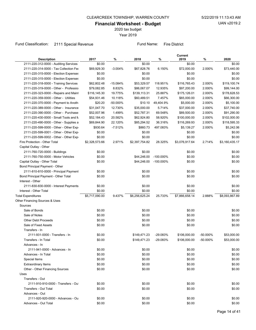2020 tax budget

Year 2019

# Fund Classification: 2111 Special Revenue Fund Name: Fire District

| <b>Description</b>                     | 2017           | ℅         | 2018           | ℅            | Current<br>2019 | %           | 2020           |
|----------------------------------------|----------------|-----------|----------------|--------------|-----------------|-------------|----------------|
| 2111-220-312-0000 - Auditing Services  | \$0.00         |           | \$0.00         |              | \$0.00          |             | \$0.00         |
| 2111-220-314-0000 - Tax Collection Fee | \$69,929.30    | $-3.004%$ | \$67,828.76    | 6.150%       | \$72,000.00     | 2.000%      | \$73,440.00    |
| 2111-220-315-0000 - Election Expenses  | \$0.00         |           | \$0.00         |              | \$0.00          |             | \$0.00         |
| 2111-220-315-0000 - Election Expenses  | \$0.00         |           | \$0.00         |              | \$0.00          |             | \$0.00         |
| 2111-220-318-0000 - Training Services  | \$62,802.48    | -15.084%  | \$53,329.57    | 118.951%     | \$116,765.43    | 2.000%      | \$119,100.74   |
| 2111-220-319-0000 - Other - Profession | \$79,082.85    | 8.832%    | \$86,067.07    | 12.935%      | \$97,200.00     | 2.000%      | \$99,144.00    |
| 2111-220-323-0000 - Repairs and Maint  | \$116,145.30   | 19.775%   | \$139,113.31   | 25.887%      | \$175,126.01    | 2.000%      | \$178,628.53   |
| 2111-220-359-0000 - Other - Utilities  | \$54,931.46    | 10.118%   | \$60,489.51    | 7.457%       | \$65,000.00     | 2.000%      | \$66,300.00    |
| 2111-220-370-0000 - Payment to Anoth   | \$20.20        | -50.000%  | \$10.10        | 49,404.9%    | \$5,000.00      | 2.000%      | \$5,100.00     |
| 2111-220-389-0000 - Other - Insurance  | \$31,047.70    | 12.730%   | \$35,000.00    | 5.714%       | \$37,000.00     | 2.000%      | \$37,740.00    |
| 2111-220-390-0000 - Other - Purchase   | \$52,007.96    | 1.499%    | \$52,787.31    | 69.548%      | \$89,500.00     | 2.000%      | \$91,290.00    |
| 2111-220-430-0000 - Small Tools and M  | \$52,184.43    | 20.582%   | \$62,924.80    | 58.920%      | \$100,000.00    | 2.000%      | \$102,000.00   |
| 2111-220-490-0000 - Other - Supplies a | \$69,844.90    | 22.120%   | \$85,294.52    | 36.316%      | \$116,269.93    | 2.000%      | \$118,595.33   |
| 2111-220-599-0000 - Other - Other Exp  | \$930.64       | $-7.512%$ | \$860.73       | 497.083%     | \$5,139.27      | 2.000%      | \$5,242.06     |
| 2111-220-599-0001 - Other - Other Exp  | \$0.00         |           | \$0.00         |              | \$0.00          |             | \$0.00         |
| 2111-220-599-0002 - Other - Other Exp  | \$0.00         |           | \$0.00         |              | \$0.00          |             | \$0.00         |
| Fire Protection - Other Total          | \$2,328,573.66 | 2.971%    | \$2,397,754.82 | 28.325%      | \$3,076,917.64  | 2.714%      | \$3,160,435.17 |
| Capital Outlay - Other                 |                |           |                |              |                 |             |                |
| 2111-760-720-0000 - Buildings          | \$0.00         |           | \$0.00         |              | \$0.00          |             | \$0.00         |
| 2111-760-750-0000 - Motor Vehicles     | \$0.00         |           | \$44,246.00    | $-100.000\%$ | \$0.00          |             | \$0.00         |
| Capital Outlay - Other Total           | \$0.00         |           | \$44,246.00    | $-100.000\%$ | \$0.00          |             | \$0.00         |
| Bond Principal Payment - Other         |                |           |                |              |                 |             |                |
| 2111-810-810-0000 - Principal Payment  | \$0.00         |           | \$0.00         |              | \$0.00          |             | \$0.00         |
| Bond Principal Payment - Other Total   | \$0.00         |           | \$0.00         |              | \$0.00          |             | \$0.00         |
| Interest - Other                       |                |           |                |              |                 |             |                |
| 2111-830-830-0000 - Interest Payments  | \$0.00         |           | \$0.00         |              | \$0.00          |             | \$0.00         |
| Interest - Other Total                 | \$0.00         |           | \$0.00         |              | \$0.00          |             | \$0.00         |
| <b>Total Expenditures</b>              | \$5,717,090.00 | 9.437%    | \$6,256,625.24 | 25.733%      | \$7,866,658.14  | 2.888%      | \$8,093,867.89 |
| Other Financing Sources & Uses         |                |           |                |              |                 |             |                |
| Sources                                |                |           |                |              |                 |             |                |
| Sale of Bonds                          | \$0.00         |           | \$0.00         |              | \$0.00          |             | \$0.00         |
| Sale of Notes                          | \$0.00         |           | \$0.00         |              | \$0.00          |             | \$0.00         |
| <b>Other Debt Proceeds</b>             | \$0.00         |           | \$0.00         |              | \$0.00          |             | \$0.00         |
| Sale of Fixed Assets                   | \$0.00         |           | \$0.00         |              | \$0.00          |             | \$0.00         |
| Transfers - In                         |                |           |                |              |                 |             |                |
| 2111-931-0000 - Transfers - In         | \$0.00         |           | \$149,471.23   | $-29.083%$   | \$106,000.00    | $-50.000\%$ | \$53,000.00    |
| Transfers - In Total                   | \$0.00         |           | \$149,471.23   | -29.083%     | \$106,000.00    | -50.000%    | \$53,000.00    |
| Advances - In                          |                |           |                |              |                 |             |                |
| 2111-941-0000 - Advances - In          | \$0.00         |           | \$0.00         |              | \$0.00          |             | \$0.00         |
| Advances - In Total                    | \$0.00         |           | \$0.00         |              | \$0.00          |             | \$0.00         |
| Special Items                          | \$0.00         |           | \$0.00         |              | \$0.00          |             | \$0.00         |
| <b>Extraordinary Items</b>             | \$0.00         |           | \$0.00         |              | \$0.00          |             | \$0.00         |
| Other - Other Financing Sources        | \$0.00         |           | \$0.00         |              | \$0.00          |             | \$0.00         |
| Uses                                   |                |           |                |              |                 |             |                |
| Transfers - Out                        |                |           |                |              |                 |             |                |
| 2111-910-910-0000 - Transfers - Oul    | \$0.00         |           | \$0.00         |              | \$0.00          |             | \$0.00         |
| Transfers - Out Total                  | \$0.00         |           | \$0.00         |              | \$0.00          |             | \$0.00         |
|                                        |                |           |                |              |                 |             |                |
| Advances - Out                         |                |           |                |              |                 |             |                |
| 2111-920-920-0000 - Advances - Ou      | \$0.00         |           | \$0.00         |              | \$0.00          |             | \$0.00         |
| Advances - Out Total                   | \$0.00         |           | \$0.00         |              | \$0.00          |             | \$0.00         |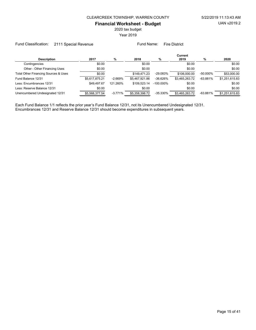2020 tax budget

Year 2019

Fund Classification: 2111 Special Revenue Fund Name: Fire District

|                                      |                |           |                |              | Current        |             |                |
|--------------------------------------|----------------|-----------|----------------|--------------|----------------|-------------|----------------|
| <b>Description</b>                   | 2017           | %         | 2018           | %            | 2019           | %           | 2020           |
| Contingencies                        | \$0.00         |           | \$0.00         |              | \$0.00         |             | \$0.00         |
| Other - Other Financing Uses         | \$0.00         |           | \$0.00         |              | \$0.00         |             | \$0.00         |
| Total Other Financing Sources & Uses | \$0.00         |           | \$149.471.23   | $-29.083%$   | \$106.000.00   | $-50.000\%$ | \$53,000.00    |
| Fund Balance 12/31                   | \$5,617,875.21 | $-2.669%$ | \$5.467.921.86 | $-36.626%$   | \$3.465.263.72 | $-63.881%$  | \$1,251,615.83 |
| Less: Encumbrances 12/31             | \$49.497.67    | 121.260%  | \$109.523.14   | $-100.000\%$ | \$0.00         |             | \$0.00         |
| Less: Reserve Balance 12/31          | \$0.00         |           | \$0.00         |              | \$0.00         |             | \$0.00         |
| Unencumbered Undesignated 12/31      | \$5.568.377.54 | $-3.771%$ | \$5.358.398.72 | $-35.330%$   | \$3.465.263.72 | $-63.881%$  | \$1,251,615.83 |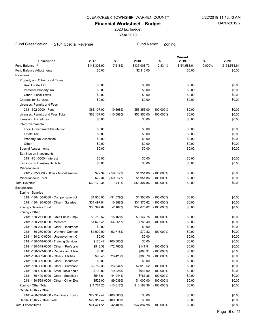2020 tax budget

Year 2019

# Fund Classification: 2181 Special Revenue Fund Name: Zoning

| <b>Description</b>                     | 2017         | %            | 2018         | %                  | Current<br>2019 | %      | 2020         |
|----------------------------------------|--------------|--------------|--------------|--------------------|-----------------|--------|--------------|
| Fund Balance 1/1                       | \$148,303.90 | $-7.616%$    | \$137,008.73 | 12.831%            | \$154,588.61    | 0.000% | \$154,588.61 |
| <b>Fund Balance Adjustments</b>        | \$0.00       |              | \$2,110.00   |                    | \$0.00          |        | \$0.00       |
| Revenues                               |              |              |              |                    |                 |        |              |
| Property and Other Local Taxes         |              |              |              |                    |                 |        |              |
| Real Estate Tax                        | \$0.00       |              | \$0.00       |                    | \$0.00          |        | \$0.00       |
| Personal Property Tax                  | \$0.00       |              | \$0.00       |                    | \$0.00          |        | \$0.00       |
| Other - Local Taxes                    | \$0.00       |              | \$0.00       |                    | \$0.00          |        | \$0.00       |
| <b>Charges for Services</b>            | \$0.00       |              | \$0.00       |                    | \$0.00          |        | \$0.00       |
| Licenses, Permits and Fees             |              |              |              |                    |                 |        |              |
| 2181-302-0000 - Fees                   | \$63,107.00  | $-10.698%$   | \$56,356.00  | $-100.000\%$       | \$0.00          |        | \$0.00       |
| Licenses, Permits and Fees Total       | \$63,107.00  | $-10.698%$   | \$56,356.00  | $-100.000\%$       | \$0.00          |        | \$0.00       |
| <b>Fines and Forfeitures</b>           | \$0.00       |              | \$0.00       |                    | \$0.00          |        | \$0.00       |
| Intergovernmental                      |              |              |              |                    |                 |        |              |
| <b>Local Government Distribution</b>   | \$0.00       |              | \$0.00       |                    | \$0.00          |        | \$0.00       |
| <b>Estate Tax</b>                      | \$0.00       |              | \$0.00       |                    | \$0.00          |        | \$0.00       |
| Property Tax Allocation                | \$0.00       |              | \$0.00       |                    | \$0.00          |        | \$0.00       |
| Other                                  | \$0.00       |              | \$0.00       |                    | \$0.00          |        | \$0.00       |
| <b>Special Assessments</b>             | \$0.00       |              | \$0.00       |                    | \$0.00          |        | \$0.00       |
| Earnings on Investments                |              |              |              |                    |                 |        |              |
| 2181-701-0000 - Interest               | \$0.00       |              | \$0.00       |                    | \$0.00          |        | \$0.00       |
| Earnings on Investments Total          | \$0.00       |              | \$0.00       |                    | \$0.00          |        | \$0.00       |
| Miscellaneous                          |              |              |              |                    |                 |        |              |
| 2181-892-0000 - Other - Miscellaneous  | \$72.34      | 2,598.17%    | \$1,951.86   | $-100.000\%$       | \$0.00          |        | \$0.00       |
| Miscellaneous Total                    | \$72.34      | 2,598.17%    | \$1,951.86   | $-100.000\%$       | \$0.00          |        | \$0.00       |
| <b>Total Revenue</b>                   | \$63,179.34  | -7.711%      | \$58,307.86  | $-100.000\%$       | \$0.00          |        | \$0.00       |
| Expenditures                           |              |              |              |                    |                 |        |              |
| Zoning - Salaries                      |              |              |              |                    |                 |        |              |
| 2181-130-150-0000 - Compensation of I  | \$1,900.00   | $-31.579%$   | \$1,300.00   | $-100.000\%$       | \$0.00          |        | \$0.00       |
| 2181-130-190-0000 - Other - Salaries   | \$31,497.84  | $-0.388%$    | \$31,375.62  | $-100.000\%$       | \$0.00          |        | \$0.00       |
| Zoning - Salaries Total                | \$33,397.84  | $-2.162%$    | \$32,675.62  | -100.000%          | \$0.00          |        | \$0.00       |
| Zoning - Other                         |              |              |              |                    |                 |        |              |
| 2181-130-211-0000 - Ohio Public Emplo  | \$3,710.57   | $-15.168%$   | \$3,147.75   | $-100.000\%$       | \$0.00          |        | \$0.00       |
| 2181-130-213-0000 - Medicare           | \$1,675.41   | -54.251%     | \$766.49     | $-100.000\%$       | \$0.00          |        | \$0.00       |
| 2181-130-229-0000 - Other - Insurance  | \$0.00       |              | \$0.00       |                    | \$0.00          |        | \$0.00       |
| 2181-130-230-0000 - Workers' Compen    | \$1,000.00   | $-92.718%$   | \$72.82      | $-100.000\%$       | \$0.00          |        | \$0.00       |
| 2181-130-240-0000 - Unemployment Co    | \$0.00       |              | \$0.00       |                    | \$0.00          |        | \$0.00       |
| 2181-130-318-0000 - Training Services  | \$126.47     | -100.000%    | \$0.00       |                    | \$0.00          |        | \$0.00       |
| 2181-130-319-0000 - Other - Professior | \$543.38     | -72.780%     |              | \$147.91 -100.000% | \$0.00          |        | \$0.00       |
| 2181-130-323-0000 - Repairs and Maint  | \$0.00       |              | \$898.91     | -100.000%          | \$0.00          |        | \$0.00       |
| 2181-130-359-0000 - Other - Utilities  | \$90.45      | 326.423%     | \$385.70     | $-100.000\%$       | \$0.00          |        | \$0.00       |
| 2181-130-389-0000 - Other - Insurance  | \$0.00       |              | \$0.00       |                    | \$0.00          |        | \$0.00       |
| 2181-130-390-0000 - Other - Purchase   | \$2,752.36   | -26.844%     | \$2,013.52   | $-100.000\%$       | \$0.00          |        | \$0.00       |
| 2181-130-430-0000 - Small Tools and N  | \$790.00     | 19.228%      | \$941.90     | -100.000%          | \$0.00          |        | \$0.00       |
| 2181-130-490-0000 - Other - Supplies a | \$546.61     | 44.044%      | \$787.36     | $-100.000\%$       | \$0.00          |        | \$0.00       |
| 2181-130-599-0000 - Other - Other Exp  | \$529.00     | 89.036%      | \$1,000.00   | -100.000%          | \$0.00          |        | \$0.00       |
| Zoning - Other Total                   | \$11,764.25  | $-13.617%$   | \$10,162.36  | -100.000%          | \$0.00          |        | \$0.00       |
| Capital Outlay - Other                 |              |              |              |                    |                 |        |              |
| 2181-760-740-0000 - Machinery, Equipr  | \$29,312.42  | -100.000%    | \$0.00       |                    | \$0.00          |        | \$0.00       |
| Capital Outlay - Other Total           | \$29,312.42  | $-100.000\%$ | \$0.00       |                    | \$0.00          |        | \$0.00       |
| <b>Total Expenditures</b>              | \$74,474.51  | $-42.480%$   | \$42,837.98  | $-100.000\%$       | \$0.00          |        | \$0.00       |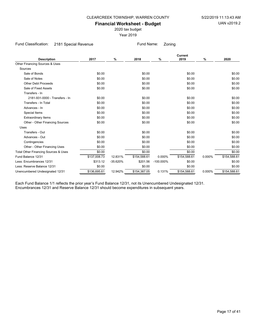2020 tax budget

Year 2019

Fund Classification: 2181 Special Revenue Fund Name: Zoning

| <b>Description</b>                   | 2017         | %          | 2018         | $\%$         | Current<br>2019 | %      | 2020         |
|--------------------------------------|--------------|------------|--------------|--------------|-----------------|--------|--------------|
| Other Financing Sources & Uses       |              |            |              |              |                 |        |              |
| Sources                              |              |            |              |              |                 |        |              |
| Sale of Bonds                        | \$0.00       |            | \$0.00       |              | \$0.00          |        | \$0.00       |
| Sale of Notes                        | \$0.00       |            | \$0.00       |              | \$0.00          |        | \$0.00       |
| <b>Other Debt Proceeds</b>           | \$0.00       |            | \$0.00       |              | \$0.00          |        | \$0.00       |
| Sale of Fixed Assets                 | \$0.00       |            | \$0.00       |              | \$0.00          |        | \$0.00       |
| Transfers - In                       |              |            |              |              |                 |        |              |
| 2181-931-0000 - Transfers - In       | \$0.00       |            | \$0.00       |              | \$0.00          |        | \$0.00       |
| Transfers - In Total                 | \$0.00       |            | \$0.00       |              | \$0.00          |        | \$0.00       |
| Advances - In                        | \$0.00       |            | \$0.00       |              | \$0.00          |        | \$0.00       |
| Special Items                        | \$0.00       |            | \$0.00       |              | \$0.00          |        | \$0.00       |
| <b>Extraordinary Items</b>           | \$0.00       |            | \$0.00       |              | \$0.00          |        | \$0.00       |
| Other - Other Financing Sources      | \$0.00       |            | \$0.00       |              | \$0.00          |        | \$0.00       |
| Uses                                 |              |            |              |              |                 |        |              |
| Transfers - Out                      | \$0.00       |            | \$0.00       |              | \$0.00          |        | \$0.00       |
| Advances - Out                       | \$0.00       |            | \$0.00       |              | \$0.00          |        | \$0.00       |
| Contingencies                        | \$0.00       |            | \$0.00       |              | \$0.00          |        | \$0.00       |
| Other - Other Financing Uses         | \$0.00       |            | \$0.00       |              | \$0.00          |        | \$0.00       |
| Total Other Financing Sources & Uses | \$0.00       |            | \$0.00       |              | \$0.00          |        | \$0.00       |
| Fund Balance 12/31                   | \$137,008.73 | 12.831%    | \$154,588.61 | 0.000%       | \$154,588.61    | 0.000% | \$154,588.61 |
| Less: Encumbrances 12/31             | \$313.12     | $-35.620%$ | \$201.56     | $-100.000\%$ | \$0.00          |        | \$0.00       |
| Less: Reserve Balance 12/31          | \$0.00       |            | \$0.00       |              | \$0.00          |        | \$0.00       |
| Unencumbered Undesignated 12/31      | \$136,695.61 | 12.942%    | \$154,387.05 | 0.131%       | \$154,588.61    | 0.000% | \$154,588.61 |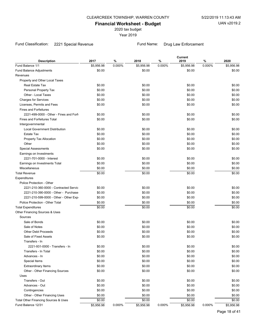2020 tax budget

Year 2019

# Fund Classification: 2221 Special Revenue Fund Name: Drug Law Enforcement

| <b>Description</b>                     | 2017       | $\%$   | 2018       | %      | Current<br>2019 | $\%$   | 2020       |
|----------------------------------------|------------|--------|------------|--------|-----------------|--------|------------|
| Fund Balance 1/1                       | \$5,956.98 | 0.000% | \$5,956.98 | 0.000% | \$5,956.98      | 0.000% | \$5,956.98 |
| Fund Balance Adjustments               | \$0.00     |        | \$0.00     |        | \$0.00          |        | \$0.00     |
| Revenues                               |            |        |            |        |                 |        |            |
| Property and Other Local Taxes         |            |        |            |        |                 |        |            |
| Real Estate Tax                        | \$0.00     |        | \$0.00     |        | \$0.00          |        | \$0.00     |
| Personal Property Tax                  | \$0.00     |        | \$0.00     |        | \$0.00          |        | \$0.00     |
| Other - Local Taxes                    | \$0.00     |        | \$0.00     |        | \$0.00          |        | \$0.00     |
| <b>Charges for Services</b>            | \$0.00     |        | \$0.00     |        | \$0.00          |        | \$0.00     |
| Licenses, Permits and Fees             | \$0.00     |        | \$0.00     |        | \$0.00          |        | \$0.00     |
| <b>Fines and Forfeitures</b>           |            |        |            |        |                 |        |            |
| 2221-499-0000 - Other - Fines and Forf | \$0.00     |        | \$0.00     |        | \$0.00          |        | \$0.00     |
| <b>Fines and Forfeitures Total</b>     | \$0.00     |        | \$0.00     |        | \$0.00          |        | \$0.00     |
| Intergovernmental                      |            |        |            |        |                 |        |            |
| <b>Local Government Distribution</b>   | \$0.00     |        | \$0.00     |        | \$0.00          |        | \$0.00     |
| Estate Tax                             | \$0.00     |        | \$0.00     |        | \$0.00          |        | \$0.00     |
| Property Tax Allocation                | \$0.00     |        | \$0.00     |        | \$0.00          |        | \$0.00     |
| Other                                  | \$0.00     |        | \$0.00     |        | \$0.00          |        | \$0.00     |
| <b>Special Assessments</b>             | \$0.00     |        | \$0.00     |        | \$0.00          |        | \$0.00     |
| Earnings on Investments                |            |        |            |        |                 |        |            |
| 2221-701-0000 - Interest               | \$0.00     |        | \$0.00     |        | \$0.00          |        | \$0.00     |
| Earnings on Investments Total          | \$0.00     |        | \$0.00     |        | \$0.00          |        | \$0.00     |
| Miscellaneous                          | \$0.00     |        | \$0.00     |        | \$0.00          |        | \$0.00     |
| <b>Total Revenue</b>                   | \$0.00     |        | \$0.00     |        | \$0.00          |        | \$0.00     |
| Expenditures                           |            |        |            |        |                 |        |            |
| Police Protection - Other              |            |        |            |        |                 |        |            |
| 2221-210-360-0000 - Contracted Servic  | \$0.00     |        | \$0.00     |        | \$0.00          |        | \$0.00     |
| 2221-210-390-0000 - Other - Purchase   | \$0.00     |        | \$0.00     |        | \$0.00          |        | \$0.00     |
| 2221-210-599-0000 - Other - Other Exp  | \$0.00     |        | \$0.00     |        | \$0.00          |        | \$0.00     |
| Police Protection - Other Total        | \$0.00     |        | \$0.00     |        | \$0.00          |        | \$0.00     |
| <b>Total Expenditures</b>              | \$0.00     |        | \$0.00     |        | \$0.00          |        | \$0.00     |
| Other Financing Sources & Uses         |            |        |            |        |                 |        |            |
| Sources                                |            |        |            |        |                 |        |            |
| Sale of Bonds                          | \$0.00     |        | \$0.00     |        | \$0.00          |        | \$0.00     |
| Sale of Notes                          | \$0.00     |        | \$0.00     |        | \$0.00          |        | \$0.00     |
| <b>Other Debt Proceeds</b>             | \$0.00     |        | \$0.00     |        | \$0.00          |        | \$0.00     |
| Sale of Fixed Assets                   | \$0.00     |        | \$0.00     |        | \$0.00          |        | \$0.00     |
| Transfers - In                         |            |        |            |        |                 |        |            |
| 2221-931-0000 - Transfers - In         | \$0.00     |        | \$0.00     |        | \$0.00          |        | \$0.00     |
| Transfers - In Total                   | \$0.00     |        | \$0.00     |        | \$0.00          |        | \$0.00     |
| Advances - In                          | \$0.00     |        | \$0.00     |        | \$0.00          |        | \$0.00     |
| Special Items                          | \$0.00     |        | \$0.00     |        | \$0.00          |        | \$0.00     |
| <b>Extraordinary Items</b>             | \$0.00     |        | \$0.00     |        | \$0.00          |        | \$0.00     |
| Other - Other Financing Sources        | \$0.00     |        | \$0.00     |        | \$0.00          |        | \$0.00     |
| Uses                                   |            |        |            |        |                 |        |            |
| Transfers - Out                        | \$0.00     |        | \$0.00     |        | \$0.00          |        | \$0.00     |
| Advances - Out                         | \$0.00     |        | \$0.00     |        | \$0.00          |        | \$0.00     |
| Contingencies                          | \$0.00     |        | \$0.00     |        | \$0.00          |        | \$0.00     |
| Other - Other Financing Uses           | \$0.00     |        | \$0.00     |        | \$0.00          |        | \$0.00     |
| Total Other Financing Sources & Uses   | \$0.00     |        | \$0.00     |        | \$0.00          |        | \$0.00     |
| Fund Balance 12/31                     | \$5,956.98 | 0.000% | \$5,956.98 | 0.000% | \$5,956.98      | 0.000% | \$5,956.98 |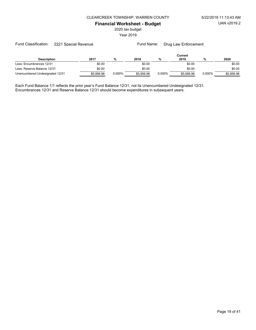2020 tax budget

Year 2019

Fund Name: Drug Law Enforcement

|                                 | Current    |        |            |        |            |        |            |  |  |  |
|---------------------------------|------------|--------|------------|--------|------------|--------|------------|--|--|--|
| <b>Description</b>              | 2017       |        | 2018       |        | 2019       | %      | 2020       |  |  |  |
| Less: Encumbrances 12/31        | \$0.00     |        | \$0.00     |        | \$0.00     |        | \$0.00     |  |  |  |
| Less: Reserve Balance 12/31     | \$0.00     |        | \$0.00     |        | \$0.00     |        | \$0.00     |  |  |  |
| Unencumbered Undesignated 12/31 | \$5.956.98 | 0.000% | \$5.956.98 | 0.000% | \$5.956.98 | 0.000% | \$5.956.98 |  |  |  |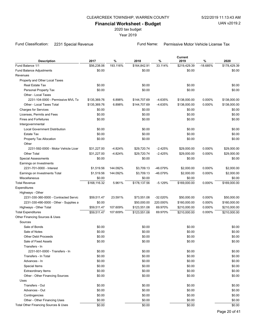2020 tax budget

Year 2019

Fund Classification: 2231 Special Revenue Fund Name: Permissive Motor Vehicle License Tax

| 193.116%<br>\$164,842.91<br>33.114%<br>$-18.685%$<br>\$178,429.39<br>Fund Balance 1/1<br>\$56,238.06<br>\$219,429.39<br>Fund Balance Adjustments<br>\$0.00<br>\$0.00<br>\$0.00<br>\$0.00<br>Revenues<br>Property and Other Local Taxes<br>\$0.00<br>\$0.00<br>Real Estate Tax<br>\$0.00<br>\$0.00<br>\$0.00<br>\$0.00<br>\$0.00<br>Personal Property Tax<br>\$0.00<br>Other - Local Taxes<br>2231-104-0000 - Permissive MVL Ta<br>6.898%<br>0.000%<br>\$135,369.76<br>\$144,707.69<br>$-4.635%$<br>\$138,000.00<br>\$138,000.00<br>\$144,707.69<br>0.000%<br>Other - Local Taxes Total<br>\$135,369.76<br>6.898%<br>$-4.635%$<br>\$138,000.00<br>\$138,000.00<br>\$0.00<br>\$0.00<br><b>Charges for Services</b><br>\$0.00<br>\$0.00<br>\$0.00<br>\$0.00<br>\$0.00<br>Licenses, Permits and Fees<br>\$0.00<br><b>Fines and Forfeitures</b><br>\$0.00<br>\$0.00<br>\$0.00<br>\$0.00<br>Intergovernmental<br><b>Local Government Distribution</b><br>\$0.00<br>\$0.00<br>\$0.00<br>\$0.00<br>\$0.00<br>\$0.00<br>\$0.00<br>\$0.00<br>Estate Tax<br>\$0.00<br>\$0.00<br>\$0.00<br>Property Tax Allocation<br>\$0.00<br>Other<br>$-4.824%$<br>$-2.425%$<br>0.000%<br>\$29,000.00<br>2231-592-0000 - Motor Vehicle Licer<br>\$31,227.00<br>\$29,720.74<br>\$29,000.00<br>\$31,227.00<br>$-4.824%$<br>\$29,720.74<br>$-2.425%$<br>0.000%<br>\$29,000.00<br><b>Other Total</b><br>\$29,000.00<br><b>Special Assessments</b><br>\$0.00<br>\$0.00<br>\$0.00<br>\$0.00<br>Earnings on Investments<br>0.000%<br>\$2,000.00<br>2231-701-0000 - Interest<br>\$1,519.56<br>144.092%<br>\$3,709.13<br>-46.079%<br>\$2,000.00<br>\$1,519.56<br>144.092%<br>\$3,709.13<br>-46.079%<br>\$2,000.00<br>0.000%<br>\$2,000.00<br>Earnings on Investments Total<br>Miscellaneous<br>\$0.00<br>\$0.00<br>\$0.00<br>\$0.00<br>\$168, 116.32<br>\$178,137.56<br>$-5.129%$<br>\$169,000.00<br>\$169,000.00<br><b>Total Revenue</b><br>5.961%<br>0.000%<br>Expenditures<br>Highways - Other<br>-32.020%<br>0.000%<br>\$50,000.00<br>2231-330-360-0000 - Contracted Servic<br>\$59,511.47<br>23.591%<br>\$73,551.08<br>\$50,000.00<br>\$50,000.00<br>220.000%<br>0.000%<br>2231-330-490-0000 - Other - Supplies a<br>\$0.00<br>\$160,000.00<br>\$160,000.00<br>107.609%<br>69.970%<br>0.000%<br>Highways - Other Total<br>\$59,511.47<br>\$123,551.08<br>\$210,000.00<br>\$210,000.00<br>107.609%<br>69.970%<br>0.000%<br><b>Total Expenditures</b><br>\$59,511.47<br>\$123,551.08<br>\$210,000.00<br>\$210,000.00<br>Other Financing Sources & Uses<br>Sources<br>Sale of Bonds<br>\$0.00<br>\$0.00<br>\$0.00<br>\$0.00<br>\$0.00<br>\$0.00<br>Sale of Notes<br>\$0.00<br>\$0.00<br><b>Other Debt Proceeds</b><br>\$0.00<br>\$0.00<br>\$0.00<br>\$0.00<br>\$0.00<br>\$0.00<br>\$0.00<br>\$0.00<br>Sale of Fixed Assets<br>Transfers - In<br>\$0.00<br>\$0.00<br>\$0.00<br>\$0.00<br>2231-931-0000 - Transfers - In<br>\$0.00<br>\$0.00<br>\$0.00<br>\$0.00<br>Transfers - In Total<br>\$0.00<br>\$0.00<br>\$0.00<br>\$0.00<br>Advances - In<br>\$0.00<br>\$0.00<br>Special Items<br>\$0.00<br>\$0.00<br>\$0.00<br>\$0.00<br>\$0.00<br>\$0.00<br><b>Extraordinary Items</b><br>\$0.00<br>\$0.00<br>\$0.00<br>\$0.00<br>Other - Other Financing Sources<br>Uses<br>Transfers - Out<br>\$0.00<br>\$0.00<br>\$0.00<br>\$0.00<br>\$0.00<br>\$0.00<br>\$0.00<br>Advances - Out<br>\$0.00<br>Contingencies<br>\$0.00<br>\$0.00<br>\$0.00<br>\$0.00<br>\$0.00<br>Other - Other Financing Uses<br>\$0.00<br>\$0.00<br>\$0.00<br>Total Other Financing Sources & Uses<br>\$0.00<br>\$0.00<br>\$0.00<br>\$0.00 | <b>Description</b> | 2017 | $\%$ | 2018 | % | Current<br>2019 | % | 2020 |
|-------------------------------------------------------------------------------------------------------------------------------------------------------------------------------------------------------------------------------------------------------------------------------------------------------------------------------------------------------------------------------------------------------------------------------------------------------------------------------------------------------------------------------------------------------------------------------------------------------------------------------------------------------------------------------------------------------------------------------------------------------------------------------------------------------------------------------------------------------------------------------------------------------------------------------------------------------------------------------------------------------------------------------------------------------------------------------------------------------------------------------------------------------------------------------------------------------------------------------------------------------------------------------------------------------------------------------------------------------------------------------------------------------------------------------------------------------------------------------------------------------------------------------------------------------------------------------------------------------------------------------------------------------------------------------------------------------------------------------------------------------------------------------------------------------------------------------------------------------------------------------------------------------------------------------------------------------------------------------------------------------------------------------------------------------------------------------------------------------------------------------------------------------------------------------------------------------------------------------------------------------------------------------------------------------------------------------------------------------------------------------------------------------------------------------------------------------------------------------------------------------------------------------------------------------------------------------------------------------------------------------------------------------------------------------------------------------------------------------------------------------------------------------------------------------------------------------------------------------------------------------------------------------------------------------------------------------------------------------------------------------------------------------------------------------------------------------------------------------------------------------------------------------------------------------------------------------------------------------------------------------------------------------------------------------------------------------------------------------------------------------------------------------------------------------------------------------------------------------------------------------------------------------------------------------------------------|--------------------|------|------|------|---|-----------------|---|------|
|                                                                                                                                                                                                                                                                                                                                                                                                                                                                                                                                                                                                                                                                                                                                                                                                                                                                                                                                                                                                                                                                                                                                                                                                                                                                                                                                                                                                                                                                                                                                                                                                                                                                                                                                                                                                                                                                                                                                                                                                                                                                                                                                                                                                                                                                                                                                                                                                                                                                                                                                                                                                                                                                                                                                                                                                                                                                                                                                                                                                                                                                                                                                                                                                                                                                                                                                                                                                                                                                                                                                                                         |                    |      |      |      |   |                 |   |      |
|                                                                                                                                                                                                                                                                                                                                                                                                                                                                                                                                                                                                                                                                                                                                                                                                                                                                                                                                                                                                                                                                                                                                                                                                                                                                                                                                                                                                                                                                                                                                                                                                                                                                                                                                                                                                                                                                                                                                                                                                                                                                                                                                                                                                                                                                                                                                                                                                                                                                                                                                                                                                                                                                                                                                                                                                                                                                                                                                                                                                                                                                                                                                                                                                                                                                                                                                                                                                                                                                                                                                                                         |                    |      |      |      |   |                 |   |      |
|                                                                                                                                                                                                                                                                                                                                                                                                                                                                                                                                                                                                                                                                                                                                                                                                                                                                                                                                                                                                                                                                                                                                                                                                                                                                                                                                                                                                                                                                                                                                                                                                                                                                                                                                                                                                                                                                                                                                                                                                                                                                                                                                                                                                                                                                                                                                                                                                                                                                                                                                                                                                                                                                                                                                                                                                                                                                                                                                                                                                                                                                                                                                                                                                                                                                                                                                                                                                                                                                                                                                                                         |                    |      |      |      |   |                 |   |      |
|                                                                                                                                                                                                                                                                                                                                                                                                                                                                                                                                                                                                                                                                                                                                                                                                                                                                                                                                                                                                                                                                                                                                                                                                                                                                                                                                                                                                                                                                                                                                                                                                                                                                                                                                                                                                                                                                                                                                                                                                                                                                                                                                                                                                                                                                                                                                                                                                                                                                                                                                                                                                                                                                                                                                                                                                                                                                                                                                                                                                                                                                                                                                                                                                                                                                                                                                                                                                                                                                                                                                                                         |                    |      |      |      |   |                 |   |      |
|                                                                                                                                                                                                                                                                                                                                                                                                                                                                                                                                                                                                                                                                                                                                                                                                                                                                                                                                                                                                                                                                                                                                                                                                                                                                                                                                                                                                                                                                                                                                                                                                                                                                                                                                                                                                                                                                                                                                                                                                                                                                                                                                                                                                                                                                                                                                                                                                                                                                                                                                                                                                                                                                                                                                                                                                                                                                                                                                                                                                                                                                                                                                                                                                                                                                                                                                                                                                                                                                                                                                                                         |                    |      |      |      |   |                 |   |      |
|                                                                                                                                                                                                                                                                                                                                                                                                                                                                                                                                                                                                                                                                                                                                                                                                                                                                                                                                                                                                                                                                                                                                                                                                                                                                                                                                                                                                                                                                                                                                                                                                                                                                                                                                                                                                                                                                                                                                                                                                                                                                                                                                                                                                                                                                                                                                                                                                                                                                                                                                                                                                                                                                                                                                                                                                                                                                                                                                                                                                                                                                                                                                                                                                                                                                                                                                                                                                                                                                                                                                                                         |                    |      |      |      |   |                 |   |      |
|                                                                                                                                                                                                                                                                                                                                                                                                                                                                                                                                                                                                                                                                                                                                                                                                                                                                                                                                                                                                                                                                                                                                                                                                                                                                                                                                                                                                                                                                                                                                                                                                                                                                                                                                                                                                                                                                                                                                                                                                                                                                                                                                                                                                                                                                                                                                                                                                                                                                                                                                                                                                                                                                                                                                                                                                                                                                                                                                                                                                                                                                                                                                                                                                                                                                                                                                                                                                                                                                                                                                                                         |                    |      |      |      |   |                 |   |      |
|                                                                                                                                                                                                                                                                                                                                                                                                                                                                                                                                                                                                                                                                                                                                                                                                                                                                                                                                                                                                                                                                                                                                                                                                                                                                                                                                                                                                                                                                                                                                                                                                                                                                                                                                                                                                                                                                                                                                                                                                                                                                                                                                                                                                                                                                                                                                                                                                                                                                                                                                                                                                                                                                                                                                                                                                                                                                                                                                                                                                                                                                                                                                                                                                                                                                                                                                                                                                                                                                                                                                                                         |                    |      |      |      |   |                 |   |      |
|                                                                                                                                                                                                                                                                                                                                                                                                                                                                                                                                                                                                                                                                                                                                                                                                                                                                                                                                                                                                                                                                                                                                                                                                                                                                                                                                                                                                                                                                                                                                                                                                                                                                                                                                                                                                                                                                                                                                                                                                                                                                                                                                                                                                                                                                                                                                                                                                                                                                                                                                                                                                                                                                                                                                                                                                                                                                                                                                                                                                                                                                                                                                                                                                                                                                                                                                                                                                                                                                                                                                                                         |                    |      |      |      |   |                 |   |      |
|                                                                                                                                                                                                                                                                                                                                                                                                                                                                                                                                                                                                                                                                                                                                                                                                                                                                                                                                                                                                                                                                                                                                                                                                                                                                                                                                                                                                                                                                                                                                                                                                                                                                                                                                                                                                                                                                                                                                                                                                                                                                                                                                                                                                                                                                                                                                                                                                                                                                                                                                                                                                                                                                                                                                                                                                                                                                                                                                                                                                                                                                                                                                                                                                                                                                                                                                                                                                                                                                                                                                                                         |                    |      |      |      |   |                 |   |      |
|                                                                                                                                                                                                                                                                                                                                                                                                                                                                                                                                                                                                                                                                                                                                                                                                                                                                                                                                                                                                                                                                                                                                                                                                                                                                                                                                                                                                                                                                                                                                                                                                                                                                                                                                                                                                                                                                                                                                                                                                                                                                                                                                                                                                                                                                                                                                                                                                                                                                                                                                                                                                                                                                                                                                                                                                                                                                                                                                                                                                                                                                                                                                                                                                                                                                                                                                                                                                                                                                                                                                                                         |                    |      |      |      |   |                 |   |      |
|                                                                                                                                                                                                                                                                                                                                                                                                                                                                                                                                                                                                                                                                                                                                                                                                                                                                                                                                                                                                                                                                                                                                                                                                                                                                                                                                                                                                                                                                                                                                                                                                                                                                                                                                                                                                                                                                                                                                                                                                                                                                                                                                                                                                                                                                                                                                                                                                                                                                                                                                                                                                                                                                                                                                                                                                                                                                                                                                                                                                                                                                                                                                                                                                                                                                                                                                                                                                                                                                                                                                                                         |                    |      |      |      |   |                 |   |      |
|                                                                                                                                                                                                                                                                                                                                                                                                                                                                                                                                                                                                                                                                                                                                                                                                                                                                                                                                                                                                                                                                                                                                                                                                                                                                                                                                                                                                                                                                                                                                                                                                                                                                                                                                                                                                                                                                                                                                                                                                                                                                                                                                                                                                                                                                                                                                                                                                                                                                                                                                                                                                                                                                                                                                                                                                                                                                                                                                                                                                                                                                                                                                                                                                                                                                                                                                                                                                                                                                                                                                                                         |                    |      |      |      |   |                 |   |      |
|                                                                                                                                                                                                                                                                                                                                                                                                                                                                                                                                                                                                                                                                                                                                                                                                                                                                                                                                                                                                                                                                                                                                                                                                                                                                                                                                                                                                                                                                                                                                                                                                                                                                                                                                                                                                                                                                                                                                                                                                                                                                                                                                                                                                                                                                                                                                                                                                                                                                                                                                                                                                                                                                                                                                                                                                                                                                                                                                                                                                                                                                                                                                                                                                                                                                                                                                                                                                                                                                                                                                                                         |                    |      |      |      |   |                 |   |      |
|                                                                                                                                                                                                                                                                                                                                                                                                                                                                                                                                                                                                                                                                                                                                                                                                                                                                                                                                                                                                                                                                                                                                                                                                                                                                                                                                                                                                                                                                                                                                                                                                                                                                                                                                                                                                                                                                                                                                                                                                                                                                                                                                                                                                                                                                                                                                                                                                                                                                                                                                                                                                                                                                                                                                                                                                                                                                                                                                                                                                                                                                                                                                                                                                                                                                                                                                                                                                                                                                                                                                                                         |                    |      |      |      |   |                 |   |      |
|                                                                                                                                                                                                                                                                                                                                                                                                                                                                                                                                                                                                                                                                                                                                                                                                                                                                                                                                                                                                                                                                                                                                                                                                                                                                                                                                                                                                                                                                                                                                                                                                                                                                                                                                                                                                                                                                                                                                                                                                                                                                                                                                                                                                                                                                                                                                                                                                                                                                                                                                                                                                                                                                                                                                                                                                                                                                                                                                                                                                                                                                                                                                                                                                                                                                                                                                                                                                                                                                                                                                                                         |                    |      |      |      |   |                 |   |      |
|                                                                                                                                                                                                                                                                                                                                                                                                                                                                                                                                                                                                                                                                                                                                                                                                                                                                                                                                                                                                                                                                                                                                                                                                                                                                                                                                                                                                                                                                                                                                                                                                                                                                                                                                                                                                                                                                                                                                                                                                                                                                                                                                                                                                                                                                                                                                                                                                                                                                                                                                                                                                                                                                                                                                                                                                                                                                                                                                                                                                                                                                                                                                                                                                                                                                                                                                                                                                                                                                                                                                                                         |                    |      |      |      |   |                 |   |      |
|                                                                                                                                                                                                                                                                                                                                                                                                                                                                                                                                                                                                                                                                                                                                                                                                                                                                                                                                                                                                                                                                                                                                                                                                                                                                                                                                                                                                                                                                                                                                                                                                                                                                                                                                                                                                                                                                                                                                                                                                                                                                                                                                                                                                                                                                                                                                                                                                                                                                                                                                                                                                                                                                                                                                                                                                                                                                                                                                                                                                                                                                                                                                                                                                                                                                                                                                                                                                                                                                                                                                                                         |                    |      |      |      |   |                 |   |      |
|                                                                                                                                                                                                                                                                                                                                                                                                                                                                                                                                                                                                                                                                                                                                                                                                                                                                                                                                                                                                                                                                                                                                                                                                                                                                                                                                                                                                                                                                                                                                                                                                                                                                                                                                                                                                                                                                                                                                                                                                                                                                                                                                                                                                                                                                                                                                                                                                                                                                                                                                                                                                                                                                                                                                                                                                                                                                                                                                                                                                                                                                                                                                                                                                                                                                                                                                                                                                                                                                                                                                                                         |                    |      |      |      |   |                 |   |      |
|                                                                                                                                                                                                                                                                                                                                                                                                                                                                                                                                                                                                                                                                                                                                                                                                                                                                                                                                                                                                                                                                                                                                                                                                                                                                                                                                                                                                                                                                                                                                                                                                                                                                                                                                                                                                                                                                                                                                                                                                                                                                                                                                                                                                                                                                                                                                                                                                                                                                                                                                                                                                                                                                                                                                                                                                                                                                                                                                                                                                                                                                                                                                                                                                                                                                                                                                                                                                                                                                                                                                                                         |                    |      |      |      |   |                 |   |      |
|                                                                                                                                                                                                                                                                                                                                                                                                                                                                                                                                                                                                                                                                                                                                                                                                                                                                                                                                                                                                                                                                                                                                                                                                                                                                                                                                                                                                                                                                                                                                                                                                                                                                                                                                                                                                                                                                                                                                                                                                                                                                                                                                                                                                                                                                                                                                                                                                                                                                                                                                                                                                                                                                                                                                                                                                                                                                                                                                                                                                                                                                                                                                                                                                                                                                                                                                                                                                                                                                                                                                                                         |                    |      |      |      |   |                 |   |      |
|                                                                                                                                                                                                                                                                                                                                                                                                                                                                                                                                                                                                                                                                                                                                                                                                                                                                                                                                                                                                                                                                                                                                                                                                                                                                                                                                                                                                                                                                                                                                                                                                                                                                                                                                                                                                                                                                                                                                                                                                                                                                                                                                                                                                                                                                                                                                                                                                                                                                                                                                                                                                                                                                                                                                                                                                                                                                                                                                                                                                                                                                                                                                                                                                                                                                                                                                                                                                                                                                                                                                                                         |                    |      |      |      |   |                 |   |      |
|                                                                                                                                                                                                                                                                                                                                                                                                                                                                                                                                                                                                                                                                                                                                                                                                                                                                                                                                                                                                                                                                                                                                                                                                                                                                                                                                                                                                                                                                                                                                                                                                                                                                                                                                                                                                                                                                                                                                                                                                                                                                                                                                                                                                                                                                                                                                                                                                                                                                                                                                                                                                                                                                                                                                                                                                                                                                                                                                                                                                                                                                                                                                                                                                                                                                                                                                                                                                                                                                                                                                                                         |                    |      |      |      |   |                 |   |      |
|                                                                                                                                                                                                                                                                                                                                                                                                                                                                                                                                                                                                                                                                                                                                                                                                                                                                                                                                                                                                                                                                                                                                                                                                                                                                                                                                                                                                                                                                                                                                                                                                                                                                                                                                                                                                                                                                                                                                                                                                                                                                                                                                                                                                                                                                                                                                                                                                                                                                                                                                                                                                                                                                                                                                                                                                                                                                                                                                                                                                                                                                                                                                                                                                                                                                                                                                                                                                                                                                                                                                                                         |                    |      |      |      |   |                 |   |      |
|                                                                                                                                                                                                                                                                                                                                                                                                                                                                                                                                                                                                                                                                                                                                                                                                                                                                                                                                                                                                                                                                                                                                                                                                                                                                                                                                                                                                                                                                                                                                                                                                                                                                                                                                                                                                                                                                                                                                                                                                                                                                                                                                                                                                                                                                                                                                                                                                                                                                                                                                                                                                                                                                                                                                                                                                                                                                                                                                                                                                                                                                                                                                                                                                                                                                                                                                                                                                                                                                                                                                                                         |                    |      |      |      |   |                 |   |      |
|                                                                                                                                                                                                                                                                                                                                                                                                                                                                                                                                                                                                                                                                                                                                                                                                                                                                                                                                                                                                                                                                                                                                                                                                                                                                                                                                                                                                                                                                                                                                                                                                                                                                                                                                                                                                                                                                                                                                                                                                                                                                                                                                                                                                                                                                                                                                                                                                                                                                                                                                                                                                                                                                                                                                                                                                                                                                                                                                                                                                                                                                                                                                                                                                                                                                                                                                                                                                                                                                                                                                                                         |                    |      |      |      |   |                 |   |      |
|                                                                                                                                                                                                                                                                                                                                                                                                                                                                                                                                                                                                                                                                                                                                                                                                                                                                                                                                                                                                                                                                                                                                                                                                                                                                                                                                                                                                                                                                                                                                                                                                                                                                                                                                                                                                                                                                                                                                                                                                                                                                                                                                                                                                                                                                                                                                                                                                                                                                                                                                                                                                                                                                                                                                                                                                                                                                                                                                                                                                                                                                                                                                                                                                                                                                                                                                                                                                                                                                                                                                                                         |                    |      |      |      |   |                 |   |      |
|                                                                                                                                                                                                                                                                                                                                                                                                                                                                                                                                                                                                                                                                                                                                                                                                                                                                                                                                                                                                                                                                                                                                                                                                                                                                                                                                                                                                                                                                                                                                                                                                                                                                                                                                                                                                                                                                                                                                                                                                                                                                                                                                                                                                                                                                                                                                                                                                                                                                                                                                                                                                                                                                                                                                                                                                                                                                                                                                                                                                                                                                                                                                                                                                                                                                                                                                                                                                                                                                                                                                                                         |                    |      |      |      |   |                 |   |      |
|                                                                                                                                                                                                                                                                                                                                                                                                                                                                                                                                                                                                                                                                                                                                                                                                                                                                                                                                                                                                                                                                                                                                                                                                                                                                                                                                                                                                                                                                                                                                                                                                                                                                                                                                                                                                                                                                                                                                                                                                                                                                                                                                                                                                                                                                                                                                                                                                                                                                                                                                                                                                                                                                                                                                                                                                                                                                                                                                                                                                                                                                                                                                                                                                                                                                                                                                                                                                                                                                                                                                                                         |                    |      |      |      |   |                 |   |      |
|                                                                                                                                                                                                                                                                                                                                                                                                                                                                                                                                                                                                                                                                                                                                                                                                                                                                                                                                                                                                                                                                                                                                                                                                                                                                                                                                                                                                                                                                                                                                                                                                                                                                                                                                                                                                                                                                                                                                                                                                                                                                                                                                                                                                                                                                                                                                                                                                                                                                                                                                                                                                                                                                                                                                                                                                                                                                                                                                                                                                                                                                                                                                                                                                                                                                                                                                                                                                                                                                                                                                                                         |                    |      |      |      |   |                 |   |      |
|                                                                                                                                                                                                                                                                                                                                                                                                                                                                                                                                                                                                                                                                                                                                                                                                                                                                                                                                                                                                                                                                                                                                                                                                                                                                                                                                                                                                                                                                                                                                                                                                                                                                                                                                                                                                                                                                                                                                                                                                                                                                                                                                                                                                                                                                                                                                                                                                                                                                                                                                                                                                                                                                                                                                                                                                                                                                                                                                                                                                                                                                                                                                                                                                                                                                                                                                                                                                                                                                                                                                                                         |                    |      |      |      |   |                 |   |      |
|                                                                                                                                                                                                                                                                                                                                                                                                                                                                                                                                                                                                                                                                                                                                                                                                                                                                                                                                                                                                                                                                                                                                                                                                                                                                                                                                                                                                                                                                                                                                                                                                                                                                                                                                                                                                                                                                                                                                                                                                                                                                                                                                                                                                                                                                                                                                                                                                                                                                                                                                                                                                                                                                                                                                                                                                                                                                                                                                                                                                                                                                                                                                                                                                                                                                                                                                                                                                                                                                                                                                                                         |                    |      |      |      |   |                 |   |      |
|                                                                                                                                                                                                                                                                                                                                                                                                                                                                                                                                                                                                                                                                                                                                                                                                                                                                                                                                                                                                                                                                                                                                                                                                                                                                                                                                                                                                                                                                                                                                                                                                                                                                                                                                                                                                                                                                                                                                                                                                                                                                                                                                                                                                                                                                                                                                                                                                                                                                                                                                                                                                                                                                                                                                                                                                                                                                                                                                                                                                                                                                                                                                                                                                                                                                                                                                                                                                                                                                                                                                                                         |                    |      |      |      |   |                 |   |      |
|                                                                                                                                                                                                                                                                                                                                                                                                                                                                                                                                                                                                                                                                                                                                                                                                                                                                                                                                                                                                                                                                                                                                                                                                                                                                                                                                                                                                                                                                                                                                                                                                                                                                                                                                                                                                                                                                                                                                                                                                                                                                                                                                                                                                                                                                                                                                                                                                                                                                                                                                                                                                                                                                                                                                                                                                                                                                                                                                                                                                                                                                                                                                                                                                                                                                                                                                                                                                                                                                                                                                                                         |                    |      |      |      |   |                 |   |      |
|                                                                                                                                                                                                                                                                                                                                                                                                                                                                                                                                                                                                                                                                                                                                                                                                                                                                                                                                                                                                                                                                                                                                                                                                                                                                                                                                                                                                                                                                                                                                                                                                                                                                                                                                                                                                                                                                                                                                                                                                                                                                                                                                                                                                                                                                                                                                                                                                                                                                                                                                                                                                                                                                                                                                                                                                                                                                                                                                                                                                                                                                                                                                                                                                                                                                                                                                                                                                                                                                                                                                                                         |                    |      |      |      |   |                 |   |      |
|                                                                                                                                                                                                                                                                                                                                                                                                                                                                                                                                                                                                                                                                                                                                                                                                                                                                                                                                                                                                                                                                                                                                                                                                                                                                                                                                                                                                                                                                                                                                                                                                                                                                                                                                                                                                                                                                                                                                                                                                                                                                                                                                                                                                                                                                                                                                                                                                                                                                                                                                                                                                                                                                                                                                                                                                                                                                                                                                                                                                                                                                                                                                                                                                                                                                                                                                                                                                                                                                                                                                                                         |                    |      |      |      |   |                 |   |      |
|                                                                                                                                                                                                                                                                                                                                                                                                                                                                                                                                                                                                                                                                                                                                                                                                                                                                                                                                                                                                                                                                                                                                                                                                                                                                                                                                                                                                                                                                                                                                                                                                                                                                                                                                                                                                                                                                                                                                                                                                                                                                                                                                                                                                                                                                                                                                                                                                                                                                                                                                                                                                                                                                                                                                                                                                                                                                                                                                                                                                                                                                                                                                                                                                                                                                                                                                                                                                                                                                                                                                                                         |                    |      |      |      |   |                 |   |      |
|                                                                                                                                                                                                                                                                                                                                                                                                                                                                                                                                                                                                                                                                                                                                                                                                                                                                                                                                                                                                                                                                                                                                                                                                                                                                                                                                                                                                                                                                                                                                                                                                                                                                                                                                                                                                                                                                                                                                                                                                                                                                                                                                                                                                                                                                                                                                                                                                                                                                                                                                                                                                                                                                                                                                                                                                                                                                                                                                                                                                                                                                                                                                                                                                                                                                                                                                                                                                                                                                                                                                                                         |                    |      |      |      |   |                 |   |      |
|                                                                                                                                                                                                                                                                                                                                                                                                                                                                                                                                                                                                                                                                                                                                                                                                                                                                                                                                                                                                                                                                                                                                                                                                                                                                                                                                                                                                                                                                                                                                                                                                                                                                                                                                                                                                                                                                                                                                                                                                                                                                                                                                                                                                                                                                                                                                                                                                                                                                                                                                                                                                                                                                                                                                                                                                                                                                                                                                                                                                                                                                                                                                                                                                                                                                                                                                                                                                                                                                                                                                                                         |                    |      |      |      |   |                 |   |      |
|                                                                                                                                                                                                                                                                                                                                                                                                                                                                                                                                                                                                                                                                                                                                                                                                                                                                                                                                                                                                                                                                                                                                                                                                                                                                                                                                                                                                                                                                                                                                                                                                                                                                                                                                                                                                                                                                                                                                                                                                                                                                                                                                                                                                                                                                                                                                                                                                                                                                                                                                                                                                                                                                                                                                                                                                                                                                                                                                                                                                                                                                                                                                                                                                                                                                                                                                                                                                                                                                                                                                                                         |                    |      |      |      |   |                 |   |      |
|                                                                                                                                                                                                                                                                                                                                                                                                                                                                                                                                                                                                                                                                                                                                                                                                                                                                                                                                                                                                                                                                                                                                                                                                                                                                                                                                                                                                                                                                                                                                                                                                                                                                                                                                                                                                                                                                                                                                                                                                                                                                                                                                                                                                                                                                                                                                                                                                                                                                                                                                                                                                                                                                                                                                                                                                                                                                                                                                                                                                                                                                                                                                                                                                                                                                                                                                                                                                                                                                                                                                                                         |                    |      |      |      |   |                 |   |      |
|                                                                                                                                                                                                                                                                                                                                                                                                                                                                                                                                                                                                                                                                                                                                                                                                                                                                                                                                                                                                                                                                                                                                                                                                                                                                                                                                                                                                                                                                                                                                                                                                                                                                                                                                                                                                                                                                                                                                                                                                                                                                                                                                                                                                                                                                                                                                                                                                                                                                                                                                                                                                                                                                                                                                                                                                                                                                                                                                                                                                                                                                                                                                                                                                                                                                                                                                                                                                                                                                                                                                                                         |                    |      |      |      |   |                 |   |      |
|                                                                                                                                                                                                                                                                                                                                                                                                                                                                                                                                                                                                                                                                                                                                                                                                                                                                                                                                                                                                                                                                                                                                                                                                                                                                                                                                                                                                                                                                                                                                                                                                                                                                                                                                                                                                                                                                                                                                                                                                                                                                                                                                                                                                                                                                                                                                                                                                                                                                                                                                                                                                                                                                                                                                                                                                                                                                                                                                                                                                                                                                                                                                                                                                                                                                                                                                                                                                                                                                                                                                                                         |                    |      |      |      |   |                 |   |      |
|                                                                                                                                                                                                                                                                                                                                                                                                                                                                                                                                                                                                                                                                                                                                                                                                                                                                                                                                                                                                                                                                                                                                                                                                                                                                                                                                                                                                                                                                                                                                                                                                                                                                                                                                                                                                                                                                                                                                                                                                                                                                                                                                                                                                                                                                                                                                                                                                                                                                                                                                                                                                                                                                                                                                                                                                                                                                                                                                                                                                                                                                                                                                                                                                                                                                                                                                                                                                                                                                                                                                                                         |                    |      |      |      |   |                 |   |      |
|                                                                                                                                                                                                                                                                                                                                                                                                                                                                                                                                                                                                                                                                                                                                                                                                                                                                                                                                                                                                                                                                                                                                                                                                                                                                                                                                                                                                                                                                                                                                                                                                                                                                                                                                                                                                                                                                                                                                                                                                                                                                                                                                                                                                                                                                                                                                                                                                                                                                                                                                                                                                                                                                                                                                                                                                                                                                                                                                                                                                                                                                                                                                                                                                                                                                                                                                                                                                                                                                                                                                                                         |                    |      |      |      |   |                 |   |      |
|                                                                                                                                                                                                                                                                                                                                                                                                                                                                                                                                                                                                                                                                                                                                                                                                                                                                                                                                                                                                                                                                                                                                                                                                                                                                                                                                                                                                                                                                                                                                                                                                                                                                                                                                                                                                                                                                                                                                                                                                                                                                                                                                                                                                                                                                                                                                                                                                                                                                                                                                                                                                                                                                                                                                                                                                                                                                                                                                                                                                                                                                                                                                                                                                                                                                                                                                                                                                                                                                                                                                                                         |                    |      |      |      |   |                 |   |      |
|                                                                                                                                                                                                                                                                                                                                                                                                                                                                                                                                                                                                                                                                                                                                                                                                                                                                                                                                                                                                                                                                                                                                                                                                                                                                                                                                                                                                                                                                                                                                                                                                                                                                                                                                                                                                                                                                                                                                                                                                                                                                                                                                                                                                                                                                                                                                                                                                                                                                                                                                                                                                                                                                                                                                                                                                                                                                                                                                                                                                                                                                                                                                                                                                                                                                                                                                                                                                                                                                                                                                                                         |                    |      |      |      |   |                 |   |      |
|                                                                                                                                                                                                                                                                                                                                                                                                                                                                                                                                                                                                                                                                                                                                                                                                                                                                                                                                                                                                                                                                                                                                                                                                                                                                                                                                                                                                                                                                                                                                                                                                                                                                                                                                                                                                                                                                                                                                                                                                                                                                                                                                                                                                                                                                                                                                                                                                                                                                                                                                                                                                                                                                                                                                                                                                                                                                                                                                                                                                                                                                                                                                                                                                                                                                                                                                                                                                                                                                                                                                                                         |                    |      |      |      |   |                 |   |      |
|                                                                                                                                                                                                                                                                                                                                                                                                                                                                                                                                                                                                                                                                                                                                                                                                                                                                                                                                                                                                                                                                                                                                                                                                                                                                                                                                                                                                                                                                                                                                                                                                                                                                                                                                                                                                                                                                                                                                                                                                                                                                                                                                                                                                                                                                                                                                                                                                                                                                                                                                                                                                                                                                                                                                                                                                                                                                                                                                                                                                                                                                                                                                                                                                                                                                                                                                                                                                                                                                                                                                                                         |                    |      |      |      |   |                 |   |      |
|                                                                                                                                                                                                                                                                                                                                                                                                                                                                                                                                                                                                                                                                                                                                                                                                                                                                                                                                                                                                                                                                                                                                                                                                                                                                                                                                                                                                                                                                                                                                                                                                                                                                                                                                                                                                                                                                                                                                                                                                                                                                                                                                                                                                                                                                                                                                                                                                                                                                                                                                                                                                                                                                                                                                                                                                                                                                                                                                                                                                                                                                                                                                                                                                                                                                                                                                                                                                                                                                                                                                                                         |                    |      |      |      |   |                 |   |      |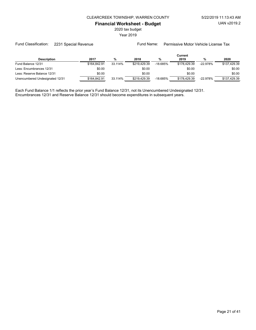2020 tax budget

Year 2019

#### Fund Classification: 2231 Special Revenue Fund Name: Permissive Motor Vehicle License Tax

|                                 |              |         |              |            | Current      |            |              |
|---------------------------------|--------------|---------|--------------|------------|--------------|------------|--------------|
| <b>Description</b>              | 2017         | %       | 2018         | %          | 2019         | %          | 2020         |
| Fund Balance 12/31              | \$164.842.91 | 33.114% | \$219.429.39 | $-18.685%$ | \$178,429.39 | $-22.978%$ | \$137.429.39 |
| Less: Encumbrances 12/31        | \$0.00       |         | \$0.00       |            | \$0.00       |            | \$0.00       |
| Less: Reserve Balance 12/31     | \$0.00       |         | \$0.00       |            | \$0.00       |            | \$0.00       |
| Unencumbered Undesignated 12/31 | \$164.842.91 | 33.114% | \$219.429.39 | $-18.685%$ | \$178,429.39 | $-22.978%$ | \$137.429.39 |

Each Fund Balance 1/1 reflects the prior year's Fund Balance 12/31, not its Unencumbered Undesignated 12/31. Encumbrances 12/31 and Reserve Balance 12/31 should become expenditures in subsequent years.

Page 21 of 41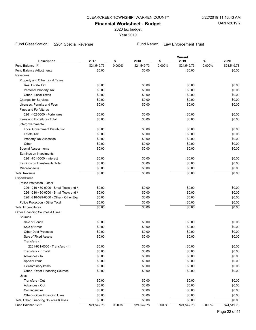2020 tax budget

Year 2019

# Fund Classification: 2261 Special Revenue Fund Name: Law Enforcement Trust

| <b>Description</b>                    | 2017        | %      | 2018        | $\%$   | Current<br>2019 | $\%$   | 2020        |
|---------------------------------------|-------------|--------|-------------|--------|-----------------|--------|-------------|
| Fund Balance 1/1                      | \$24,549.73 | 0.000% | \$24,549.73 | 0.000% | \$24,549.73     | 0.000% | \$24,549.73 |
| Fund Balance Adjustments              | \$0.00      |        | \$0.00      |        | \$0.00          |        | \$0.00      |
| Revenues                              |             |        |             |        |                 |        |             |
| Property and Other Local Taxes        |             |        |             |        |                 |        |             |
| <b>Real Estate Tax</b>                | \$0.00      |        | \$0.00      |        | \$0.00          |        | \$0.00      |
| Personal Property Tax                 | \$0.00      |        | \$0.00      |        | \$0.00          |        | \$0.00      |
| Other - Local Taxes                   | \$0.00      |        | \$0.00      |        | \$0.00          |        | \$0.00      |
| <b>Charges for Services</b>           | \$0.00      |        | \$0.00      |        | \$0.00          |        | \$0.00      |
| Licenses, Permits and Fees            | \$0.00      |        | \$0.00      |        | \$0.00          |        | \$0.00      |
| <b>Fines and Forfeitures</b>          |             |        |             |        |                 |        |             |
| 2261-402-0000 - Forfeitures           | \$0.00      |        | \$0.00      |        | \$0.00          |        | \$0.00      |
| <b>Fines and Forfeitures Total</b>    | \$0.00      |        | \$0.00      |        | \$0.00          |        | \$0.00      |
| Intergovernmental                     |             |        |             |        |                 |        |             |
| <b>Local Government Distribution</b>  | \$0.00      |        | \$0.00      |        | \$0.00          |        | \$0.00      |
| Estate Tax                            | \$0.00      |        | \$0.00      |        | \$0.00          |        | \$0.00      |
| Property Tax Allocation               | \$0.00      |        | \$0.00      |        | \$0.00          |        | \$0.00      |
| Other                                 | \$0.00      |        | \$0.00      |        | \$0.00          |        | \$0.00      |
| <b>Special Assessments</b>            | \$0.00      |        | \$0.00      |        | \$0.00          |        | \$0.00      |
| Earnings on Investments               |             |        |             |        |                 |        |             |
| 2261-701-0000 - Interest              | \$0.00      |        | \$0.00      |        | \$0.00          |        | \$0.00      |
| Earnings on Investments Total         | \$0.00      |        | \$0.00      |        | \$0.00          |        | \$0.00      |
| <b>Miscellaneous</b>                  | \$0.00      |        | \$0.00      |        | \$0.00          |        | \$0.00      |
| <b>Total Revenue</b>                  | \$0.00      |        | \$0.00      |        | \$0.00          |        | \$0.00      |
| Expenditures                          |             |        |             |        |                 |        |             |
| Police Protection - Other             |             |        |             |        |                 |        |             |
| 2261-210-430-0000 - Small Tools and M | \$0.00      |        | \$0.00      |        | \$0.00          |        | \$0.00      |
| 2261-210-430-0000 - Small Tools and M | \$0.00      |        | \$0.00      |        | \$0.00          |        | \$0.00      |
| 2261-210-599-0000 - Other - Other Exp | \$0.00      |        | \$0.00      |        | \$0.00          |        | \$0.00      |
| Police Protection - Other Total       | \$0.00      |        | \$0.00      |        | \$0.00          |        | \$0.00      |
| <b>Total Expenditures</b>             | \$0.00      |        | \$0.00      |        | \$0.00          |        | \$0.00      |
| Other Financing Sources & Uses        |             |        |             |        |                 |        |             |
| Sources                               |             |        |             |        |                 |        |             |
| Sale of Bonds                         | \$0.00      |        | \$0.00      |        | \$0.00          |        | \$0.00      |
| Sale of Notes                         | \$0.00      |        | \$0.00      |        | \$0.00          |        | \$0.00      |
| <b>Other Debt Proceeds</b>            | \$0.00      |        | \$0.00      |        | \$0.00          |        | \$0.00      |
| Sale of Fixed Assets                  | \$0.00      |        | \$0.00      |        | \$0.00          |        | \$0.00      |
| Transfers - In                        |             |        |             |        |                 |        |             |
| 2261-931-0000 - Transfers - In        | \$0.00      |        | \$0.00      |        | \$0.00          |        | \$0.00      |
| Transfers - In Total                  | \$0.00      |        | \$0.00      |        | \$0.00          |        | \$0.00      |
| Advances - In                         | \$0.00      |        | \$0.00      |        | \$0.00          |        | \$0.00      |
| Special Items                         | \$0.00      |        | \$0.00      |        | \$0.00          |        | \$0.00      |
| <b>Extraordinary Items</b>            | \$0.00      |        | \$0.00      |        | \$0.00          |        | \$0.00      |
| Other - Other Financing Sources       | \$0.00      |        | \$0.00      |        | \$0.00          |        | \$0.00      |
| Uses                                  |             |        |             |        |                 |        |             |
| Transfers - Out                       | \$0.00      |        | \$0.00      |        | \$0.00          |        | \$0.00      |
| Advances - Out                        | \$0.00      |        | \$0.00      |        | \$0.00          |        | \$0.00      |
| Contingencies                         | \$0.00      |        | \$0.00      |        | \$0.00          |        | \$0.00      |
| Other - Other Financing Uses          | \$0.00      |        | \$0.00      |        | \$0.00          |        | \$0.00      |
| Total Other Financing Sources & Uses  | \$0.00      |        | \$0.00      |        | \$0.00          |        | \$0.00      |
| Fund Balance 12/31                    | \$24,549.73 | 0.000% | \$24,549.73 | 0.000% | \$24,549.73     | 0.000% | \$24,549.73 |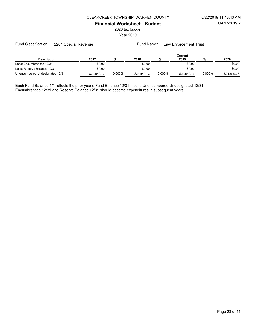2020 tax budget

Year 2019

| <b>Description</b>              | 2017        | %      | 2018        | %         | Current<br>2019 | %         | 2020        |
|---------------------------------|-------------|--------|-------------|-----------|-----------------|-----------|-------------|
| Less: Encumbrances 12/31        | \$0.00      |        | \$0.00      |           | \$0.00          |           | \$0.00      |
| Less: Reserve Balance 12/31     | \$0.00      |        | \$0.00      |           | \$0.00          |           | \$0.00      |
| Unencumbered Undesignated 12/31 | \$24.549.73 | 0.000% | \$24.549.73 | $0.000\%$ | \$24,549.73     | $0.000\%$ | \$24,549.73 |

Each Fund Balance 1/1 reflects the prior year's Fund Balance 12/31, not its Unencumbered Undesignated 12/31. Encumbrances 12/31 and Reserve Balance 12/31 should become expenditures in subsequent years.

Fund Classification: 2261 Special Revenue Fund Name: Law Enforcement Trust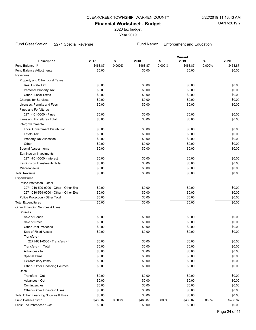2020 tax budget

Year 2019

# Fund Classification: 2271 Special Revenue Fund Name: Enforcement and Education

| Fund Balance 1/1<br>\$468.87<br>0.000%<br>\$468.87<br>0.000%<br>\$468.87<br>0.000%<br>\$468.87<br>Fund Balance Adjustments<br>\$0.00<br>\$0.00<br>\$0.00<br>\$0.00<br>Revenues<br>Property and Other Local Taxes<br>\$0.00<br>\$0.00<br>\$0.00<br>Real Estate Tax<br>\$0.00<br>\$0.00<br>\$0.00<br>Personal Property Tax<br>\$0.00<br>\$0.00<br>Other - Local Taxes<br>\$0.00<br>\$0.00<br>\$0.00<br>\$0.00<br>\$0.00<br>\$0.00<br>\$0.00<br>\$0.00<br><b>Charges for Services</b><br>\$0.00<br>\$0.00<br>\$0.00<br>\$0.00<br>Licenses, Permits and Fees<br><b>Fines and Forfeitures</b><br>2271-401-0000 - Fines<br>\$0.00<br>\$0.00<br>\$0.00<br>\$0.00<br>\$0.00<br>\$0.00<br><b>Fines and Forfeitures Total</b><br>\$0.00<br>\$0.00<br>Intergovernmental<br><b>Local Government Distribution</b><br>\$0.00<br>\$0.00<br>\$0.00<br>\$0.00<br>\$0.00<br>\$0.00<br>\$0.00<br>\$0.00<br><b>Estate Tax</b><br>\$0.00<br>\$0.00<br>\$0.00<br>\$0.00<br>Property Tax Allocation<br>\$0.00<br>\$0.00<br>\$0.00<br>Other<br>\$0.00<br>\$0.00<br>\$0.00<br><b>Special Assessments</b><br>\$0.00<br>\$0.00<br>Earnings on Investments<br>\$0.00<br>\$0.00<br>\$0.00<br>2271-701-0000 - Interest<br>\$0.00<br>\$0.00<br>\$0.00<br>\$0.00<br>\$0.00<br>Earnings on Investments Total<br><b>Miscellaneous</b><br>\$0.00<br>\$0.00<br>\$0.00<br>\$0.00<br>\$0.00<br>\$0.00<br><b>Total Revenue</b><br>\$0.00<br>\$0.00<br>Expenditures<br>Police Protection - Other<br>\$0.00<br>\$0.00<br>\$0.00<br>2271-210-599-0000 - Other - Other Exp<br>\$0.00<br>\$0.00<br>\$0.00<br>\$0.00<br>\$0.00<br>2271-210-599-0000 - Other - Other Exp<br>\$0.00<br>Police Protection - Other Total<br>\$0.00<br>\$0.00<br>\$0.00<br>\$0.00<br>\$0.00<br>\$0.00<br>\$0.00<br><b>Total Expenditures</b><br>Other Financing Sources & Uses<br>Sources<br>Sale of Bonds<br>\$0.00<br>\$0.00<br>\$0.00<br>\$0.00<br>\$0.00<br>\$0.00<br>Sale of Notes<br>\$0.00<br>\$0.00<br>\$0.00<br><b>Other Debt Proceeds</b><br>\$0.00<br>\$0.00<br>\$0.00<br>\$0.00<br>Sale of Fixed Assets<br>\$0.00<br>\$0.00<br>\$0.00<br>Transfers - In<br>\$0.00<br>\$0.00<br>\$0.00<br>\$0.00<br>2271-931-0000 - Transfers - In<br>\$0.00<br>\$0.00<br>\$0.00<br>\$0.00<br>Transfers - In Total<br>\$0.00<br>\$0.00<br>\$0.00<br>\$0.00<br>Advances - In<br>\$0.00<br>\$0.00<br>\$0.00<br>\$0.00<br>Special Items<br>\$0.00<br>\$0.00<br>\$0.00<br>\$0.00<br><b>Extraordinary Items</b><br>\$0.00<br>\$0.00<br>\$0.00<br>\$0.00<br>Other - Other Financing Sources<br>Uses<br>Transfers - Out<br>\$0.00<br>\$0.00<br>\$0.00<br>\$0.00<br>\$0.00<br>\$0.00<br>Advances - Out<br>\$0.00<br>\$0.00<br>\$0.00<br>\$0.00<br>Contingencies<br>\$0.00<br>\$0.00<br>\$0.00<br>\$0.00<br>Other - Other Financing Uses<br>\$0.00<br>\$0.00<br>Total Other Financing Sources & Uses<br>\$0.00<br>\$0.00<br>\$0.00<br>\$0.00<br>Fund Balance 12/31<br>0.000%<br>\$468.87<br>0.000%<br>\$468.87<br>\$468.87<br>0.000%<br>\$468.87 | <b>Description</b>       | 2017   | $\%$ | 2018   | % | <b>Current</b><br>2019 | $\%$ | 2020   |
|------------------------------------------------------------------------------------------------------------------------------------------------------------------------------------------------------------------------------------------------------------------------------------------------------------------------------------------------------------------------------------------------------------------------------------------------------------------------------------------------------------------------------------------------------------------------------------------------------------------------------------------------------------------------------------------------------------------------------------------------------------------------------------------------------------------------------------------------------------------------------------------------------------------------------------------------------------------------------------------------------------------------------------------------------------------------------------------------------------------------------------------------------------------------------------------------------------------------------------------------------------------------------------------------------------------------------------------------------------------------------------------------------------------------------------------------------------------------------------------------------------------------------------------------------------------------------------------------------------------------------------------------------------------------------------------------------------------------------------------------------------------------------------------------------------------------------------------------------------------------------------------------------------------------------------------------------------------------------------------------------------------------------------------------------------------------------------------------------------------------------------------------------------------------------------------------------------------------------------------------------------------------------------------------------------------------------------------------------------------------------------------------------------------------------------------------------------------------------------------------------------------------------------------------------------------------------------------------------------------------------------------------------------------------------------------------------------------------------------------------------------------------------------------------------------------------------------------------------------------------------------------------------------------------------------------------------------------|--------------------------|--------|------|--------|---|------------------------|------|--------|
|                                                                                                                                                                                                                                                                                                                                                                                                                                                                                                                                                                                                                                                                                                                                                                                                                                                                                                                                                                                                                                                                                                                                                                                                                                                                                                                                                                                                                                                                                                                                                                                                                                                                                                                                                                                                                                                                                                                                                                                                                                                                                                                                                                                                                                                                                                                                                                                                                                                                                                                                                                                                                                                                                                                                                                                                                                                                                                                                                                  |                          |        |      |        |   |                        |      |        |
|                                                                                                                                                                                                                                                                                                                                                                                                                                                                                                                                                                                                                                                                                                                                                                                                                                                                                                                                                                                                                                                                                                                                                                                                                                                                                                                                                                                                                                                                                                                                                                                                                                                                                                                                                                                                                                                                                                                                                                                                                                                                                                                                                                                                                                                                                                                                                                                                                                                                                                                                                                                                                                                                                                                                                                                                                                                                                                                                                                  |                          |        |      |        |   |                        |      |        |
|                                                                                                                                                                                                                                                                                                                                                                                                                                                                                                                                                                                                                                                                                                                                                                                                                                                                                                                                                                                                                                                                                                                                                                                                                                                                                                                                                                                                                                                                                                                                                                                                                                                                                                                                                                                                                                                                                                                                                                                                                                                                                                                                                                                                                                                                                                                                                                                                                                                                                                                                                                                                                                                                                                                                                                                                                                                                                                                                                                  |                          |        |      |        |   |                        |      |        |
|                                                                                                                                                                                                                                                                                                                                                                                                                                                                                                                                                                                                                                                                                                                                                                                                                                                                                                                                                                                                                                                                                                                                                                                                                                                                                                                                                                                                                                                                                                                                                                                                                                                                                                                                                                                                                                                                                                                                                                                                                                                                                                                                                                                                                                                                                                                                                                                                                                                                                                                                                                                                                                                                                                                                                                                                                                                                                                                                                                  |                          |        |      |        |   |                        |      |        |
|                                                                                                                                                                                                                                                                                                                                                                                                                                                                                                                                                                                                                                                                                                                                                                                                                                                                                                                                                                                                                                                                                                                                                                                                                                                                                                                                                                                                                                                                                                                                                                                                                                                                                                                                                                                                                                                                                                                                                                                                                                                                                                                                                                                                                                                                                                                                                                                                                                                                                                                                                                                                                                                                                                                                                                                                                                                                                                                                                                  |                          |        |      |        |   |                        |      |        |
|                                                                                                                                                                                                                                                                                                                                                                                                                                                                                                                                                                                                                                                                                                                                                                                                                                                                                                                                                                                                                                                                                                                                                                                                                                                                                                                                                                                                                                                                                                                                                                                                                                                                                                                                                                                                                                                                                                                                                                                                                                                                                                                                                                                                                                                                                                                                                                                                                                                                                                                                                                                                                                                                                                                                                                                                                                                                                                                                                                  |                          |        |      |        |   |                        |      |        |
|                                                                                                                                                                                                                                                                                                                                                                                                                                                                                                                                                                                                                                                                                                                                                                                                                                                                                                                                                                                                                                                                                                                                                                                                                                                                                                                                                                                                                                                                                                                                                                                                                                                                                                                                                                                                                                                                                                                                                                                                                                                                                                                                                                                                                                                                                                                                                                                                                                                                                                                                                                                                                                                                                                                                                                                                                                                                                                                                                                  |                          |        |      |        |   |                        |      |        |
|                                                                                                                                                                                                                                                                                                                                                                                                                                                                                                                                                                                                                                                                                                                                                                                                                                                                                                                                                                                                                                                                                                                                                                                                                                                                                                                                                                                                                                                                                                                                                                                                                                                                                                                                                                                                                                                                                                                                                                                                                                                                                                                                                                                                                                                                                                                                                                                                                                                                                                                                                                                                                                                                                                                                                                                                                                                                                                                                                                  |                          |        |      |        |   |                        |      |        |
|                                                                                                                                                                                                                                                                                                                                                                                                                                                                                                                                                                                                                                                                                                                                                                                                                                                                                                                                                                                                                                                                                                                                                                                                                                                                                                                                                                                                                                                                                                                                                                                                                                                                                                                                                                                                                                                                                                                                                                                                                                                                                                                                                                                                                                                                                                                                                                                                                                                                                                                                                                                                                                                                                                                                                                                                                                                                                                                                                                  |                          |        |      |        |   |                        |      |        |
|                                                                                                                                                                                                                                                                                                                                                                                                                                                                                                                                                                                                                                                                                                                                                                                                                                                                                                                                                                                                                                                                                                                                                                                                                                                                                                                                                                                                                                                                                                                                                                                                                                                                                                                                                                                                                                                                                                                                                                                                                                                                                                                                                                                                                                                                                                                                                                                                                                                                                                                                                                                                                                                                                                                                                                                                                                                                                                                                                                  |                          |        |      |        |   |                        |      |        |
|                                                                                                                                                                                                                                                                                                                                                                                                                                                                                                                                                                                                                                                                                                                                                                                                                                                                                                                                                                                                                                                                                                                                                                                                                                                                                                                                                                                                                                                                                                                                                                                                                                                                                                                                                                                                                                                                                                                                                                                                                                                                                                                                                                                                                                                                                                                                                                                                                                                                                                                                                                                                                                                                                                                                                                                                                                                                                                                                                                  |                          |        |      |        |   |                        |      |        |
|                                                                                                                                                                                                                                                                                                                                                                                                                                                                                                                                                                                                                                                                                                                                                                                                                                                                                                                                                                                                                                                                                                                                                                                                                                                                                                                                                                                                                                                                                                                                                                                                                                                                                                                                                                                                                                                                                                                                                                                                                                                                                                                                                                                                                                                                                                                                                                                                                                                                                                                                                                                                                                                                                                                                                                                                                                                                                                                                                                  |                          |        |      |        |   |                        |      |        |
|                                                                                                                                                                                                                                                                                                                                                                                                                                                                                                                                                                                                                                                                                                                                                                                                                                                                                                                                                                                                                                                                                                                                                                                                                                                                                                                                                                                                                                                                                                                                                                                                                                                                                                                                                                                                                                                                                                                                                                                                                                                                                                                                                                                                                                                                                                                                                                                                                                                                                                                                                                                                                                                                                                                                                                                                                                                                                                                                                                  |                          |        |      |        |   |                        |      |        |
|                                                                                                                                                                                                                                                                                                                                                                                                                                                                                                                                                                                                                                                                                                                                                                                                                                                                                                                                                                                                                                                                                                                                                                                                                                                                                                                                                                                                                                                                                                                                                                                                                                                                                                                                                                                                                                                                                                                                                                                                                                                                                                                                                                                                                                                                                                                                                                                                                                                                                                                                                                                                                                                                                                                                                                                                                                                                                                                                                                  |                          |        |      |        |   |                        |      |        |
|                                                                                                                                                                                                                                                                                                                                                                                                                                                                                                                                                                                                                                                                                                                                                                                                                                                                                                                                                                                                                                                                                                                                                                                                                                                                                                                                                                                                                                                                                                                                                                                                                                                                                                                                                                                                                                                                                                                                                                                                                                                                                                                                                                                                                                                                                                                                                                                                                                                                                                                                                                                                                                                                                                                                                                                                                                                                                                                                                                  |                          |        |      |        |   |                        |      |        |
|                                                                                                                                                                                                                                                                                                                                                                                                                                                                                                                                                                                                                                                                                                                                                                                                                                                                                                                                                                                                                                                                                                                                                                                                                                                                                                                                                                                                                                                                                                                                                                                                                                                                                                                                                                                                                                                                                                                                                                                                                                                                                                                                                                                                                                                                                                                                                                                                                                                                                                                                                                                                                                                                                                                                                                                                                                                                                                                                                                  |                          |        |      |        |   |                        |      |        |
|                                                                                                                                                                                                                                                                                                                                                                                                                                                                                                                                                                                                                                                                                                                                                                                                                                                                                                                                                                                                                                                                                                                                                                                                                                                                                                                                                                                                                                                                                                                                                                                                                                                                                                                                                                                                                                                                                                                                                                                                                                                                                                                                                                                                                                                                                                                                                                                                                                                                                                                                                                                                                                                                                                                                                                                                                                                                                                                                                                  |                          |        |      |        |   |                        |      |        |
|                                                                                                                                                                                                                                                                                                                                                                                                                                                                                                                                                                                                                                                                                                                                                                                                                                                                                                                                                                                                                                                                                                                                                                                                                                                                                                                                                                                                                                                                                                                                                                                                                                                                                                                                                                                                                                                                                                                                                                                                                                                                                                                                                                                                                                                                                                                                                                                                                                                                                                                                                                                                                                                                                                                                                                                                                                                                                                                                                                  |                          |        |      |        |   |                        |      |        |
|                                                                                                                                                                                                                                                                                                                                                                                                                                                                                                                                                                                                                                                                                                                                                                                                                                                                                                                                                                                                                                                                                                                                                                                                                                                                                                                                                                                                                                                                                                                                                                                                                                                                                                                                                                                                                                                                                                                                                                                                                                                                                                                                                                                                                                                                                                                                                                                                                                                                                                                                                                                                                                                                                                                                                                                                                                                                                                                                                                  |                          |        |      |        |   |                        |      |        |
|                                                                                                                                                                                                                                                                                                                                                                                                                                                                                                                                                                                                                                                                                                                                                                                                                                                                                                                                                                                                                                                                                                                                                                                                                                                                                                                                                                                                                                                                                                                                                                                                                                                                                                                                                                                                                                                                                                                                                                                                                                                                                                                                                                                                                                                                                                                                                                                                                                                                                                                                                                                                                                                                                                                                                                                                                                                                                                                                                                  |                          |        |      |        |   |                        |      |        |
|                                                                                                                                                                                                                                                                                                                                                                                                                                                                                                                                                                                                                                                                                                                                                                                                                                                                                                                                                                                                                                                                                                                                                                                                                                                                                                                                                                                                                                                                                                                                                                                                                                                                                                                                                                                                                                                                                                                                                                                                                                                                                                                                                                                                                                                                                                                                                                                                                                                                                                                                                                                                                                                                                                                                                                                                                                                                                                                                                                  |                          |        |      |        |   |                        |      |        |
|                                                                                                                                                                                                                                                                                                                                                                                                                                                                                                                                                                                                                                                                                                                                                                                                                                                                                                                                                                                                                                                                                                                                                                                                                                                                                                                                                                                                                                                                                                                                                                                                                                                                                                                                                                                                                                                                                                                                                                                                                                                                                                                                                                                                                                                                                                                                                                                                                                                                                                                                                                                                                                                                                                                                                                                                                                                                                                                                                                  |                          |        |      |        |   |                        |      |        |
|                                                                                                                                                                                                                                                                                                                                                                                                                                                                                                                                                                                                                                                                                                                                                                                                                                                                                                                                                                                                                                                                                                                                                                                                                                                                                                                                                                                                                                                                                                                                                                                                                                                                                                                                                                                                                                                                                                                                                                                                                                                                                                                                                                                                                                                                                                                                                                                                                                                                                                                                                                                                                                                                                                                                                                                                                                                                                                                                                                  |                          |        |      |        |   |                        |      |        |
|                                                                                                                                                                                                                                                                                                                                                                                                                                                                                                                                                                                                                                                                                                                                                                                                                                                                                                                                                                                                                                                                                                                                                                                                                                                                                                                                                                                                                                                                                                                                                                                                                                                                                                                                                                                                                                                                                                                                                                                                                                                                                                                                                                                                                                                                                                                                                                                                                                                                                                                                                                                                                                                                                                                                                                                                                                                                                                                                                                  |                          |        |      |        |   |                        |      |        |
|                                                                                                                                                                                                                                                                                                                                                                                                                                                                                                                                                                                                                                                                                                                                                                                                                                                                                                                                                                                                                                                                                                                                                                                                                                                                                                                                                                                                                                                                                                                                                                                                                                                                                                                                                                                                                                                                                                                                                                                                                                                                                                                                                                                                                                                                                                                                                                                                                                                                                                                                                                                                                                                                                                                                                                                                                                                                                                                                                                  |                          |        |      |        |   |                        |      |        |
|                                                                                                                                                                                                                                                                                                                                                                                                                                                                                                                                                                                                                                                                                                                                                                                                                                                                                                                                                                                                                                                                                                                                                                                                                                                                                                                                                                                                                                                                                                                                                                                                                                                                                                                                                                                                                                                                                                                                                                                                                                                                                                                                                                                                                                                                                                                                                                                                                                                                                                                                                                                                                                                                                                                                                                                                                                                                                                                                                                  |                          |        |      |        |   |                        |      |        |
|                                                                                                                                                                                                                                                                                                                                                                                                                                                                                                                                                                                                                                                                                                                                                                                                                                                                                                                                                                                                                                                                                                                                                                                                                                                                                                                                                                                                                                                                                                                                                                                                                                                                                                                                                                                                                                                                                                                                                                                                                                                                                                                                                                                                                                                                                                                                                                                                                                                                                                                                                                                                                                                                                                                                                                                                                                                                                                                                                                  |                          |        |      |        |   |                        |      |        |
|                                                                                                                                                                                                                                                                                                                                                                                                                                                                                                                                                                                                                                                                                                                                                                                                                                                                                                                                                                                                                                                                                                                                                                                                                                                                                                                                                                                                                                                                                                                                                                                                                                                                                                                                                                                                                                                                                                                                                                                                                                                                                                                                                                                                                                                                                                                                                                                                                                                                                                                                                                                                                                                                                                                                                                                                                                                                                                                                                                  |                          |        |      |        |   |                        |      |        |
|                                                                                                                                                                                                                                                                                                                                                                                                                                                                                                                                                                                                                                                                                                                                                                                                                                                                                                                                                                                                                                                                                                                                                                                                                                                                                                                                                                                                                                                                                                                                                                                                                                                                                                                                                                                                                                                                                                                                                                                                                                                                                                                                                                                                                                                                                                                                                                                                                                                                                                                                                                                                                                                                                                                                                                                                                                                                                                                                                                  |                          |        |      |        |   |                        |      |        |
|                                                                                                                                                                                                                                                                                                                                                                                                                                                                                                                                                                                                                                                                                                                                                                                                                                                                                                                                                                                                                                                                                                                                                                                                                                                                                                                                                                                                                                                                                                                                                                                                                                                                                                                                                                                                                                                                                                                                                                                                                                                                                                                                                                                                                                                                                                                                                                                                                                                                                                                                                                                                                                                                                                                                                                                                                                                                                                                                                                  |                          |        |      |        |   |                        |      |        |
|                                                                                                                                                                                                                                                                                                                                                                                                                                                                                                                                                                                                                                                                                                                                                                                                                                                                                                                                                                                                                                                                                                                                                                                                                                                                                                                                                                                                                                                                                                                                                                                                                                                                                                                                                                                                                                                                                                                                                                                                                                                                                                                                                                                                                                                                                                                                                                                                                                                                                                                                                                                                                                                                                                                                                                                                                                                                                                                                                                  |                          |        |      |        |   |                        |      |        |
|                                                                                                                                                                                                                                                                                                                                                                                                                                                                                                                                                                                                                                                                                                                                                                                                                                                                                                                                                                                                                                                                                                                                                                                                                                                                                                                                                                                                                                                                                                                                                                                                                                                                                                                                                                                                                                                                                                                                                                                                                                                                                                                                                                                                                                                                                                                                                                                                                                                                                                                                                                                                                                                                                                                                                                                                                                                                                                                                                                  |                          |        |      |        |   |                        |      |        |
|                                                                                                                                                                                                                                                                                                                                                                                                                                                                                                                                                                                                                                                                                                                                                                                                                                                                                                                                                                                                                                                                                                                                                                                                                                                                                                                                                                                                                                                                                                                                                                                                                                                                                                                                                                                                                                                                                                                                                                                                                                                                                                                                                                                                                                                                                                                                                                                                                                                                                                                                                                                                                                                                                                                                                                                                                                                                                                                                                                  |                          |        |      |        |   |                        |      |        |
|                                                                                                                                                                                                                                                                                                                                                                                                                                                                                                                                                                                                                                                                                                                                                                                                                                                                                                                                                                                                                                                                                                                                                                                                                                                                                                                                                                                                                                                                                                                                                                                                                                                                                                                                                                                                                                                                                                                                                                                                                                                                                                                                                                                                                                                                                                                                                                                                                                                                                                                                                                                                                                                                                                                                                                                                                                                                                                                                                                  |                          |        |      |        |   |                        |      |        |
|                                                                                                                                                                                                                                                                                                                                                                                                                                                                                                                                                                                                                                                                                                                                                                                                                                                                                                                                                                                                                                                                                                                                                                                                                                                                                                                                                                                                                                                                                                                                                                                                                                                                                                                                                                                                                                                                                                                                                                                                                                                                                                                                                                                                                                                                                                                                                                                                                                                                                                                                                                                                                                                                                                                                                                                                                                                                                                                                                                  |                          |        |      |        |   |                        |      |        |
|                                                                                                                                                                                                                                                                                                                                                                                                                                                                                                                                                                                                                                                                                                                                                                                                                                                                                                                                                                                                                                                                                                                                                                                                                                                                                                                                                                                                                                                                                                                                                                                                                                                                                                                                                                                                                                                                                                                                                                                                                                                                                                                                                                                                                                                                                                                                                                                                                                                                                                                                                                                                                                                                                                                                                                                                                                                                                                                                                                  |                          |        |      |        |   |                        |      |        |
|                                                                                                                                                                                                                                                                                                                                                                                                                                                                                                                                                                                                                                                                                                                                                                                                                                                                                                                                                                                                                                                                                                                                                                                                                                                                                                                                                                                                                                                                                                                                                                                                                                                                                                                                                                                                                                                                                                                                                                                                                                                                                                                                                                                                                                                                                                                                                                                                                                                                                                                                                                                                                                                                                                                                                                                                                                                                                                                                                                  |                          |        |      |        |   |                        |      |        |
|                                                                                                                                                                                                                                                                                                                                                                                                                                                                                                                                                                                                                                                                                                                                                                                                                                                                                                                                                                                                                                                                                                                                                                                                                                                                                                                                                                                                                                                                                                                                                                                                                                                                                                                                                                                                                                                                                                                                                                                                                                                                                                                                                                                                                                                                                                                                                                                                                                                                                                                                                                                                                                                                                                                                                                                                                                                                                                                                                                  |                          |        |      |        |   |                        |      |        |
|                                                                                                                                                                                                                                                                                                                                                                                                                                                                                                                                                                                                                                                                                                                                                                                                                                                                                                                                                                                                                                                                                                                                                                                                                                                                                                                                                                                                                                                                                                                                                                                                                                                                                                                                                                                                                                                                                                                                                                                                                                                                                                                                                                                                                                                                                                                                                                                                                                                                                                                                                                                                                                                                                                                                                                                                                                                                                                                                                                  |                          |        |      |        |   |                        |      |        |
|                                                                                                                                                                                                                                                                                                                                                                                                                                                                                                                                                                                                                                                                                                                                                                                                                                                                                                                                                                                                                                                                                                                                                                                                                                                                                                                                                                                                                                                                                                                                                                                                                                                                                                                                                                                                                                                                                                                                                                                                                                                                                                                                                                                                                                                                                                                                                                                                                                                                                                                                                                                                                                                                                                                                                                                                                                                                                                                                                                  |                          |        |      |        |   |                        |      |        |
|                                                                                                                                                                                                                                                                                                                                                                                                                                                                                                                                                                                                                                                                                                                                                                                                                                                                                                                                                                                                                                                                                                                                                                                                                                                                                                                                                                                                                                                                                                                                                                                                                                                                                                                                                                                                                                                                                                                                                                                                                                                                                                                                                                                                                                                                                                                                                                                                                                                                                                                                                                                                                                                                                                                                                                                                                                                                                                                                                                  |                          |        |      |        |   |                        |      |        |
|                                                                                                                                                                                                                                                                                                                                                                                                                                                                                                                                                                                                                                                                                                                                                                                                                                                                                                                                                                                                                                                                                                                                                                                                                                                                                                                                                                                                                                                                                                                                                                                                                                                                                                                                                                                                                                                                                                                                                                                                                                                                                                                                                                                                                                                                                                                                                                                                                                                                                                                                                                                                                                                                                                                                                                                                                                                                                                                                                                  |                          |        |      |        |   |                        |      |        |
|                                                                                                                                                                                                                                                                                                                                                                                                                                                                                                                                                                                                                                                                                                                                                                                                                                                                                                                                                                                                                                                                                                                                                                                                                                                                                                                                                                                                                                                                                                                                                                                                                                                                                                                                                                                                                                                                                                                                                                                                                                                                                                                                                                                                                                                                                                                                                                                                                                                                                                                                                                                                                                                                                                                                                                                                                                                                                                                                                                  |                          |        |      |        |   |                        |      |        |
|                                                                                                                                                                                                                                                                                                                                                                                                                                                                                                                                                                                                                                                                                                                                                                                                                                                                                                                                                                                                                                                                                                                                                                                                                                                                                                                                                                                                                                                                                                                                                                                                                                                                                                                                                                                                                                                                                                                                                                                                                                                                                                                                                                                                                                                                                                                                                                                                                                                                                                                                                                                                                                                                                                                                                                                                                                                                                                                                                                  |                          |        |      |        |   |                        |      |        |
|                                                                                                                                                                                                                                                                                                                                                                                                                                                                                                                                                                                                                                                                                                                                                                                                                                                                                                                                                                                                                                                                                                                                                                                                                                                                                                                                                                                                                                                                                                                                                                                                                                                                                                                                                                                                                                                                                                                                                                                                                                                                                                                                                                                                                                                                                                                                                                                                                                                                                                                                                                                                                                                                                                                                                                                                                                                                                                                                                                  |                          |        |      |        |   |                        |      |        |
|                                                                                                                                                                                                                                                                                                                                                                                                                                                                                                                                                                                                                                                                                                                                                                                                                                                                                                                                                                                                                                                                                                                                                                                                                                                                                                                                                                                                                                                                                                                                                                                                                                                                                                                                                                                                                                                                                                                                                                                                                                                                                                                                                                                                                                                                                                                                                                                                                                                                                                                                                                                                                                                                                                                                                                                                                                                                                                                                                                  |                          |        |      |        |   |                        |      |        |
|                                                                                                                                                                                                                                                                                                                                                                                                                                                                                                                                                                                                                                                                                                                                                                                                                                                                                                                                                                                                                                                                                                                                                                                                                                                                                                                                                                                                                                                                                                                                                                                                                                                                                                                                                                                                                                                                                                                                                                                                                                                                                                                                                                                                                                                                                                                                                                                                                                                                                                                                                                                                                                                                                                                                                                                                                                                                                                                                                                  |                          |        |      |        |   |                        |      |        |
|                                                                                                                                                                                                                                                                                                                                                                                                                                                                                                                                                                                                                                                                                                                                                                                                                                                                                                                                                                                                                                                                                                                                                                                                                                                                                                                                                                                                                                                                                                                                                                                                                                                                                                                                                                                                                                                                                                                                                                                                                                                                                                                                                                                                                                                                                                                                                                                                                                                                                                                                                                                                                                                                                                                                                                                                                                                                                                                                                                  |                          |        |      |        |   |                        |      |        |
|                                                                                                                                                                                                                                                                                                                                                                                                                                                                                                                                                                                                                                                                                                                                                                                                                                                                                                                                                                                                                                                                                                                                                                                                                                                                                                                                                                                                                                                                                                                                                                                                                                                                                                                                                                                                                                                                                                                                                                                                                                                                                                                                                                                                                                                                                                                                                                                                                                                                                                                                                                                                                                                                                                                                                                                                                                                                                                                                                                  |                          |        |      |        |   |                        |      |        |
|                                                                                                                                                                                                                                                                                                                                                                                                                                                                                                                                                                                                                                                                                                                                                                                                                                                                                                                                                                                                                                                                                                                                                                                                                                                                                                                                                                                                                                                                                                                                                                                                                                                                                                                                                                                                                                                                                                                                                                                                                                                                                                                                                                                                                                                                                                                                                                                                                                                                                                                                                                                                                                                                                                                                                                                                                                                                                                                                                                  | Less: Encumbrances 12/31 | \$0.00 |      | \$0.00 |   | \$0.00                 |      | \$0.00 |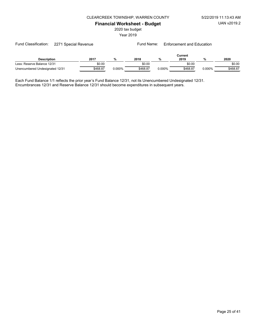#### CLEARCREEK TOWNSHIP, WARREN COUNTY 5/22/2019 11:13:43 AM

Financial Worksheet - Budget

2020 tax budget

Year 2019

| <b>Description</b>              | 2017     | %         | 2018     | %      | Current<br>2019 | %      | 2020     |
|---------------------------------|----------|-----------|----------|--------|-----------------|--------|----------|
| Less: Reserve Balance 12/31     | \$0.00   |           | \$0.00   |        | \$0.00          |        | \$0.00   |
| Unencumbered Undesignated 12/31 | \$468.87 | $0.000\%$ | \$468.87 | 0.000% | \$468.87        | 0.000% | \$468.87 |

Each Fund Balance 1/1 reflects the prior year's Fund Balance 12/31, not its Unencumbered Undesignated 12/31. Encumbrances 12/31 and Reserve Balance 12/31 should become expenditures in subsequent years.

Fund Classification: 2271 Special Revenue Fund Name: Enforcement and Education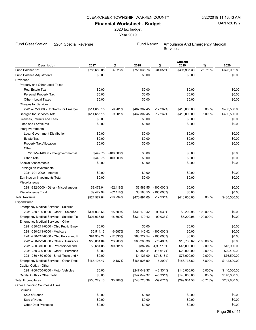#### CLEARCREEK TOWNSHIP, WARREN COUNTY 5/22/2019 11:13:43 AM

### Financial Worksheet - Budget

2020 tax budget

Year 2019

Fund Classification: 2281 Special Revenue Fund Name: Ambulance And Emergency Medical

Other Financing Sources & Uses

Sources

**Services** 

Current<br>2019 Description 2017 % 2018 % 2019 % 2020 Fund Balance 1/1 **12000** \$786,688.05 **4.023% \$755,036.76** -34.051% \$497,937.38 25.719% \$626,002.80 Fund Balance Adjustments **60.00** \$0.00 \$0.00 \$0.00 \$0.00 \$0.00 \$0.00 \$0.00 \$0.00 Revenues Property and Other Local Taxes Real Estate Tax \$0.00 \$0.00 \$0.00 \$0.00 Personal Property Tax 60.00 \$0.00 \$0.00 \$0.00 \$0.00 \$0.00 \$0.00 \$0.00 \$0.00 \$0.00 \$0.00 \$0.00 \$0.00 \$0.00 \$0.00 other - Local Taxes 6.00 \$0.00 \$0.00 \$0.00 \$0.00 \$0.00 \$0.00 \$0.00 \$0.00 \$0.00 \$0.00 \$0.00 \$0.00 \$0.00 \$0.00 \$0.00 \$0.00 \$0.00 \$0.00 \$0.00 \$0.00 \$0.00 \$0.00 \$0.00 \$0.00 \$0.00 \$0.00 \$0.00 \$0.00 \$0.00 \$0.00 \$0.00 \$0.00 \$0.00 Charges for Services 2281-202-0000 - Contracts for Emergen \$514,655.15  $-9.201\%$  \$467,302.45 -12.262% \$410,000.00 5.000% \$430,500.00 Charges for Services Total **\$4655.15** 467,302.45 514,655.15 5410,000.00 5.000% \$430,500.00 Licenses, Permits and Fees **\$0.00** \$0.00 \$0.00 \$0.00 \$0.00 \$0.00 \$0.00 \$0.00 \$0.00 Fines and Forfeitures 60.00 \$0.00 \$0.00 \$0.00 \$0.00 \$0.00 \$0.00 \$0.00 \$0.00 \$0.00 \$0.00 \$0.00 \$0.00 \$0.00 \$0.00 Intergovernmental Local Government Distribution \$0.00 \$0.00 \$0.00 \$0.00 Estate Tax \$0.00 \$0.00 \$0.00 \$0.00 Property Tax Allocation 60.00 \$0.00 \$0.00 \$0.00 \$0.00 \$0.00 \$0.00 \$0.00 \$0.00 \$0.00 \$0.00 \$0.00 \$0.00 \$0.00 \$0.00 \$0.00 \$0.00 \$0.00 \$0.00 \$0.00 \$0.00 \$0.00 \$0.00 \$0.00 \$0.00 \$0.00 \$0.00 \$0.00 \$0.00 \$0.00 \$0.00 \$0.00 \$0.00 **Other** 2281-591-0000 - Intergovernmental F  $$449.75$  -100.000% \$0.00 \$0.00 \$0.00 \$0.00 \$0.00 Other Total \$0.00 \$449.75 \$0.00 \$0.00 -100.000% Special Assessments 60.00 \$0.00 \$0.00 \$0.00 \$0.00 \$0.00 \$0.00 \$0.00 \$0.00 \$0.00 \$0.00 \$0.00 \$0.00 \$0.00 \$0.00 Earnings on Investments 2281-701-0000 - Interest \$0.00 \$0.00 \$0.00 \$0.00 Earnings on Investments Total **60.00** \$0.00 \$0.00 \$0.00 \$0.00 \$0.00 \$0.00 \$0.00 \$0.00 Miscellaneous 2281-892-0000 - Other - Miscellaneous \$9,472.94  $-62.118\%$  \$3,588.55 -100.000% \$0.00 \$0.00 \$0.00 Miscellaneous Total \$9,472.94 -62.118% \$3,588.55 -100.000% \$0.00 \$0.00 \$0.00 \$0.00 \$0.00 \$0.00 Total Revenue \$524,577.84 -10.234% \$470,891.00 -12.931% \$410,000.00 5.000% \$430,500.00 Expenditures Emergency Medical Services - Salaries 2281-230-190-0000 - Other - Salaries \$391,033.66 -15.309% \$331,170.42 -99.033% \$3,200.96 -100.000% \$0.00 Emergency Medical Services - Salaries Tot \$391,033.66 - 15.309% \$331,170.42 - 99.033% \$3,200.96 - 100.000% \$0.00 Emergency Medical Services - Other 2281-230-211-0000 - Ohio Public Employees Retirement Society Society States Retirement States Retirement Societ 2281-230-213-0000 - Medicare \$5,145.42 \$5,514.13 \$0.00 \$0.00 -6.687% -100.000% 2281-230-215-0000 - Ohio Police and F  $$94,939.22$   $-12.336\%$   $$83,227.54$   $-100.000\%$   $$0.00$ 2281-230-229-0000 - Other - Insurance \$55,061.04 23.983% \$68,266.38 -75.488% \$16,733.62 -100.000% \$0.00 2281-230-310-0000 - Professional and Technical S9,681.08  $-90.881\%$  \$882.84 4,997.18% \$45,000.00 2.000% \$45,900.00 2281-230-390-0000 - Other - Purchased Services \$0.00 \$20,000.00 2.000% \$20,400.00 \$3,856.41 418.617% 2281-230-430-0000 - Small Tools and Minor Check \$0.00 \$4,125.00 1,718.18% \$75,000.00 2.000% \$76,500.00 Emergency Medical Services - Other Total \$165,195.47 0.187% \$165,503.59 -5.299% \$156,733.62 -8.890% \$142,800.00 Capital Outlay - Other 2281-760-750-0000 - Motor Vehicles \$247,049.37 \$0.00 \$140,000.00 0.000% \$140,000.00 -43.331%

Capital Outlay - Other Total **\$247,049.37** \$247,049.37  $-43.331\%$  \$140,000.00 0.000% \$140,000.00 Total Expenditures \$556,229.13 33.708% \$743,723.38 -59.671% \$299,934.58 -5.713% \$282,800.00

 $\text{Sale of Bonds}$  50.00  $\text{S0.00}$   $\text{S0.00}$   $\text{S0.00}$   $\text{S0.00}$   $\text{S0.00}$  $\text{Sale of Notes}$  50.00 \$0.00 \$0.00 \$0.00 \$0.00 \$0.00 \$0.00 \$0.00 \$0.00 \$0.00 \$0.00 \$0.00 \$0.00 \$0.00 \$0.00 \$0.00 \$0.00 \$0.00 \$0.00 \$0.00 \$0.00 \$0.00 \$0.00 \$0.00 \$0.00 \$0.00 \$0.00 \$0.00 \$0.00 \$0.00 \$0.00 \$0.00 \$0.00 \$0.00 \$0.00 \$ Other Debt Proceeds  $$0.00$  \$0.00  $$0.00$  \$0.00  $$0.00$  \$0.00  $$0.00$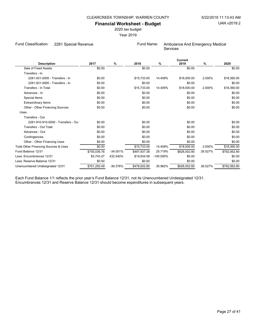2020 tax budget

Year 2019

Fund Classification: 2281 Special Revenue **Fund Name:** Ambulance And Emergency Medical

Services

|                                      |              |            |              |              | Current      |         |              |
|--------------------------------------|--------------|------------|--------------|--------------|--------------|---------|--------------|
| <b>Description</b>                   | 2017         | %          | 2018         | %            | 2019         | $\%$    | 2020         |
| Sale of Fixed Assets                 | \$0.00       |            | \$0.00       |              | \$0.00       |         | \$0.00       |
| Transfers - In                       |              |            |              |              |              |         |              |
| 2281-931-0000 - Transfers - In       | \$0.00       |            | \$15,733.00  | 14.409%      | \$18,000.00  | 2.000%  | \$18,360.00  |
| 2281-931-0000 - Transfers - In       | \$0.00       |            | \$0.00       |              | \$0.00       |         | \$0.00       |
| Transfers - In Total                 | \$0.00       |            | \$15,733.00  | 14.409%      | \$18,000.00  | 2.000%  | \$18,360.00  |
| Advances - In                        | \$0.00       |            | \$0.00       |              | \$0.00       |         | \$0.00       |
| Special Items                        | \$0.00       |            | \$0.00       |              | \$0.00       |         | \$0.00       |
| <b>Extraordinary Items</b>           | \$0.00       |            | \$0.00       |              | \$0.00       |         | \$0.00       |
| Other - Other Financing Sources      | \$0.00       |            | \$0.00       |              | \$0.00       |         | \$0.00       |
| Uses                                 |              |            |              |              |              |         |              |
| Transfers - Out                      |              |            |              |              |              |         |              |
| 2281-910-910-0000 - Transfers - Out  | \$0.00       |            | \$0.00       |              | \$0.00       |         | \$0.00       |
| Transfers - Out Total                | \$0.00       |            | \$0.00       |              | \$0.00       |         | \$0.00       |
| Advances - Out                       | \$0.00       |            | \$0.00       |              | \$0.00       |         | \$0.00       |
| Contingencies                        | \$0.00       |            | \$0.00       |              | \$0.00       |         | \$0.00       |
| Other - Other Financing Uses         | \$0.00       |            | \$0.00       |              | \$0.00       |         | \$0.00       |
| Total Other Financing Sources & Uses | \$0.00       |            | \$15,733.00  | 14.409%      | \$18,000.00  | 2.000%  | \$18,360.00  |
| Fund Balance 12/31                   | \$755,036.76 | $-34.051%$ | \$497,937.38 | 25.719%      | \$626,002.80 | 26.527% | \$792,062.80 |
| Less: Encumbrances 12/31             | \$3,743.27   | 432.540%   | \$19,934.58  | $-100.000\%$ | \$0.00       |         | \$0.00       |
| Less: Reserve Balance 12/31          | \$0.00       |            | \$0.00       |              | \$0.00       |         | \$0.00       |
| Unencumbered Undesignated 12/31      | \$751,293.49 | -36.376%   | \$478,002.80 | 30.962%      | \$626,002.80 | 26.527% | \$792,062.80 |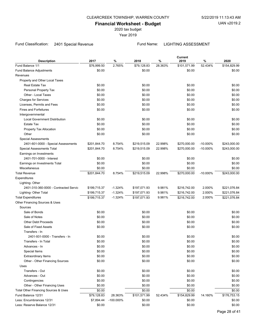2020 tax budget

Year 2019

### Fund Classification: 2401 Special Revenue Fund Name: LIGHTING ASSESSMENT

| <b>Description</b>                    | 2017         | $\%$         | 2018         | %       | Current<br>2019 | $\%$        | 2020         |
|---------------------------------------|--------------|--------------|--------------|---------|-----------------|-------------|--------------|
| Fund Balance 1/1                      | \$76,999.50  | 2.765%       | \$79,128.83  | 28.363% | \$101,571.99    | 52.434%     | \$154,829.99 |
| Fund Balance Adjustments              | \$0.00       |              | \$0.00       |         | \$0.00          |             | \$0.00       |
| Revenues                              |              |              |              |         |                 |             |              |
| Property and Other Local Taxes        |              |              |              |         |                 |             |              |
| Real Estate Tax                       | \$0.00       |              | \$0.00       |         | \$0.00          |             | \$0.00       |
| Personal Property Tax                 | \$0.00       |              | \$0.00       |         | \$0.00          |             | \$0.00       |
| Other - Local Taxes                   | \$0.00       |              | \$0.00       |         | \$0.00          |             | \$0.00       |
| <b>Charges for Services</b>           | \$0.00       |              | \$0.00       |         | \$0.00          |             | \$0.00       |
| Licenses, Permits and Fees            | \$0.00       |              | \$0.00       |         | \$0.00          |             | \$0.00       |
| <b>Fines and Forfeitures</b>          | \$0.00       |              | \$0.00       |         | \$0.00          |             | \$0.00       |
| Intergovernmental                     |              |              |              |         |                 |             |              |
| <b>Local Government Distribution</b>  | \$0.00       |              | \$0.00       |         | \$0.00          |             | \$0.00       |
| <b>Estate Tax</b>                     | \$0.00       |              | \$0.00       |         | \$0.00          |             | \$0.00       |
| Property Tax Allocation               | \$0.00       |              | \$0.00       |         | \$0.00          |             | \$0.00       |
| Other                                 | \$0.00       |              | \$0.00       |         | \$0.00          |             | \$0.00       |
| <b>Special Assessments</b>            |              |              |              |         |                 |             |              |
| 2401-601-0000 - Special Assessments   | \$201,844.70 | 8.754%       | \$219,515.09 | 22.998% | \$270,000.00    | $-10.000\%$ | \$243,000.00 |
| Special Assessments Total             | \$201,844.70 | 8.754%       | \$219,515.09 | 22.998% | \$270,000.00    | $-10.000\%$ | \$243,000.00 |
| Earnings on Investments               |              |              |              |         |                 |             |              |
| 2401-701-0000 - Interest              | \$0.00       |              | \$0.00       |         | \$0.00          |             | \$0.00       |
| Earnings on Investments Total         | \$0.00       |              | \$0.00       |         | \$0.00          |             | \$0.00       |
| Miscellaneous                         | \$0.00       |              | \$0.00       |         | \$0.00          |             | \$0.00       |
| <b>Total Revenue</b>                  | \$201,844.70 | 8.754%       | \$219,515.09 | 22.998% | \$270,000.00    | $-10.000\%$ | \$243,000.00 |
| Expenditures                          |              |              |              |         |                 |             |              |
| Lighting-Other                        |              |              |              |         |                 |             |              |
| 2401-310-360-0000 - Contracted Servic | \$199,715.37 | $-1.324%$    | \$197,071.93 | 9.981%  | \$216,742.00    | 2.000%      | \$221,076.84 |
| Lighting- Other Total                 | \$199,715.37 | $-1.324%$    | \$197,071.93 | 9.981%  | \$216,742.00    | 2.000%      | \$221,076.84 |
| <b>Total Expenditures</b>             | \$199,715.37 | $-1.324%$    | \$197,071.93 | 9.981%  | \$216,742.00    | 2.000%      | \$221,076.84 |
| Other Financing Sources & Uses        |              |              |              |         |                 |             |              |
| Sources                               |              |              |              |         |                 |             |              |
| Sale of Bonds                         | \$0.00       |              | \$0.00       |         | \$0.00          |             | \$0.00       |
| Sale of Notes                         | \$0.00       |              | \$0.00       |         | \$0.00          |             | \$0.00       |
| <b>Other Debt Proceeds</b>            | \$0.00       |              | \$0.00       |         | \$0.00          |             | \$0.00       |
| Sale of Fixed Assets                  | \$0.00       |              | \$0.00       |         | \$0.00          |             | \$0.00       |
| Transfers - In                        |              |              |              |         |                 |             |              |
| 2401-931-0000 - Transfers - In        | \$0.00       |              | \$0.00       |         | \$0.00          |             | \$0.00       |
| Transfers - In Total                  | \$0.00       |              | \$0.00       |         | \$0.00          |             | \$0.00       |
| Advances - In                         | \$0.00       |              | \$0.00       |         | \$0.00          |             | \$0.00       |
| Special Items                         | \$0.00       |              | \$0.00       |         | \$0.00          |             | \$0.00       |
| <b>Extraordinary Items</b>            | \$0.00       |              | \$0.00       |         | \$0.00          |             | \$0.00       |
| Other - Other Financing Sources       | \$0.00       |              | \$0.00       |         | \$0.00          |             | \$0.00       |
| Uses                                  |              |              |              |         |                 |             |              |
| Transfers - Out                       | \$0.00       |              | \$0.00       |         | \$0.00          |             | \$0.00       |
| Advances - Out                        | \$0.00       |              | \$0.00       |         | \$0.00          |             | \$0.00       |
| Contingencies                         | \$0.00       |              | \$0.00       |         | \$0.00          |             | \$0.00       |
| Other - Other Financing Uses          | \$0.00       |              | \$0.00       |         | \$0.00          |             | \$0.00       |
| Total Other Financing Sources & Uses  | \$0.00       |              | \$0.00       |         | \$0.00          |             | \$0.00       |
| Fund Balance 12/31                    | \$79,128.83  | 28.363%      | \$101,571.99 | 52.434% | \$154,829.99    | 14.160%     | \$176,753.15 |
| Less: Encumbrances 12/31              | \$7,894.44   | $-100.000\%$ | \$0.00       |         | \$0.00          |             | \$0.00       |
| Less: Reserve Balance 12/31           | \$0.00       |              | \$0.00       |         | \$0.00          |             | \$0.00       |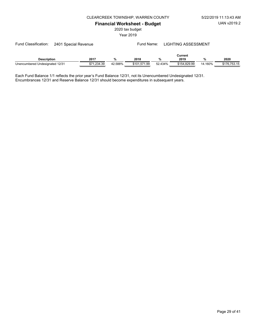UAN v2019.2

#### CLEARCREEK TOWNSHIP, WARREN COUNTY 5/22/2019 11:13:43 AM

Financial Worksheet - Budget

2020 tax budget

Year 2019

| <b>Description</b>              | 2017                   | $\mathbf{O}$ | 2018              | n/<br>% | Current<br>2019 | 70      | 2020         |
|---------------------------------|------------------------|--------------|-------------------|---------|-----------------|---------|--------------|
| Unencumbered Undesignated 12/31 | <b>←フィ</b><br>234.39.ا | 42.588%      | \$101.571<br>1.99 | 52.434% | \$154.829.99    | 14.160% | \$176,753.15 |

Each Fund Balance 1/1 reflects the prior year's Fund Balance 12/31, not its Unencumbered Undesignated 12/31. Encumbrances 12/31 and Reserve Balance 12/31 should become expenditures in subsequent years.

Fund Classification: 2401 Special Revenue Fund Name: LIGHTING ASSESSMENT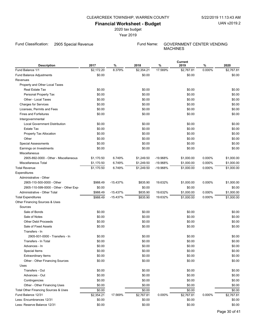# CLEARCREEK TOWNSHIP, WARREN COUNTY 5/22/2019 11:13:43 AM

# Financial Worksheet - Budget

2020 tax budget

Year 2019

Fund Classification: 2905 Special Revenue Fund Name: GOVERNMENT CENTER VENDING

MACHINES

| <b>Description</b>                    | 2017       | %          | 2018       | $\%$     | Current<br>2019 | $\%$   | 2020       |
|---------------------------------------|------------|------------|------------|----------|-----------------|--------|------------|
| Fund Balance 1/1                      | \$2,172.20 | 8.379%     | \$2,354.21 | 17.569%  | \$2,767.81      | 0.000% | \$2,767.81 |
| Fund Balance Adjustments              | \$0.00     |            | \$0.00     |          | \$0.00          |        | \$0.00     |
| Revenues                              |            |            |            |          |                 |        |            |
| Property and Other Local Taxes        |            |            |            |          |                 |        |            |
| Real Estate Tax                       | \$0.00     |            | \$0.00     |          | \$0.00          |        | \$0.00     |
| Personal Property Tax                 | \$0.00     |            | \$0.00     |          | \$0.00          |        | \$0.00     |
| Other - Local Taxes                   | \$0.00     |            | \$0.00     |          | \$0.00          |        | \$0.00     |
| <b>Charges for Services</b>           | \$0.00     |            | \$0.00     |          | \$0.00          |        | \$0.00     |
| Licenses, Permits and Fees            | \$0.00     |            | \$0.00     |          | \$0.00          |        | \$0.00     |
| <b>Fines and Forfeitures</b>          | \$0.00     |            | \$0.00     |          | \$0.00          |        | \$0.00     |
| Intergovernmental                     |            |            |            |          |                 |        |            |
| <b>Local Government Distribution</b>  | \$0.00     |            | \$0.00     |          | \$0.00          |        | \$0.00     |
| Estate Tax                            | \$0.00     |            | \$0.00     |          | \$0.00          |        | \$0.00     |
| Property Tax Allocation               | \$0.00     |            | \$0.00     |          | \$0.00          |        | \$0.00     |
| Other                                 | \$0.00     |            | \$0.00     |          | \$0.00          |        | \$0.00     |
| <b>Special Assessments</b>            | \$0.00     |            | \$0.00     |          | \$0.00          |        | \$0.00     |
| Earnings on Investments               | \$0.00     |            | \$0.00     |          | \$0.00          |        | \$0.00     |
| Miscellaneous                         |            |            |            |          |                 |        |            |
| 2905-892-0000 - Other - Miscellaneous | \$1,170.50 | 6.749%     | \$1,249.50 | -19.968% | \$1,000.00      | 0.000% | \$1,000.00 |
| Miscellaneous Total                   | \$1,170.50 | 6.749%     | \$1,249.50 | -19.968% | \$1,000.00      | 0.000% | \$1,000.00 |
| <b>Total Revenue</b>                  | \$1,170.50 | 6.749%     | \$1,249.50 | -19.968% | \$1,000.00      | 0.000% | \$1,000.00 |
| Expenditures                          |            |            |            |          |                 |        |            |
| Administrative - Other                |            |            |            |          |                 |        |            |
| 2905-110-500-0000 - Other             | \$988.49   | $-15.437%$ | \$835.90   | 19.632%  | \$1,000.00      | 0.000% | \$1,000.00 |
| 2905-110-599-0000 - Other - Other Exp | \$0.00     |            | \$0.00     |          | \$0.00          |        | \$0.00     |
| Administrative - Other Total          | \$988.49   | $-15.437%$ | \$835.90   | 19.632%  | \$1,000.00      | 0.000% | \$1,000.00 |
| <b>Total Expenditures</b>             | \$988.49   | $-15.437%$ | \$835.90   | 19.632%  | \$1,000.00      | 0.000% | \$1,000.00 |
| Other Financing Sources & Uses        |            |            |            |          |                 |        |            |
| Sources                               |            |            |            |          |                 |        |            |
| Sale of Bonds                         | \$0.00     |            | \$0.00     |          | \$0.00          |        | \$0.00     |
| Sale of Notes                         | \$0.00     |            | \$0.00     |          | \$0.00          |        | \$0.00     |
| <b>Other Debt Proceeds</b>            | \$0.00     |            | \$0.00     |          | \$0.00          |        | \$0.00     |
| Sale of Fixed Assets                  | \$0.00     |            | \$0.00     |          | \$0.00          |        | \$0.00     |
| Transfers - In                        |            |            |            |          |                 |        |            |
| 2905-931-0000 - Transfers - In        | \$0.00     |            | \$0.00     |          | \$0.00          |        | \$0.00     |
| Transfers - In Total                  | \$0.00     |            | \$0.00     |          | \$0.00          |        | \$0.00     |
| Advances - In                         | \$0.00     |            | \$0.00     |          | \$0.00          |        | \$0.00     |
| Special Items                         | \$0.00     |            | \$0.00     |          | \$0.00          |        | \$0.00     |
| <b>Extraordinary Items</b>            | \$0.00     |            | \$0.00     |          | \$0.00          |        | \$0.00     |
| Other - Other Financing Sources       | \$0.00     |            | \$0.00     |          | \$0.00          |        | \$0.00     |
| Uses                                  |            |            |            |          |                 |        |            |
| Transfers - Out                       | \$0.00     |            | \$0.00     |          | \$0.00          |        | \$0.00     |
| Advances - Out                        | \$0.00     |            | \$0.00     |          | \$0.00          |        | \$0.00     |
| Contingencies                         | \$0.00     |            | \$0.00     |          | \$0.00          |        | \$0.00     |
| Other - Other Financing Uses          | \$0.00     |            | \$0.00     |          | \$0.00          |        | \$0.00     |
| Total Other Financing Sources & Uses  | \$0.00     |            | \$0.00     |          | \$0.00          |        | \$0.00     |
| Fund Balance 12/31                    | \$2,354.21 | 17.569%    | \$2,767.81 | 0.000%   | \$2,767.81      | 0.000% | \$2,767.81 |
| Less: Encumbrances 12/31              | \$0.00     |            | \$0.00     |          | \$0.00          |        | \$0.00     |
| Less: Reserve Balance 12/31           | \$0.00     |            | \$0.00     |          | \$0.00          |        | \$0.00     |
|                                       |            |            |            |          |                 |        |            |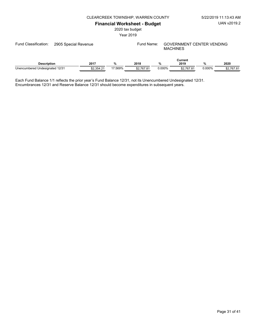CLEARCREEK TOWNSHIP, WARREN COUNTY 5/22/2019 11:13:43 AM

# Financial Worksheet - Budget

2020 tax budget

Year 2019

| Fund Classification:            | 2905 Special Revenue |            |         | Fund Name: |           | <b>GOVERNMENT CENTER VENDING</b><br><b>MACHINES</b> |        |            |  |
|---------------------------------|----------------------|------------|---------|------------|-----------|-----------------------------------------------------|--------|------------|--|
| <b>Description</b>              |                      | 2017       | %       | 2018       | %         | Current<br>2019                                     | %      | 2020       |  |
| Unencumbered Undesignated 12/31 |                      | \$2.354.21 | 17.569% | \$2.767.81 | $0.000\%$ | \$2.767.81                                          | 0.000% | \$2,767.81 |  |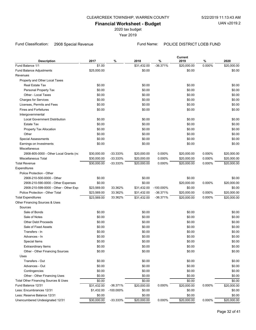2020 tax budget

Year 2019

Fund Classification: 2908 Special Revenue Fund Name: POLICE DISTRICT LOEB FUND

Current

| <b>Description</b>                                        | 2017             | $\%$        | 2018             | $\%$         | Նարերա<br>2019   | $\%$   | 2020             |
|-----------------------------------------------------------|------------------|-------------|------------------|--------------|------------------|--------|------------------|
| Fund Balance 1/1                                          | \$1.00           |             | \$31,432.00      | $-36.371%$   | \$20,000.00      | 0.000% | \$20,000.00      |
| Fund Balance Adjustments                                  | \$25,000.00      |             | \$0.00           |              | \$0.00           |        | \$0.00           |
| Revenues                                                  |                  |             |                  |              |                  |        |                  |
| Property and Other Local Taxes                            |                  |             |                  |              |                  |        |                  |
| Real Estate Tax                                           | \$0.00           |             | \$0.00           |              | \$0.00           |        | \$0.00           |
| Personal Property Tax                                     | \$0.00           |             | \$0.00           |              | \$0.00           |        | \$0.00           |
| Other - Local Taxes                                       | \$0.00           |             | \$0.00           |              | \$0.00           |        | \$0.00           |
| <b>Charges for Services</b>                               | \$0.00           |             | \$0.00           |              | \$0.00           |        | \$0.00           |
| Licenses, Permits and Fees                                | \$0.00           |             | \$0.00           |              | \$0.00           |        | \$0.00           |
| <b>Fines and Forfeitures</b>                              | \$0.00           |             | \$0.00           |              | \$0.00           |        | \$0.00           |
|                                                           |                  |             |                  |              |                  |        |                  |
| Intergovernmental                                         |                  |             |                  |              |                  |        |                  |
| <b>Local Government Distribution</b><br><b>Estate Tax</b> | \$0.00<br>\$0.00 |             | \$0.00<br>\$0.00 |              | \$0.00<br>\$0.00 |        | \$0.00<br>\$0.00 |
|                                                           |                  |             |                  |              |                  |        |                  |
| Property Tax Allocation                                   | \$0.00           |             | \$0.00           |              | \$0.00           |        | \$0.00           |
| Other                                                     | \$0.00           |             | \$0.00           |              | \$0.00           |        | \$0.00           |
| <b>Special Assessments</b>                                | \$0.00           |             | \$0.00           |              | \$0.00           |        | \$0.00           |
| Earnings on Investments                                   | \$0.00           |             | \$0.00           |              | \$0.00           |        | \$0.00           |
| Miscellaneous                                             |                  |             |                  |              |                  |        |                  |
| 2908-805-0000 - Other Local Grants (nc                    | \$30,000.00      | $-33.333%$  | \$20,000.00      | 0.000%       | \$20,000.00      | 0.000% | \$20,000.00      |
| Miscellaneous Total                                       | \$30,000.00      | $-33.333%$  | \$20,000.00      | 0.000%       | \$20,000.00      | 0.000% | \$20,000.00      |
| <b>Total Revenue</b>                                      | \$30,000.00      | $-33.333\%$ | \$20,000.00      | 0.000%       | \$20,000.00      | 0.000% | \$20,000.00      |
| Expenditures                                              |                  |             |                  |              |                  |        |                  |
| Police Protection - Other                                 |                  |             |                  |              |                  |        |                  |
| 2908-210-500-0000 - Other                                 | \$0.00           |             | \$0.00           |              | \$0.00           |        | \$0.00           |
| 2908-210-590-0000 - Other Expenses                        | \$0.00           |             | \$0.00           |              | \$20,000.00      | 0.000% | \$20,000.00      |
| 2908-210-599-0000 - Other - Other Exp                     | \$23,569.00      | 33.362%     | \$31,432.00      | $-100.000\%$ | \$0.00           |        | \$0.00           |
| Police Protection - Other Total                           | \$23,569.00      | 33.362%     | \$31,432.00      | $-36.371%$   | \$20,000.00      | 0.000% | \$20,000.00      |
| <b>Total Expenditures</b>                                 | \$23,569.00      | 33.362%     | \$31,432.00      | $-36.371%$   | \$20,000.00      | 0.000% | \$20,000.00      |
| Other Financing Sources & Uses                            |                  |             |                  |              |                  |        |                  |
| Sources                                                   |                  |             |                  |              |                  |        |                  |
| Sale of Bonds                                             | \$0.00           |             | \$0.00           |              | \$0.00           |        | \$0.00           |
| Sale of Notes                                             | \$0.00           |             | \$0.00           |              | \$0.00           |        | \$0.00           |
| <b>Other Debt Proceeds</b>                                | \$0.00           |             | \$0.00           |              | \$0.00           |        | \$0.00           |
| Sale of Fixed Assets                                      | \$0.00           |             | \$0.00           |              | \$0.00           |        | \$0.00           |
| Transfers - In                                            | \$0.00           |             | \$0.00           |              | \$0.00           |        | \$0.00           |
| Advances - In                                             | \$0.00           |             | \$0.00           |              | \$0.00           |        | \$0.00           |
| Special Items                                             | \$0.00           |             | \$0.00           |              | \$0.00           |        | \$0.00           |
| <b>Extraordinary Items</b>                                | \$0.00           |             | \$0.00           |              | \$0.00           |        | \$0.00           |
| Other - Other Financing Sources                           | \$0.00           |             | \$0.00           |              | \$0.00           |        | \$0.00           |
| Uses                                                      |                  |             |                  |              |                  |        |                  |
| Transfers - Out                                           | \$0.00           |             | \$0.00           |              | \$0.00           |        | \$0.00           |
| Advances - Out                                            | \$0.00           |             | \$0.00           |              | \$0.00           |        | \$0.00           |
| Contingencies                                             | \$0.00           |             | \$0.00           |              | \$0.00           |        | \$0.00           |
| Other - Other Financing Uses                              | \$0.00           |             | \$0.00           |              | \$0.00           |        | \$0.00           |
| Total Other Financing Sources & Uses                      | \$0.00           |             | \$0.00           |              | \$0.00           |        | \$0.00           |
| Fund Balance 12/31                                        | \$31,432.00      | $-36.371%$  | \$20,000.00      | 0.000%       | \$20,000.00      | 0.000% | \$20,000.00      |
| Less: Encumbrances 12/31                                  | \$1,432.00       | -100.000%   | \$0.00           |              | \$0.00           |        | \$0.00           |
| Less: Reserve Balance 12/31                               | \$0.00           |             | \$0.00           |              | \$0.00           |        | \$0.00           |
| Unencumbered Undesignated 12/31                           | \$30,000.00      | $-33.333%$  | \$20,000.00      | 0.000%       | \$20,000.00      | 0.000% | \$20,000.00      |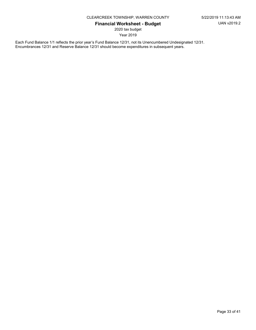2020 tax budget

Year 2019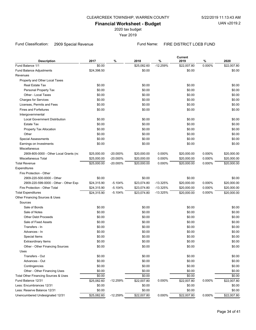2020 tax budget

Year 2019

# Fund Classification: 2909 Special Revenue Fund Name: FIRE DISTRICT LOEB FUND

Current

| \$25,082.60<br>$-12.259%$<br>0.000%<br>\$22,007.80<br>Fund Balance 1/1<br>\$0.00<br>\$22,007.80<br>\$0.00<br>\$0.00<br>\$24,398.50<br>\$0.00<br><b>Fund Balance Adjustments</b><br>Revenues<br>Property and Other Local Taxes<br>Real Estate Tax<br>\$0.00<br>\$0.00<br>\$0.00<br>\$0.00<br>\$0.00<br>\$0.00<br>Personal Property Tax<br>\$0.00<br>\$0.00<br>\$0.00<br>\$0.00<br>Other - Local Taxes<br>\$0.00<br>\$0.00<br>\$0.00<br>\$0.00<br>\$0.00<br><b>Charges for Services</b><br>\$0.00<br>\$0.00<br>\$0.00<br>\$0.00<br>\$0.00<br>Licenses, Permits and Fees<br>\$0.00<br>\$0.00<br>\$0.00<br><b>Fines and Forfeitures</b><br>\$0.00<br>Intergovernmental<br><b>Local Government Distribution</b><br>\$0.00<br>\$0.00<br>\$0.00<br>\$0.00<br>\$0.00<br>\$0.00<br>\$0.00<br>\$0.00<br><b>Estate Tax</b><br>\$0.00<br>\$0.00<br>\$0.00<br>\$0.00<br>Property Tax Allocation<br>\$0.00<br>\$0.00<br>\$0.00<br>\$0.00<br>Other<br>\$0.00<br>\$0.00<br>\$0.00<br>\$0.00<br><b>Special Assessments</b><br>\$0.00<br>Earnings on Investments<br>\$0.00<br>\$0.00<br>\$0.00<br>Miscellaneous<br>2909-805-0000 - Other Local Grants (nc<br>\$25,000.00<br>$-20.000%$<br>\$20,000.00<br>0.000%<br>\$20,000.00<br>0.000%<br>\$20,000.00<br>0.000%<br>0.000%<br>Miscellaneous Total<br>\$25,000.00<br>$-20.000\%$<br>\$20,000.00<br>\$20,000.00<br>\$20,000.00<br>-20.000%<br>0.000%<br>0.000%<br><b>Total Revenue</b><br>\$20,000.00<br>\$25,000.00<br>\$20,000.00<br>\$20,000.00<br>Expenditures<br>Fire Protection - Other<br>\$0.00<br>\$0.00<br>\$0.00<br>\$0.00<br>2909-220-500-0000 - Other<br>2909-220-599-0000 - Other - Other Exp<br>\$24,315.90<br>$-5.104%$<br>\$23,074.80<br>-13.325%<br>\$20,000.00<br>0.000%<br>\$20,000.00<br>Fire Protection - Other Total<br>\$24,315.90<br>$-5.104%$<br>\$23,074.80<br>-13.325%<br>\$20,000.00<br>0.000%<br>\$20,000.00<br>0.000%<br><b>Total Expenditures</b><br>\$24,315.90<br>$-5.104%$<br>\$23,074.80<br>$-13.325%$<br>\$20,000.00<br>\$20,000.00<br>Other Financing Sources & Uses<br>Sources<br>Sale of Bonds<br>\$0.00<br>\$0.00<br>\$0.00<br>\$0.00<br>Sale of Notes<br>\$0.00<br>\$0.00<br>\$0.00<br>\$0.00<br><b>Other Debt Proceeds</b><br>\$0.00<br>\$0.00<br>\$0.00<br>\$0.00<br>Sale of Fixed Assets<br>\$0.00<br>\$0.00<br>\$0.00<br>\$0.00<br>\$0.00<br>\$0.00<br>Transfers - In<br>\$0.00<br>\$0.00<br>\$0.00<br>\$0.00<br>\$0.00<br>Advances - In<br>\$0.00<br>\$0.00<br>\$0.00<br>\$0.00<br>Special Items<br>\$0.00<br>\$0.00<br><b>Extraordinary Items</b><br>\$0.00<br>\$0.00<br>\$0.00<br>Other - Other Financing Sources<br>\$0.00<br>\$0.00<br>\$0.00<br>\$0.00<br>Uses<br>Transfers - Out<br>\$0.00<br>\$0.00<br>\$0.00<br>\$0.00<br>\$0.00<br>\$0.00<br>\$0.00<br>Advances - Out<br>\$0.00<br>\$0.00<br>\$0.00<br>\$0.00<br>Contingencies<br>\$0.00<br>\$0.00<br>\$0.00<br>\$0.00<br>\$0.00<br>Other - Other Financing Uses<br>Total Other Financing Sources & Uses<br>\$0.00<br>\$0.00<br>\$0.00<br>\$0.00<br>Fund Balance 12/31<br>$-12.259%$<br>\$22,007.80<br>0.000%<br>0.000%<br>\$25,082.60<br>\$22,007.80<br>\$22,007.80<br>\$0.00<br>\$0.00<br>Less: Encumbrances 12/31<br>\$0.00<br>\$0.00<br>\$0.00<br>Less: Reserve Balance 12/31<br>\$0.00<br>\$0.00<br>\$0.00 | <b>Description</b>              | 2017        | %          | 2018        | $\%$   | un un<br>2019 | $\%$   | 2020        |
|------------------------------------------------------------------------------------------------------------------------------------------------------------------------------------------------------------------------------------------------------------------------------------------------------------------------------------------------------------------------------------------------------------------------------------------------------------------------------------------------------------------------------------------------------------------------------------------------------------------------------------------------------------------------------------------------------------------------------------------------------------------------------------------------------------------------------------------------------------------------------------------------------------------------------------------------------------------------------------------------------------------------------------------------------------------------------------------------------------------------------------------------------------------------------------------------------------------------------------------------------------------------------------------------------------------------------------------------------------------------------------------------------------------------------------------------------------------------------------------------------------------------------------------------------------------------------------------------------------------------------------------------------------------------------------------------------------------------------------------------------------------------------------------------------------------------------------------------------------------------------------------------------------------------------------------------------------------------------------------------------------------------------------------------------------------------------------------------------------------------------------------------------------------------------------------------------------------------------------------------------------------------------------------------------------------------------------------------------------------------------------------------------------------------------------------------------------------------------------------------------------------------------------------------------------------------------------------------------------------------------------------------------------------------------------------------------------------------------------------------------------------------------------------------------------------------------------------------------------------------------------------------------------------------------------------------------------------------------------------------------------------------------------------------------------------------------------------------------------------------------------------------------------------------------------------------------------------------------------------------------|---------------------------------|-------------|------------|-------------|--------|---------------|--------|-------------|
|                                                                                                                                                                                                                                                                                                                                                                                                                                                                                                                                                                                                                                                                                                                                                                                                                                                                                                                                                                                                                                                                                                                                                                                                                                                                                                                                                                                                                                                                                                                                                                                                                                                                                                                                                                                                                                                                                                                                                                                                                                                                                                                                                                                                                                                                                                                                                                                                                                                                                                                                                                                                                                                                                                                                                                                                                                                                                                                                                                                                                                                                                                                                                                                                                                                      |                                 |             |            |             |        |               |        |             |
|                                                                                                                                                                                                                                                                                                                                                                                                                                                                                                                                                                                                                                                                                                                                                                                                                                                                                                                                                                                                                                                                                                                                                                                                                                                                                                                                                                                                                                                                                                                                                                                                                                                                                                                                                                                                                                                                                                                                                                                                                                                                                                                                                                                                                                                                                                                                                                                                                                                                                                                                                                                                                                                                                                                                                                                                                                                                                                                                                                                                                                                                                                                                                                                                                                                      |                                 |             |            |             |        |               |        |             |
|                                                                                                                                                                                                                                                                                                                                                                                                                                                                                                                                                                                                                                                                                                                                                                                                                                                                                                                                                                                                                                                                                                                                                                                                                                                                                                                                                                                                                                                                                                                                                                                                                                                                                                                                                                                                                                                                                                                                                                                                                                                                                                                                                                                                                                                                                                                                                                                                                                                                                                                                                                                                                                                                                                                                                                                                                                                                                                                                                                                                                                                                                                                                                                                                                                                      |                                 |             |            |             |        |               |        |             |
|                                                                                                                                                                                                                                                                                                                                                                                                                                                                                                                                                                                                                                                                                                                                                                                                                                                                                                                                                                                                                                                                                                                                                                                                                                                                                                                                                                                                                                                                                                                                                                                                                                                                                                                                                                                                                                                                                                                                                                                                                                                                                                                                                                                                                                                                                                                                                                                                                                                                                                                                                                                                                                                                                                                                                                                                                                                                                                                                                                                                                                                                                                                                                                                                                                                      |                                 |             |            |             |        |               |        |             |
|                                                                                                                                                                                                                                                                                                                                                                                                                                                                                                                                                                                                                                                                                                                                                                                                                                                                                                                                                                                                                                                                                                                                                                                                                                                                                                                                                                                                                                                                                                                                                                                                                                                                                                                                                                                                                                                                                                                                                                                                                                                                                                                                                                                                                                                                                                                                                                                                                                                                                                                                                                                                                                                                                                                                                                                                                                                                                                                                                                                                                                                                                                                                                                                                                                                      |                                 |             |            |             |        |               |        |             |
|                                                                                                                                                                                                                                                                                                                                                                                                                                                                                                                                                                                                                                                                                                                                                                                                                                                                                                                                                                                                                                                                                                                                                                                                                                                                                                                                                                                                                                                                                                                                                                                                                                                                                                                                                                                                                                                                                                                                                                                                                                                                                                                                                                                                                                                                                                                                                                                                                                                                                                                                                                                                                                                                                                                                                                                                                                                                                                                                                                                                                                                                                                                                                                                                                                                      |                                 |             |            |             |        |               |        |             |
|                                                                                                                                                                                                                                                                                                                                                                                                                                                                                                                                                                                                                                                                                                                                                                                                                                                                                                                                                                                                                                                                                                                                                                                                                                                                                                                                                                                                                                                                                                                                                                                                                                                                                                                                                                                                                                                                                                                                                                                                                                                                                                                                                                                                                                                                                                                                                                                                                                                                                                                                                                                                                                                                                                                                                                                                                                                                                                                                                                                                                                                                                                                                                                                                                                                      |                                 |             |            |             |        |               |        |             |
|                                                                                                                                                                                                                                                                                                                                                                                                                                                                                                                                                                                                                                                                                                                                                                                                                                                                                                                                                                                                                                                                                                                                                                                                                                                                                                                                                                                                                                                                                                                                                                                                                                                                                                                                                                                                                                                                                                                                                                                                                                                                                                                                                                                                                                                                                                                                                                                                                                                                                                                                                                                                                                                                                                                                                                                                                                                                                                                                                                                                                                                                                                                                                                                                                                                      |                                 |             |            |             |        |               |        |             |
|                                                                                                                                                                                                                                                                                                                                                                                                                                                                                                                                                                                                                                                                                                                                                                                                                                                                                                                                                                                                                                                                                                                                                                                                                                                                                                                                                                                                                                                                                                                                                                                                                                                                                                                                                                                                                                                                                                                                                                                                                                                                                                                                                                                                                                                                                                                                                                                                                                                                                                                                                                                                                                                                                                                                                                                                                                                                                                                                                                                                                                                                                                                                                                                                                                                      |                                 |             |            |             |        |               |        |             |
|                                                                                                                                                                                                                                                                                                                                                                                                                                                                                                                                                                                                                                                                                                                                                                                                                                                                                                                                                                                                                                                                                                                                                                                                                                                                                                                                                                                                                                                                                                                                                                                                                                                                                                                                                                                                                                                                                                                                                                                                                                                                                                                                                                                                                                                                                                                                                                                                                                                                                                                                                                                                                                                                                                                                                                                                                                                                                                                                                                                                                                                                                                                                                                                                                                                      |                                 |             |            |             |        |               |        |             |
|                                                                                                                                                                                                                                                                                                                                                                                                                                                                                                                                                                                                                                                                                                                                                                                                                                                                                                                                                                                                                                                                                                                                                                                                                                                                                                                                                                                                                                                                                                                                                                                                                                                                                                                                                                                                                                                                                                                                                                                                                                                                                                                                                                                                                                                                                                                                                                                                                                                                                                                                                                                                                                                                                                                                                                                                                                                                                                                                                                                                                                                                                                                                                                                                                                                      |                                 |             |            |             |        |               |        |             |
|                                                                                                                                                                                                                                                                                                                                                                                                                                                                                                                                                                                                                                                                                                                                                                                                                                                                                                                                                                                                                                                                                                                                                                                                                                                                                                                                                                                                                                                                                                                                                                                                                                                                                                                                                                                                                                                                                                                                                                                                                                                                                                                                                                                                                                                                                                                                                                                                                                                                                                                                                                                                                                                                                                                                                                                                                                                                                                                                                                                                                                                                                                                                                                                                                                                      |                                 |             |            |             |        |               |        |             |
|                                                                                                                                                                                                                                                                                                                                                                                                                                                                                                                                                                                                                                                                                                                                                                                                                                                                                                                                                                                                                                                                                                                                                                                                                                                                                                                                                                                                                                                                                                                                                                                                                                                                                                                                                                                                                                                                                                                                                                                                                                                                                                                                                                                                                                                                                                                                                                                                                                                                                                                                                                                                                                                                                                                                                                                                                                                                                                                                                                                                                                                                                                                                                                                                                                                      |                                 |             |            |             |        |               |        |             |
|                                                                                                                                                                                                                                                                                                                                                                                                                                                                                                                                                                                                                                                                                                                                                                                                                                                                                                                                                                                                                                                                                                                                                                                                                                                                                                                                                                                                                                                                                                                                                                                                                                                                                                                                                                                                                                                                                                                                                                                                                                                                                                                                                                                                                                                                                                                                                                                                                                                                                                                                                                                                                                                                                                                                                                                                                                                                                                                                                                                                                                                                                                                                                                                                                                                      |                                 |             |            |             |        |               |        |             |
|                                                                                                                                                                                                                                                                                                                                                                                                                                                                                                                                                                                                                                                                                                                                                                                                                                                                                                                                                                                                                                                                                                                                                                                                                                                                                                                                                                                                                                                                                                                                                                                                                                                                                                                                                                                                                                                                                                                                                                                                                                                                                                                                                                                                                                                                                                                                                                                                                                                                                                                                                                                                                                                                                                                                                                                                                                                                                                                                                                                                                                                                                                                                                                                                                                                      |                                 |             |            |             |        |               |        |             |
|                                                                                                                                                                                                                                                                                                                                                                                                                                                                                                                                                                                                                                                                                                                                                                                                                                                                                                                                                                                                                                                                                                                                                                                                                                                                                                                                                                                                                                                                                                                                                                                                                                                                                                                                                                                                                                                                                                                                                                                                                                                                                                                                                                                                                                                                                                                                                                                                                                                                                                                                                                                                                                                                                                                                                                                                                                                                                                                                                                                                                                                                                                                                                                                                                                                      |                                 |             |            |             |        |               |        |             |
|                                                                                                                                                                                                                                                                                                                                                                                                                                                                                                                                                                                                                                                                                                                                                                                                                                                                                                                                                                                                                                                                                                                                                                                                                                                                                                                                                                                                                                                                                                                                                                                                                                                                                                                                                                                                                                                                                                                                                                                                                                                                                                                                                                                                                                                                                                                                                                                                                                                                                                                                                                                                                                                                                                                                                                                                                                                                                                                                                                                                                                                                                                                                                                                                                                                      |                                 |             |            |             |        |               |        |             |
|                                                                                                                                                                                                                                                                                                                                                                                                                                                                                                                                                                                                                                                                                                                                                                                                                                                                                                                                                                                                                                                                                                                                                                                                                                                                                                                                                                                                                                                                                                                                                                                                                                                                                                                                                                                                                                                                                                                                                                                                                                                                                                                                                                                                                                                                                                                                                                                                                                                                                                                                                                                                                                                                                                                                                                                                                                                                                                                                                                                                                                                                                                                                                                                                                                                      |                                 |             |            |             |        |               |        |             |
|                                                                                                                                                                                                                                                                                                                                                                                                                                                                                                                                                                                                                                                                                                                                                                                                                                                                                                                                                                                                                                                                                                                                                                                                                                                                                                                                                                                                                                                                                                                                                                                                                                                                                                                                                                                                                                                                                                                                                                                                                                                                                                                                                                                                                                                                                                                                                                                                                                                                                                                                                                                                                                                                                                                                                                                                                                                                                                                                                                                                                                                                                                                                                                                                                                                      |                                 |             |            |             |        |               |        |             |
|                                                                                                                                                                                                                                                                                                                                                                                                                                                                                                                                                                                                                                                                                                                                                                                                                                                                                                                                                                                                                                                                                                                                                                                                                                                                                                                                                                                                                                                                                                                                                                                                                                                                                                                                                                                                                                                                                                                                                                                                                                                                                                                                                                                                                                                                                                                                                                                                                                                                                                                                                                                                                                                                                                                                                                                                                                                                                                                                                                                                                                                                                                                                                                                                                                                      |                                 |             |            |             |        |               |        |             |
|                                                                                                                                                                                                                                                                                                                                                                                                                                                                                                                                                                                                                                                                                                                                                                                                                                                                                                                                                                                                                                                                                                                                                                                                                                                                                                                                                                                                                                                                                                                                                                                                                                                                                                                                                                                                                                                                                                                                                                                                                                                                                                                                                                                                                                                                                                                                                                                                                                                                                                                                                                                                                                                                                                                                                                                                                                                                                                                                                                                                                                                                                                                                                                                                                                                      |                                 |             |            |             |        |               |        |             |
|                                                                                                                                                                                                                                                                                                                                                                                                                                                                                                                                                                                                                                                                                                                                                                                                                                                                                                                                                                                                                                                                                                                                                                                                                                                                                                                                                                                                                                                                                                                                                                                                                                                                                                                                                                                                                                                                                                                                                                                                                                                                                                                                                                                                                                                                                                                                                                                                                                                                                                                                                                                                                                                                                                                                                                                                                                                                                                                                                                                                                                                                                                                                                                                                                                                      |                                 |             |            |             |        |               |        |             |
|                                                                                                                                                                                                                                                                                                                                                                                                                                                                                                                                                                                                                                                                                                                                                                                                                                                                                                                                                                                                                                                                                                                                                                                                                                                                                                                                                                                                                                                                                                                                                                                                                                                                                                                                                                                                                                                                                                                                                                                                                                                                                                                                                                                                                                                                                                                                                                                                                                                                                                                                                                                                                                                                                                                                                                                                                                                                                                                                                                                                                                                                                                                                                                                                                                                      |                                 |             |            |             |        |               |        |             |
|                                                                                                                                                                                                                                                                                                                                                                                                                                                                                                                                                                                                                                                                                                                                                                                                                                                                                                                                                                                                                                                                                                                                                                                                                                                                                                                                                                                                                                                                                                                                                                                                                                                                                                                                                                                                                                                                                                                                                                                                                                                                                                                                                                                                                                                                                                                                                                                                                                                                                                                                                                                                                                                                                                                                                                                                                                                                                                                                                                                                                                                                                                                                                                                                                                                      |                                 |             |            |             |        |               |        |             |
|                                                                                                                                                                                                                                                                                                                                                                                                                                                                                                                                                                                                                                                                                                                                                                                                                                                                                                                                                                                                                                                                                                                                                                                                                                                                                                                                                                                                                                                                                                                                                                                                                                                                                                                                                                                                                                                                                                                                                                                                                                                                                                                                                                                                                                                                                                                                                                                                                                                                                                                                                                                                                                                                                                                                                                                                                                                                                                                                                                                                                                                                                                                                                                                                                                                      |                                 |             |            |             |        |               |        |             |
|                                                                                                                                                                                                                                                                                                                                                                                                                                                                                                                                                                                                                                                                                                                                                                                                                                                                                                                                                                                                                                                                                                                                                                                                                                                                                                                                                                                                                                                                                                                                                                                                                                                                                                                                                                                                                                                                                                                                                                                                                                                                                                                                                                                                                                                                                                                                                                                                                                                                                                                                                                                                                                                                                                                                                                                                                                                                                                                                                                                                                                                                                                                                                                                                                                                      |                                 |             |            |             |        |               |        |             |
|                                                                                                                                                                                                                                                                                                                                                                                                                                                                                                                                                                                                                                                                                                                                                                                                                                                                                                                                                                                                                                                                                                                                                                                                                                                                                                                                                                                                                                                                                                                                                                                                                                                                                                                                                                                                                                                                                                                                                                                                                                                                                                                                                                                                                                                                                                                                                                                                                                                                                                                                                                                                                                                                                                                                                                                                                                                                                                                                                                                                                                                                                                                                                                                                                                                      |                                 |             |            |             |        |               |        |             |
|                                                                                                                                                                                                                                                                                                                                                                                                                                                                                                                                                                                                                                                                                                                                                                                                                                                                                                                                                                                                                                                                                                                                                                                                                                                                                                                                                                                                                                                                                                                                                                                                                                                                                                                                                                                                                                                                                                                                                                                                                                                                                                                                                                                                                                                                                                                                                                                                                                                                                                                                                                                                                                                                                                                                                                                                                                                                                                                                                                                                                                                                                                                                                                                                                                                      |                                 |             |            |             |        |               |        |             |
|                                                                                                                                                                                                                                                                                                                                                                                                                                                                                                                                                                                                                                                                                                                                                                                                                                                                                                                                                                                                                                                                                                                                                                                                                                                                                                                                                                                                                                                                                                                                                                                                                                                                                                                                                                                                                                                                                                                                                                                                                                                                                                                                                                                                                                                                                                                                                                                                                                                                                                                                                                                                                                                                                                                                                                                                                                                                                                                                                                                                                                                                                                                                                                                                                                                      |                                 |             |            |             |        |               |        |             |
|                                                                                                                                                                                                                                                                                                                                                                                                                                                                                                                                                                                                                                                                                                                                                                                                                                                                                                                                                                                                                                                                                                                                                                                                                                                                                                                                                                                                                                                                                                                                                                                                                                                                                                                                                                                                                                                                                                                                                                                                                                                                                                                                                                                                                                                                                                                                                                                                                                                                                                                                                                                                                                                                                                                                                                                                                                                                                                                                                                                                                                                                                                                                                                                                                                                      |                                 |             |            |             |        |               |        |             |
|                                                                                                                                                                                                                                                                                                                                                                                                                                                                                                                                                                                                                                                                                                                                                                                                                                                                                                                                                                                                                                                                                                                                                                                                                                                                                                                                                                                                                                                                                                                                                                                                                                                                                                                                                                                                                                                                                                                                                                                                                                                                                                                                                                                                                                                                                                                                                                                                                                                                                                                                                                                                                                                                                                                                                                                                                                                                                                                                                                                                                                                                                                                                                                                                                                                      |                                 |             |            |             |        |               |        |             |
|                                                                                                                                                                                                                                                                                                                                                                                                                                                                                                                                                                                                                                                                                                                                                                                                                                                                                                                                                                                                                                                                                                                                                                                                                                                                                                                                                                                                                                                                                                                                                                                                                                                                                                                                                                                                                                                                                                                                                                                                                                                                                                                                                                                                                                                                                                                                                                                                                                                                                                                                                                                                                                                                                                                                                                                                                                                                                                                                                                                                                                                                                                                                                                                                                                                      |                                 |             |            |             |        |               |        |             |
|                                                                                                                                                                                                                                                                                                                                                                                                                                                                                                                                                                                                                                                                                                                                                                                                                                                                                                                                                                                                                                                                                                                                                                                                                                                                                                                                                                                                                                                                                                                                                                                                                                                                                                                                                                                                                                                                                                                                                                                                                                                                                                                                                                                                                                                                                                                                                                                                                                                                                                                                                                                                                                                                                                                                                                                                                                                                                                                                                                                                                                                                                                                                                                                                                                                      |                                 |             |            |             |        |               |        |             |
|                                                                                                                                                                                                                                                                                                                                                                                                                                                                                                                                                                                                                                                                                                                                                                                                                                                                                                                                                                                                                                                                                                                                                                                                                                                                                                                                                                                                                                                                                                                                                                                                                                                                                                                                                                                                                                                                                                                                                                                                                                                                                                                                                                                                                                                                                                                                                                                                                                                                                                                                                                                                                                                                                                                                                                                                                                                                                                                                                                                                                                                                                                                                                                                                                                                      |                                 |             |            |             |        |               |        |             |
|                                                                                                                                                                                                                                                                                                                                                                                                                                                                                                                                                                                                                                                                                                                                                                                                                                                                                                                                                                                                                                                                                                                                                                                                                                                                                                                                                                                                                                                                                                                                                                                                                                                                                                                                                                                                                                                                                                                                                                                                                                                                                                                                                                                                                                                                                                                                                                                                                                                                                                                                                                                                                                                                                                                                                                                                                                                                                                                                                                                                                                                                                                                                                                                                                                                      |                                 |             |            |             |        |               |        |             |
|                                                                                                                                                                                                                                                                                                                                                                                                                                                                                                                                                                                                                                                                                                                                                                                                                                                                                                                                                                                                                                                                                                                                                                                                                                                                                                                                                                                                                                                                                                                                                                                                                                                                                                                                                                                                                                                                                                                                                                                                                                                                                                                                                                                                                                                                                                                                                                                                                                                                                                                                                                                                                                                                                                                                                                                                                                                                                                                                                                                                                                                                                                                                                                                                                                                      |                                 |             |            |             |        |               |        |             |
|                                                                                                                                                                                                                                                                                                                                                                                                                                                                                                                                                                                                                                                                                                                                                                                                                                                                                                                                                                                                                                                                                                                                                                                                                                                                                                                                                                                                                                                                                                                                                                                                                                                                                                                                                                                                                                                                                                                                                                                                                                                                                                                                                                                                                                                                                                                                                                                                                                                                                                                                                                                                                                                                                                                                                                                                                                                                                                                                                                                                                                                                                                                                                                                                                                                      |                                 |             |            |             |        |               |        |             |
|                                                                                                                                                                                                                                                                                                                                                                                                                                                                                                                                                                                                                                                                                                                                                                                                                                                                                                                                                                                                                                                                                                                                                                                                                                                                                                                                                                                                                                                                                                                                                                                                                                                                                                                                                                                                                                                                                                                                                                                                                                                                                                                                                                                                                                                                                                                                                                                                                                                                                                                                                                                                                                                                                                                                                                                                                                                                                                                                                                                                                                                                                                                                                                                                                                                      |                                 |             |            |             |        |               |        |             |
|                                                                                                                                                                                                                                                                                                                                                                                                                                                                                                                                                                                                                                                                                                                                                                                                                                                                                                                                                                                                                                                                                                                                                                                                                                                                                                                                                                                                                                                                                                                                                                                                                                                                                                                                                                                                                                                                                                                                                                                                                                                                                                                                                                                                                                                                                                                                                                                                                                                                                                                                                                                                                                                                                                                                                                                                                                                                                                                                                                                                                                                                                                                                                                                                                                                      |                                 |             |            |             |        |               |        |             |
|                                                                                                                                                                                                                                                                                                                                                                                                                                                                                                                                                                                                                                                                                                                                                                                                                                                                                                                                                                                                                                                                                                                                                                                                                                                                                                                                                                                                                                                                                                                                                                                                                                                                                                                                                                                                                                                                                                                                                                                                                                                                                                                                                                                                                                                                                                                                                                                                                                                                                                                                                                                                                                                                                                                                                                                                                                                                                                                                                                                                                                                                                                                                                                                                                                                      |                                 |             |            |             |        |               |        |             |
|                                                                                                                                                                                                                                                                                                                                                                                                                                                                                                                                                                                                                                                                                                                                                                                                                                                                                                                                                                                                                                                                                                                                                                                                                                                                                                                                                                                                                                                                                                                                                                                                                                                                                                                                                                                                                                                                                                                                                                                                                                                                                                                                                                                                                                                                                                                                                                                                                                                                                                                                                                                                                                                                                                                                                                                                                                                                                                                                                                                                                                                                                                                                                                                                                                                      |                                 |             |            |             |        |               |        |             |
|                                                                                                                                                                                                                                                                                                                                                                                                                                                                                                                                                                                                                                                                                                                                                                                                                                                                                                                                                                                                                                                                                                                                                                                                                                                                                                                                                                                                                                                                                                                                                                                                                                                                                                                                                                                                                                                                                                                                                                                                                                                                                                                                                                                                                                                                                                                                                                                                                                                                                                                                                                                                                                                                                                                                                                                                                                                                                                                                                                                                                                                                                                                                                                                                                                                      |                                 |             |            |             |        |               |        |             |
|                                                                                                                                                                                                                                                                                                                                                                                                                                                                                                                                                                                                                                                                                                                                                                                                                                                                                                                                                                                                                                                                                                                                                                                                                                                                                                                                                                                                                                                                                                                                                                                                                                                                                                                                                                                                                                                                                                                                                                                                                                                                                                                                                                                                                                                                                                                                                                                                                                                                                                                                                                                                                                                                                                                                                                                                                                                                                                                                                                                                                                                                                                                                                                                                                                                      |                                 |             |            |             |        |               |        |             |
|                                                                                                                                                                                                                                                                                                                                                                                                                                                                                                                                                                                                                                                                                                                                                                                                                                                                                                                                                                                                                                                                                                                                                                                                                                                                                                                                                                                                                                                                                                                                                                                                                                                                                                                                                                                                                                                                                                                                                                                                                                                                                                                                                                                                                                                                                                                                                                                                                                                                                                                                                                                                                                                                                                                                                                                                                                                                                                                                                                                                                                                                                                                                                                                                                                                      |                                 |             |            |             |        |               |        |             |
|                                                                                                                                                                                                                                                                                                                                                                                                                                                                                                                                                                                                                                                                                                                                                                                                                                                                                                                                                                                                                                                                                                                                                                                                                                                                                                                                                                                                                                                                                                                                                                                                                                                                                                                                                                                                                                                                                                                                                                                                                                                                                                                                                                                                                                                                                                                                                                                                                                                                                                                                                                                                                                                                                                                                                                                                                                                                                                                                                                                                                                                                                                                                                                                                                                                      |                                 |             |            |             |        |               |        |             |
|                                                                                                                                                                                                                                                                                                                                                                                                                                                                                                                                                                                                                                                                                                                                                                                                                                                                                                                                                                                                                                                                                                                                                                                                                                                                                                                                                                                                                                                                                                                                                                                                                                                                                                                                                                                                                                                                                                                                                                                                                                                                                                                                                                                                                                                                                                                                                                                                                                                                                                                                                                                                                                                                                                                                                                                                                                                                                                                                                                                                                                                                                                                                                                                                                                                      |                                 |             |            |             |        |               |        |             |
|                                                                                                                                                                                                                                                                                                                                                                                                                                                                                                                                                                                                                                                                                                                                                                                                                                                                                                                                                                                                                                                                                                                                                                                                                                                                                                                                                                                                                                                                                                                                                                                                                                                                                                                                                                                                                                                                                                                                                                                                                                                                                                                                                                                                                                                                                                                                                                                                                                                                                                                                                                                                                                                                                                                                                                                                                                                                                                                                                                                                                                                                                                                                                                                                                                                      |                                 |             |            |             |        |               |        |             |
|                                                                                                                                                                                                                                                                                                                                                                                                                                                                                                                                                                                                                                                                                                                                                                                                                                                                                                                                                                                                                                                                                                                                                                                                                                                                                                                                                                                                                                                                                                                                                                                                                                                                                                                                                                                                                                                                                                                                                                                                                                                                                                                                                                                                                                                                                                                                                                                                                                                                                                                                                                                                                                                                                                                                                                                                                                                                                                                                                                                                                                                                                                                                                                                                                                                      | Unencumbered Undesignated 12/31 | \$25,082.60 | $-12.259%$ | \$22,007.80 | 0.000% | \$22,007.80   | 0.000% | \$22,007.80 |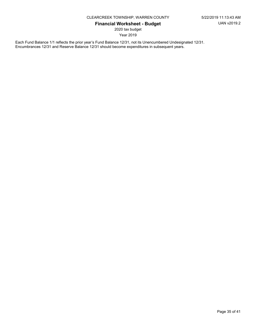2020 tax budget

Year 2019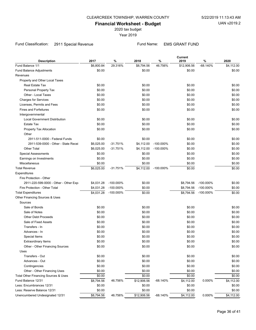2020 tax budget

Year 2019

#### Fund Classification: 2911 Special Revenue Fund Name: EMS GRANT FUND

| <b>Description</b>                    | 2017       | $\%$         | 2018        | $\%$         | <b>Current</b><br>2019 | $\%$         | 2020       |
|---------------------------------------|------------|--------------|-------------|--------------|------------------------|--------------|------------|
| Fund Balance 1/1                      | \$6,800.84 | 29.316%      | \$8,794.56  | 46.756%      | \$12,906.56            | $-68.140%$   | \$4,112.00 |
| Fund Balance Adjustments              | \$0.00     |              | \$0.00      |              | \$0.00                 |              | \$0.00     |
| Revenues                              |            |              |             |              |                        |              |            |
| Property and Other Local Taxes        |            |              |             |              |                        |              |            |
| Real Estate Tax                       | \$0.00     |              | \$0.00      |              | \$0.00                 |              | \$0.00     |
| Personal Property Tax                 | \$0.00     |              | \$0.00      |              | \$0.00                 |              | \$0.00     |
| Other - Local Taxes                   | \$0.00     |              | \$0.00      |              | \$0.00                 |              | \$0.00     |
| <b>Charges for Services</b>           | \$0.00     |              | \$0.00      |              | \$0.00                 |              | \$0.00     |
| Licenses, Permits and Fees            | \$0.00     |              | \$0.00      |              | \$0.00                 |              | \$0.00     |
| <b>Fines and Forfeitures</b>          | \$0.00     |              | \$0.00      |              | \$0.00                 |              | \$0.00     |
| Intergovernmental                     |            |              |             |              |                        |              |            |
| <b>Local Government Distribution</b>  | \$0.00     |              | \$0.00      |              | \$0.00                 |              | \$0.00     |
| <b>Estate Tax</b>                     | \$0.00     |              | \$0.00      |              | \$0.00                 |              | \$0.00     |
| Property Tax Allocation               | \$0.00     |              | \$0.00      |              | \$0.00                 |              | \$0.00     |
| Other                                 |            |              |             |              |                        |              |            |
| 2911-511-0000 - Federal Funds         | \$0.00     |              | \$0.00      |              | \$0.00                 |              | \$0.00     |
| 2911-539-0000 - Other - State Recei   | \$6,025.00 | $-31.751%$   | \$4,112.00  | $-100.000\%$ | \$0.00                 |              | \$0.00     |
| <b>Other Total</b>                    | \$6,025.00 | $-31.751%$   | \$4,112.00  | $-100.000\%$ | \$0.00                 |              | \$0.00     |
| <b>Special Assessments</b>            | \$0.00     |              | \$0.00      |              | \$0.00                 |              | \$0.00     |
| Earnings on Investments               | \$0.00     |              | \$0.00      |              | \$0.00                 |              | \$0.00     |
| Miscellaneous                         | \$0.00     |              | \$0.00      |              | \$0.00                 |              | \$0.00     |
| <b>Total Revenue</b>                  | \$6,025.00 | $-31.751%$   | \$4,112.00  | $-100.000\%$ | \$0.00                 |              | \$0.00     |
| Expenditures                          |            |              |             |              |                        |              |            |
| Fire Protection - Other               |            |              |             |              |                        |              |            |
| 2911-220-599-0000 - Other - Other Exp | \$4,031.28 | $-100.000\%$ | \$0.00      |              | \$8,794.56             | $-100.000\%$ | \$0.00     |
| Fire Protection - Other Total         | \$4,031.28 | $-100.000\%$ | \$0.00      |              | \$8,794.56             | $-100.000\%$ | \$0.00     |
| <b>Total Expenditures</b>             | \$4,031.28 | $-100.000\%$ | \$0.00      |              | \$8,794.56             | $-100.000\%$ | \$0.00     |
| Other Financing Sources & Uses        |            |              |             |              |                        |              |            |
| Sources                               |            |              |             |              |                        |              |            |
| Sale of Bonds                         | \$0.00     |              | \$0.00      |              | \$0.00                 |              | \$0.00     |
| Sale of Notes                         | \$0.00     |              | \$0.00      |              | \$0.00                 |              | \$0.00     |
| <b>Other Debt Proceeds</b>            | \$0.00     |              | \$0.00      |              | \$0.00                 |              | \$0.00     |
| Sale of Fixed Assets                  | \$0.00     |              | \$0.00      |              | \$0.00                 |              | \$0.00     |
| Transfers - In                        | \$0.00     |              | \$0.00      |              | \$0.00                 |              | \$0.00     |
| Advances - In                         | \$0.00     |              | \$0.00      |              | \$0.00                 |              | \$0.00     |
| Special Items                         | \$0.00     |              | \$0.00      |              | \$0.00                 |              | \$0.00     |
| <b>Extraordinary Items</b>            | \$0.00     |              | \$0.00      |              | \$0.00                 |              | \$0.00     |
| Other - Other Financing Sources       | \$0.00     |              | \$0.00      |              | \$0.00                 |              | \$0.00     |
| Uses                                  |            |              |             |              |                        |              |            |
| Transfers - Out                       | \$0.00     |              | \$0.00      |              | \$0.00                 |              | \$0.00     |
| Advances - Out                        | \$0.00     |              | \$0.00      |              | \$0.00                 |              | \$0.00     |
| Contingencies                         | \$0.00     |              | \$0.00      |              | \$0.00                 |              | \$0.00     |
| Other - Other Financing Uses          | \$0.00     |              | \$0.00      |              | \$0.00                 |              | \$0.00     |
| Total Other Financing Sources & Uses  | \$0.00     |              | \$0.00      |              | \$0.00                 |              | \$0.00     |
| Fund Balance 12/31                    | \$8,794.56 | 46.756%      | \$12,906.56 | $-68.140%$   | \$4,112.00             | 0.000%       | \$4,112.00 |
| Less: Encumbrances 12/31              | \$0.00     |              | \$0.00      |              | \$0.00                 |              | \$0.00     |
| Less: Reserve Balance 12/31           | \$0.00     |              | \$0.00      |              | \$0.00                 |              | \$0.00     |
| Unencumbered Undesignated 12/31       | \$8,794.56 | 46.756%      | \$12,906.56 | $-68.140%$   | \$4,112.00             | 0.000%       | \$4,112.00 |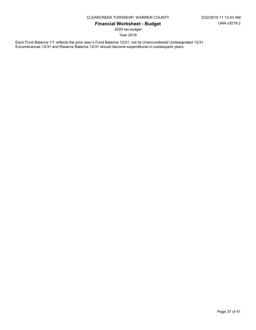2020 tax budget

Year 2019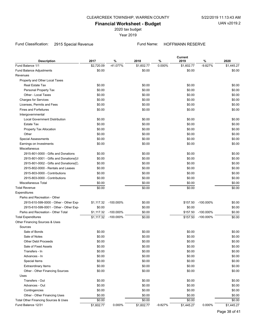2020 tax budget

Year 2019

# Fund Classification: 2915 Special Revenue Fund Name: HOFFMANN RESERVE

| <b>Description</b>                     | 2017       | $\%$         | 2018       | %         | Current<br>2019 | $\%$         | 2020       |
|----------------------------------------|------------|--------------|------------|-----------|-----------------|--------------|------------|
| Fund Balance 1/1                       | \$2,720.09 | -41.077%     | \$1,602.77 | 0.000%    | \$1,602.77      | $-9.827%$    | \$1,445.27 |
| Fund Balance Adjustments               | \$0.00     |              | \$0.00     |           | \$0.00          |              | \$0.00     |
| Revenues                               |            |              |            |           |                 |              |            |
| Property and Other Local Taxes         |            |              |            |           |                 |              |            |
| Real Estate Tax                        | \$0.00     |              | \$0.00     |           | \$0.00          |              | \$0.00     |
| Personal Property Tax                  | \$0.00     |              | \$0.00     |           | \$0.00          |              | \$0.00     |
| Other - Local Taxes                    | \$0.00     |              | \$0.00     |           | \$0.00          |              | \$0.00     |
| <b>Charges for Services</b>            | \$0.00     |              | \$0.00     |           | \$0.00          |              | \$0.00     |
| Licenses, Permits and Fees             | \$0.00     |              | \$0.00     |           | \$0.00          |              | \$0.00     |
| <b>Fines and Forfeitures</b>           | \$0.00     |              | \$0.00     |           | \$0.00          |              | \$0.00     |
| Intergovernmental                      |            |              |            |           |                 |              |            |
| <b>Local Government Distribution</b>   | \$0.00     |              | \$0.00     |           | \$0.00          |              | \$0.00     |
| <b>Estate Tax</b>                      | \$0.00     |              | \$0.00     |           | \$0.00          |              | \$0.00     |
| Property Tax Allocation                | \$0.00     |              | \$0.00     |           | \$0.00          |              | \$0.00     |
| Other                                  | \$0.00     |              | \$0.00     |           | \$0.00          |              | \$0.00     |
| <b>Special Assessments</b>             | \$0.00     |              | \$0.00     |           | \$0.00          |              | \$0.00     |
| Earnings on Investments                | \$0.00     |              | \$0.00     |           | \$0.00          |              | \$0.00     |
| Miscellaneous                          |            |              |            |           |                 |              |            |
| 2915-801-0000 - Gifts and Donations    | \$0.00     |              | \$0.00     |           | \$0.00          |              | \$0.00     |
| 2915-801-0001 - Gifts and Donations{UI | \$0.00     |              | \$0.00     |           | \$0.00          |              | \$0.00     |
| 2915-801-0002 - Gifts and Donations{C. | \$0.00     |              | \$0.00     |           | \$0.00          |              | \$0.00     |
| 2915-802-0000 - Rentals and Leases     | \$0.00     |              | \$0.00     |           | \$0.00          |              | \$0.00     |
| 2915-803-0000 - Contributions          | \$0.00     |              | \$0.00     |           | \$0.00          |              | \$0.00     |
| 2915-803-0000 - Contributions          | \$0.00     |              | \$0.00     |           | \$0.00          |              | \$0.00     |
| Miscellaneous Total                    | \$0.00     |              | \$0.00     |           | \$0.00          |              | \$0.00     |
| <b>Total Revenue</b>                   | \$0.00     |              | \$0.00     |           | \$0.00          |              | \$0.00     |
| Expenditures                           |            |              |            |           |                 |              |            |
| Parks and Recreation - Other           |            |              |            |           |                 |              |            |
| 2915-610-599-0000 - Other - Other Exp  | \$1,117.32 | $-100.000\%$ | \$0.00     |           | \$157.50        | $-100.000\%$ | \$0.00     |
| 2915-610-599-0001 - Other - Other Exp. | \$0.00     |              | \$0.00     |           | \$0.00          |              | \$0.00     |
| Parks and Recreation - Other Total     | \$1,117.32 | $-100.000\%$ | \$0.00     |           | \$157.50        | $-100.000\%$ | \$0.00     |
| <b>Total Expenditures</b>              | \$1,117.32 | $-100.000\%$ | \$0.00     |           | \$157.50        | $-100.000\%$ | \$0.00     |
| Other Financing Sources & Uses         |            |              |            |           |                 |              |            |
| Sources                                |            |              |            |           |                 |              |            |
| Sale of Bonds                          | \$0.00     |              | \$0.00     |           | \$0.00          |              | \$0.00     |
| Sale of Notes                          | \$0.00     |              | \$0.00     |           | \$0.00          |              | \$0.00     |
| <b>Other Debt Proceeds</b>             | \$0.00     |              | \$0.00     |           | \$0.00          |              | \$0.00     |
| Sale of Fixed Assets                   | \$0.00     |              | \$0.00     |           | \$0.00          |              | \$0.00     |
| Transfers - In                         | \$0.00     |              | \$0.00     |           | \$0.00          |              | \$0.00     |
| Advances - In                          | \$0.00     |              | \$0.00     |           | \$0.00          |              | \$0.00     |
| Special Items                          | \$0.00     |              | \$0.00     |           | \$0.00          |              | \$0.00     |
| <b>Extraordinary Items</b>             | \$0.00     |              | \$0.00     |           | \$0.00          |              | \$0.00     |
| Other - Other Financing Sources        | \$0.00     |              | \$0.00     |           | \$0.00          |              | \$0.00     |
| Uses                                   |            |              |            |           |                 |              |            |
| Transfers - Out                        | \$0.00     |              | \$0.00     |           | \$0.00          |              | \$0.00     |
| Advances - Out                         | \$0.00     |              | \$0.00     |           | \$0.00          |              | \$0.00     |
| Contingencies                          | \$0.00     |              | \$0.00     |           | \$0.00          |              | \$0.00     |
| Other - Other Financing Uses           | \$0.00     |              | \$0.00     |           | \$0.00          |              | \$0.00     |
| Total Other Financing Sources & Uses   | \$0.00     |              | \$0.00     |           | \$0.00          |              | \$0.00     |
| Fund Balance 12/31                     | \$1,602.77 | 0.000%       | \$1,602.77 | $-9.827%$ | \$1,445.27      | 0.000%       | \$1,445.27 |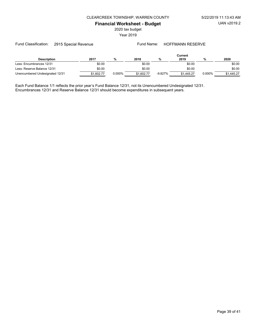2020 tax budget

Year 2019

| <b>Description</b>              | 2017       | %      | 2018       | %         | Current<br>2019 |        | 2020       |
|---------------------------------|------------|--------|------------|-----------|-----------------|--------|------------|
| Less: Encumbrances 12/31        | \$0.00     |        | \$0.00     |           | \$0.00          |        | \$0.00     |
| Less: Reserve Balance 12/31     | \$0.00     |        | \$0.00     |           | \$0.00          |        | \$0.00     |
| Unencumbered Undesignated 12/31 | \$1,602.77 | 0.000% | \$1,602.77 | $-9.827%$ | \$1.445.27      | 0.000% | \$1.445.27 |

Each Fund Balance 1/1 reflects the prior year's Fund Balance 12/31, not its Unencumbered Undesignated 12/31. Encumbrances 12/31 and Reserve Balance 12/31 should become expenditures in subsequent years.

Fund Classification: 2915 Special Revenue Fund Name: HOFFMANN RESERVE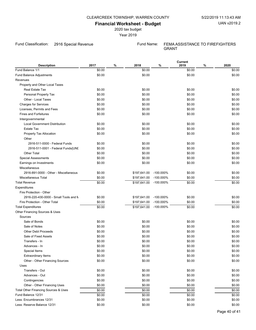2020 tax budget

Year 2019

Fund Classification: 2916 Special Revenue Fund Name: FEMA ASSISTANCE TO FIREFIGHTERS

GRANT

Current

| <b>Description</b>                    | 2017   | % | 2018         | $\%$         | 2019   | $\%$ | 2020          |
|---------------------------------------|--------|---|--------------|--------------|--------|------|---------------|
| Fund Balance 1/1                      | \$0.00 |   | \$0.00       |              | \$0.00 |      | \$0.00        |
| Fund Balance Adjustments              | \$0.00 |   | \$0.00       |              | \$0.00 |      | \$0.00        |
| Revenues                              |        |   |              |              |        |      |               |
| Property and Other Local Taxes        |        |   |              |              |        |      |               |
| Real Estate Tax                       | \$0.00 |   | \$0.00       |              | \$0.00 |      | \$0.00        |
| Personal Property Tax                 | \$0.00 |   | \$0.00       |              | \$0.00 |      | \$0.00        |
| Other - Local Taxes                   | \$0.00 |   | \$0.00       |              | \$0.00 |      | \$0.00        |
| <b>Charges for Services</b>           | \$0.00 |   | \$0.00       |              | \$0.00 |      | \$0.00        |
| Licenses, Permits and Fees            | \$0.00 |   | \$0.00       |              | \$0.00 |      | \$0.00        |
| <b>Fines and Forfeitures</b>          | \$0.00 |   | \$0.00       |              | \$0.00 |      | \$0.00        |
| Intergovernmental                     |        |   |              |              |        |      |               |
| <b>Local Government Distribution</b>  | \$0.00 |   | \$0.00       |              | \$0.00 |      | \$0.00        |
| Estate Tax                            | \$0.00 |   | \$0.00       |              | \$0.00 |      | \$0.00        |
| Property Tax Allocation               | \$0.00 |   | \$0.00       |              | \$0.00 |      | \$0.00        |
| Other                                 |        |   |              |              |        |      |               |
| 2916-511-0000 - Federal Funds         | \$0.00 |   | \$0.00       |              | \$0.00 |      | \$0.00        |
| 2916-511-0001 - Federal Funds{UNI     | \$0.00 |   | \$0.00       |              | \$0.00 |      | \$0.00        |
| <b>Other Total</b>                    | \$0.00 |   | \$0.00       |              | \$0.00 |      | \$0.00        |
| <b>Special Assessments</b>            | \$0.00 |   | \$0.00       |              | \$0.00 |      | \$0.00        |
| Earnings on Investments               | \$0.00 |   | \$0.00       |              | \$0.00 |      | \$0.00        |
| Miscellaneous                         |        |   |              |              |        |      |               |
| 2916-891-0000 - Other - Miscellaneous | \$0.00 |   | \$197,641.00 | $-100.000\%$ | \$0.00 |      | \$0.00        |
| Miscellaneous Total                   | \$0.00 |   | \$197,641.00 | $-100.000\%$ | \$0.00 |      | \$0.00        |
| <b>Total Revenue</b>                  | \$0.00 |   | \$197,641.00 | -100.000%    | \$0.00 |      | \$0.00        |
| Expenditures                          |        |   |              |              |        |      |               |
| Fire Protection - Other               |        |   |              |              |        |      |               |
| 2916-220-430-0000 - Small Tools and M | \$0.00 |   | \$197,641.00 | -100.000%    | \$0.00 |      | \$0.00        |
| Fire Protection - Other Total         | \$0.00 |   | \$197,641.00 | $-100.000\%$ | \$0.00 |      | \$0.00        |
| <b>Total Expenditures</b>             | \$0.00 |   | \$197,641.00 | $-100.000\%$ | \$0.00 |      | \$0.00        |
| Other Financing Sources & Uses        |        |   |              |              |        |      |               |
| Sources                               |        |   |              |              |        |      |               |
| Sale of Bonds                         | \$0.00 |   | \$0.00       |              | \$0.00 |      | \$0.00        |
| Sale of Notes                         | \$0.00 |   | \$0.00       |              | \$0.00 |      | \$0.00        |
| <b>Other Debt Proceeds</b>            | \$0.00 |   | \$0.00       |              | \$0.00 |      | \$0.00        |
| Sale of Fixed Assets                  | \$0.00 |   | \$0.00       |              | \$0.00 |      | \$0.00        |
| Transfers - In                        | \$0.00 |   | \$0.00       |              | \$0.00 |      | \$0.00        |
| Advances - In                         | \$0.00 |   | \$0.00       |              | \$0.00 |      | \$0.00        |
| Special Items                         | \$0.00 |   | \$0.00       |              | \$0.00 |      | \$0.00        |
| <b>Extraordinary Items</b>            | \$0.00 |   | \$0.00       |              | \$0.00 |      | \$0.00        |
| Other - Other Financing Sources       | \$0.00 |   | \$0.00       |              | \$0.00 |      | \$0.00        |
| Uses                                  |        |   |              |              |        |      |               |
| Transfers - Out                       | \$0.00 |   | \$0.00       |              | \$0.00 |      | \$0.00        |
| Advances - Out                        | \$0.00 |   | \$0.00       |              | \$0.00 |      | \$0.00        |
| Contingencies                         | \$0.00 |   | \$0.00       |              | \$0.00 |      | \$0.00        |
|                                       | \$0.00 |   |              |              |        |      |               |
| Other - Other Financing Uses          |        |   | \$0.00       |              | \$0.00 |      | \$0.00        |
| Total Other Financing Sources & Uses  | \$0.00 |   | \$0.00       |              | \$0.00 |      | \$0.00        |
| Fund Balance 12/31                    | \$0.00 |   | \$0.00       |              | \$0.00 |      | \$0.00        |
| Less: Encumbrances 12/31              | \$0.00 |   | \$0.00       |              | \$0.00 |      | \$0.00        |
| Less: Reserve Balance 12/31           | \$0.00 |   | \$0.00       |              | \$0.00 |      | \$0.00        |
|                                       |        |   |              |              |        |      | Page 40 of 41 |